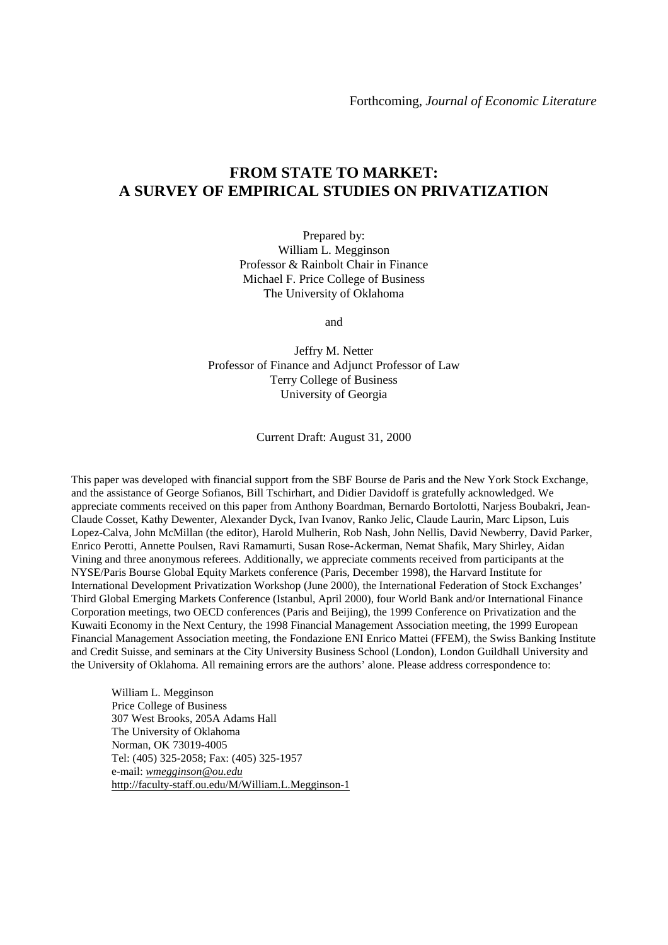# **FROM STATE TO MARKET: A SURVEY OF EMPIRICAL STUDIES ON PRIVATIZATION**

Prepared by: William L. Megginson Professor & Rainbolt Chair in Finance Michael F. Price College of Business The University of Oklahoma

and

Jeffry M. Netter Professor of Finance and Adjunct Professor of Law Terry College of Business University of Georgia

Current Draft: August 31, 2000

This paper was developed with financial support from the SBF Bourse de Paris and the New York Stock Exchange, and the assistance of George Sofianos, Bill Tschirhart, and Didier Davidoff is gratefully acknowledged. We appreciate comments received on this paper from Anthony Boardman, Bernardo Bortolotti, Narjess Boubakri, Jean-Claude Cosset, Kathy Dewenter, Alexander Dyck, Ivan Ivanov, Ranko Jelic, Claude Laurin, Marc Lipson, Luis Lopez-Calva, John McMillan (the editor), Harold Mulherin, Rob Nash, John Nellis, David Newberry, David Parker, Enrico Perotti, Annette Poulsen, Ravi Ramamurti, Susan Rose-Ackerman, Nemat Shafik, Mary Shirley, Aidan Vining and three anonymous referees. Additionally, we appreciate comments received from participants at the NYSE/Paris Bourse Global Equity Markets conference (Paris, December 1998), the Harvard Institute for International Development Privatization Workshop (June 2000), the International Federation of Stock Exchanges' Third Global Emerging Markets Conference (Istanbul, April 2000), four World Bank and/or International Finance Corporation meetings, two OECD conferences (Paris and Beijing), the 1999 Conference on Privatization and the Kuwaiti Economy in the Next Century, the 1998 Financial Management Association meeting, the 1999 European Financial Management Association meeting, the Fondazione ENI Enrico Mattei (FFEM), the Swiss Banking Institute and Credit Suisse, and seminars at the City University Business School (London), London Guildhall University and the University of Oklahoma. All remaining errors are the authors' alone. Please address correspondence to:

William L. Megginson Price College of Business 307 West Brooks, 205A Adams Hall The University of Oklahoma Norman, OK 73019-4005 Tel: (405) 325-2058; Fax: (405) 325-1957 e-mail: *wmegginson@ou.edu* http://faculty-staff.ou.edu/M/William.L.Megginson-1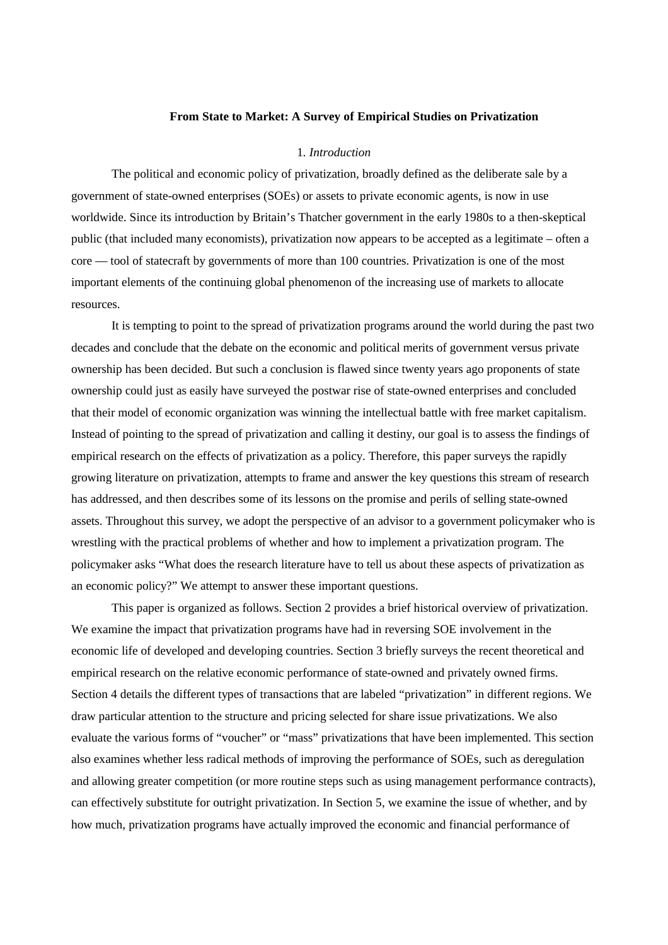# **From State to Market: A Survey of Empirical Studies on Privatization**

#### 1*. Introduction*

The political and economic policy of privatization, broadly defined as the deliberate sale by a government of state-owned enterprises (SOEs) or assets to private economic agents, is now in use worldwide. Since its introduction by Britain's Thatcher government in the early 1980s to a then-skeptical public (that included many economists), privatization now appears to be accepted as a legitimate – often a core — tool of statecraft by governments of more than 100 countries. Privatization is one of the most important elements of the continuing global phenomenon of the increasing use of markets to allocate resources.

It is tempting to point to the spread of privatization programs around the world during the past two decades and conclude that the debate on the economic and political merits of government versus private ownership has been decided. But such a conclusion is flawed since twenty years ago proponents of state ownership could just as easily have surveyed the postwar rise of state-owned enterprises and concluded that their model of economic organization was winning the intellectual battle with free market capitalism. Instead of pointing to the spread of privatization and calling it destiny, our goal is to assess the findings of empirical research on the effects of privatization as a policy. Therefore, this paper surveys the rapidly growing literature on privatization, attempts to frame and answer the key questions this stream of research has addressed, and then describes some of its lessons on the promise and perils of selling state-owned assets. Throughout this survey, we adopt the perspective of an advisor to a government policymaker who is wrestling with the practical problems of whether and how to implement a privatization program. The policymaker asks "What does the research literature have to tell us about these aspects of privatization as an economic policy?" We attempt to answer these important questions.

This paper is organized as follows. Section 2 provides a brief historical overview of privatization. We examine the impact that privatization programs have had in reversing SOE involvement in the economic life of developed and developing countries. Section 3 briefly surveys the recent theoretical and empirical research on the relative economic performance of state-owned and privately owned firms. Section 4 details the different types of transactions that are labeled "privatization" in different regions. We draw particular attention to the structure and pricing selected for share issue privatizations. We also evaluate the various forms of "voucher" or "mass" privatizations that have been implemented. This section also examines whether less radical methods of improving the performance of SOEs, such as deregulation and allowing greater competition (or more routine steps such as using management performance contracts), can effectively substitute for outright privatization. In Section 5, we examine the issue of whether, and by how much, privatization programs have actually improved the economic and financial performance of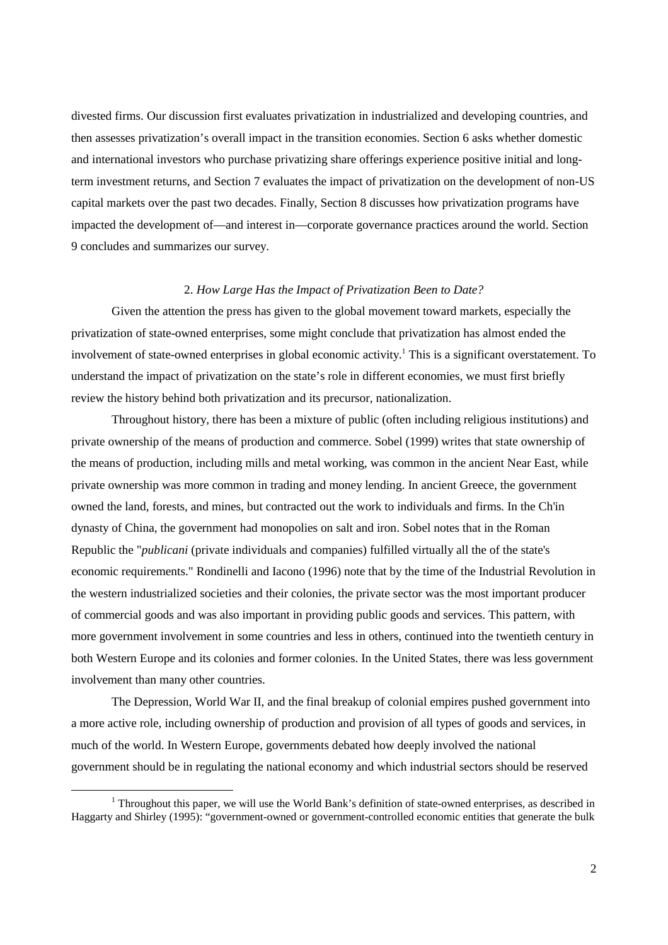divested firms. Our discussion first evaluates privatization in industrialized and developing countries, and then assesses privatization's overall impact in the transition economies. Section 6 asks whether domestic and international investors who purchase privatizing share offerings experience positive initial and longterm investment returns, and Section 7 evaluates the impact of privatization on the development of non-US capital markets over the past two decades. Finally, Section 8 discusses how privatization programs have impacted the development of—and interest in—corporate governance practices around the world. Section 9 concludes and summarizes our survey.

### 2. *How Large Has the Impact of Privatization Been to Date?*

Given the attention the press has given to the global movement toward markets, especially the privatization of state-owned enterprises, some might conclude that privatization has almost ended the involvement of state-owned enterprises in global economic activity.<sup>1</sup> This is a significant overstatement. To understand the impact of privatization on the state's role in different economies, we must first briefly review the history behind both privatization and its precursor, nationalization.

Throughout history, there has been a mixture of public (often including religious institutions) and private ownership of the means of production and commerce. Sobel (1999) writes that state ownership of the means of production, including mills and metal working, was common in the ancient Near East, while private ownership was more common in trading and money lending. In ancient Greece, the government owned the land, forests, and mines, but contracted out the work to individuals and firms. In the Ch'in dynasty of China, the government had monopolies on salt and iron. Sobel notes that in the Roman Republic the "*publicani* (private individuals and companies) fulfilled virtually all the of the state's economic requirements." Rondinelli and Iacono (1996) note that by the time of the Industrial Revolution in the western industrialized societies and their colonies, the private sector was the most important producer of commercial goods and was also important in providing public goods and services. This pattern, with more government involvement in some countries and less in others, continued into the twentieth century in both Western Europe and its colonies and former colonies. In the United States, there was less government involvement than many other countries.

The Depression, World War II, and the final breakup of colonial empires pushed government into a more active role, including ownership of production and provision of all types of goods and services, in much of the world. In Western Europe, governments debated how deeply involved the national government should be in regulating the national economy and which industrial sectors should be reserved

<sup>&</sup>lt;sup>1</sup> Throughout this paper, we will use the World Bank's definition of state-owned enterprises, as described in Haggarty and Shirley (1995): "government-owned or government-controlled economic entities that generate the bulk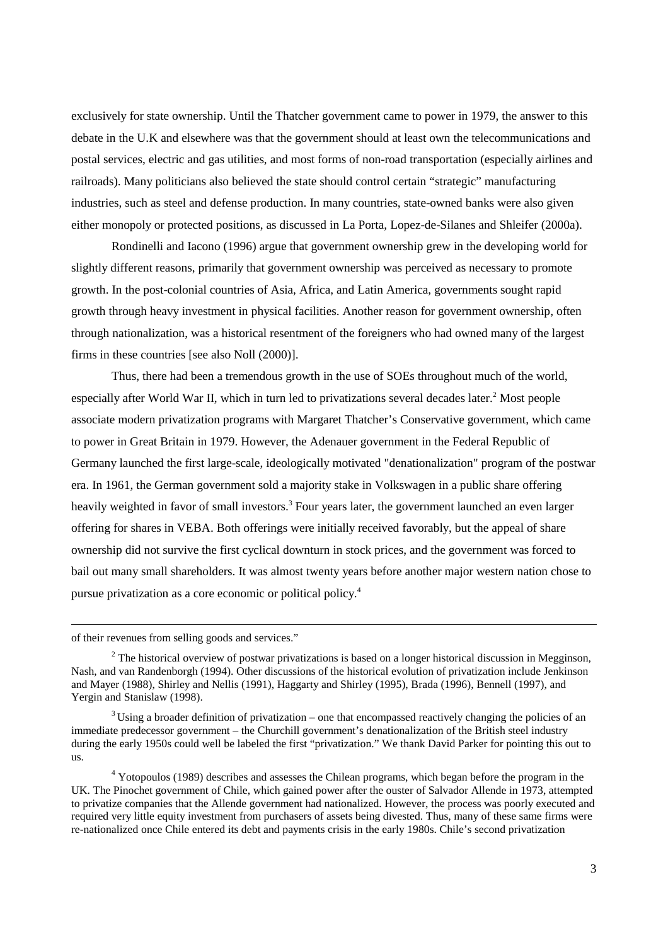exclusively for state ownership. Until the Thatcher government came to power in 1979, the answer to this debate in the U.K and elsewhere was that the government should at least own the telecommunications and postal services, electric and gas utilities, and most forms of non-road transportation (especially airlines and railroads). Many politicians also believed the state should control certain "strategic" manufacturing industries, such as steel and defense production. In many countries, state-owned banks were also given either monopoly or protected positions, as discussed in La Porta, Lopez-de-Silanes and Shleifer (2000a).

Rondinelli and Iacono (1996) argue that government ownership grew in the developing world for slightly different reasons, primarily that government ownership was perceived as necessary to promote growth. In the post-colonial countries of Asia, Africa, and Latin America, governments sought rapid growth through heavy investment in physical facilities. Another reason for government ownership, often through nationalization, was a historical resentment of the foreigners who had owned many of the largest firms in these countries [see also Noll (2000)].

Thus, there had been a tremendous growth in the use of SOEs throughout much of the world, especially after World War II, which in turn led to privatizations several decades later.<sup>2</sup> Most people associate modern privatization programs with Margaret Thatcher's Conservative government, which came to power in Great Britain in 1979. However, the Adenauer government in the Federal Republic of Germany launched the first large-scale, ideologically motivated "denationalization" program of the postwar era. In 1961, the German government sold a majority stake in Volkswagen in a public share offering heavily weighted in favor of small investors.<sup>3</sup> Four years later, the government launched an even larger offering for shares in VEBA. Both offerings were initially received favorably, but the appeal of share ownership did not survive the first cyclical downturn in stock prices, and the government was forced to bail out many small shareholders. It was almost twenty years before another major western nation chose to pursue privatization as a core economic or political policy.<sup>4</sup>

of their revenues from selling goods and services."

 $2$  The historical overview of postwar privatizations is based on a longer historical discussion in Megginson, Nash, and van Randenborgh (1994). Other discussions of the historical evolution of privatization include Jenkinson and Mayer (1988), Shirley and Nellis (1991), Haggarty and Shirley (1995), Brada (1996), Bennell (1997), and Yergin and Stanislaw (1998).

 $3$  Using a broader definition of privatization – one that encompassed reactively changing the policies of an immediate predecessor government – the Churchill government's denationalization of the British steel industry during the early 1950s could well be labeled the first "privatization." We thank David Parker for pointing this out to us.

<sup>&</sup>lt;sup>4</sup> Yotopoulos (1989) describes and assesses the Chilean programs, which began before the program in the UK. The Pinochet government of Chile, which gained power after the ouster of Salvador Allende in 1973, attempted to privatize companies that the Allende government had nationalized. However, the process was poorly executed and required very little equity investment from purchasers of assets being divested. Thus, many of these same firms were re-nationalized once Chile entered its debt and payments crisis in the early 1980s. Chile's second privatization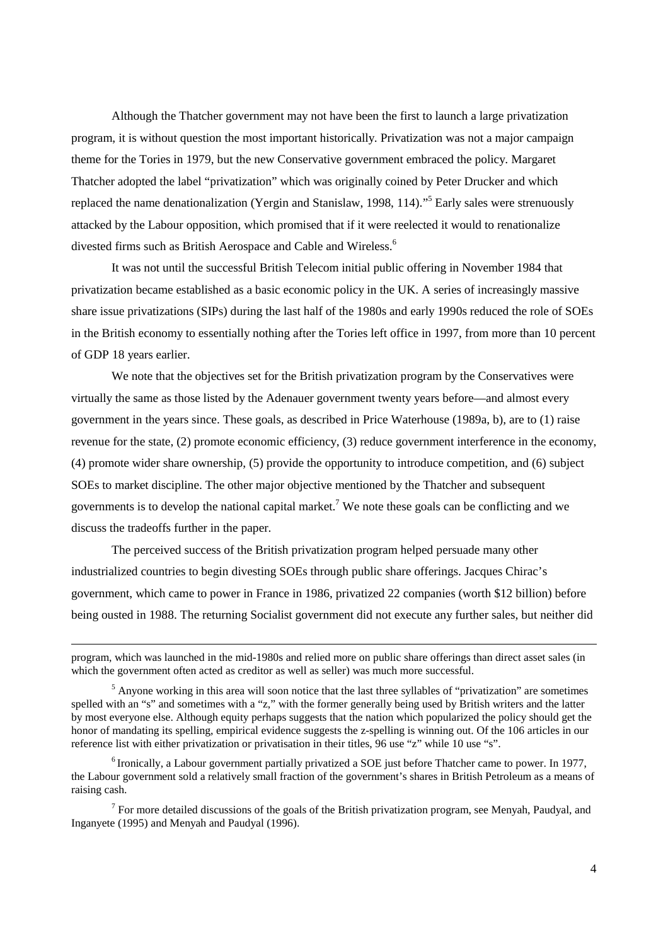Although the Thatcher government may not have been the first to launch a large privatization program, it is without question the most important historically. Privatization was not a major campaign theme for the Tories in 1979, but the new Conservative government embraced the policy. Margaret Thatcher adopted the label "privatization" which was originally coined by Peter Drucker and which replaced the name denationalization (Yergin and Stanislaw, 1998, 114)."<sup>5</sup> Early sales were strenuously attacked by the Labour opposition, which promised that if it were reelected it would to renationalize divested firms such as British Aerospace and Cable and Wireless.<sup>6</sup>

It was not until the successful British Telecom initial public offering in November 1984 that privatization became established as a basic economic policy in the UK. A series of increasingly massive share issue privatizations (SIPs) during the last half of the 1980s and early 1990s reduced the role of SOEs in the British economy to essentially nothing after the Tories left office in 1997, from more than 10 percent of GDP 18 years earlier.

We note that the objectives set for the British privatization program by the Conservatives were virtually the same as those listed by the Adenauer government twenty years before—and almost every government in the years since. These goals, as described in Price Waterhouse (1989a, b), are to (1) raise revenue for the state, (2) promote economic efficiency, (3) reduce government interference in the economy, (4) promote wider share ownership, (5) provide the opportunity to introduce competition, and (6) subject SOEs to market discipline. The other major objective mentioned by the Thatcher and subsequent governments is to develop the national capital market.<sup>7</sup> We note these goals can be conflicting and we discuss the tradeoffs further in the paper.

The perceived success of the British privatization program helped persuade many other industrialized countries to begin divesting SOEs through public share offerings. Jacques Chirac's government, which came to power in France in 1986, privatized 22 companies (worth \$12 billion) before being ousted in 1988. The returning Socialist government did not execute any further sales, but neither did

program, which was launched in the mid-1980s and relied more on public share offerings than direct asset sales (in which the government often acted as creditor as well as seller) was much more successful.

<sup>&</sup>lt;sup>5</sup> Anyone working in this area will soon notice that the last three syllables of "privatization" are sometimes spelled with an "s" and sometimes with a "z," with the former generally being used by British writers and the latter by most everyone else. Although equity perhaps suggests that the nation which popularized the policy should get the honor of mandating its spelling, empirical evidence suggests the z-spelling is winning out. Of the 106 articles in our reference list with either privatization or privatisation in their titles, 96 use "z" while 10 use "s".

<sup>&</sup>lt;sup>6</sup> Ironically, a Labour government partially privatized a SOE just before Thatcher came to power. In 1977, the Labour government sold a relatively small fraction of the government's shares in British Petroleum as a means of raising cash.

 $<sup>7</sup>$  For more detailed discussions of the goals of the British privatization program, see Menyah, Paudyal, and</sup> Inganyete (1995) and Menyah and Paudyal (1996).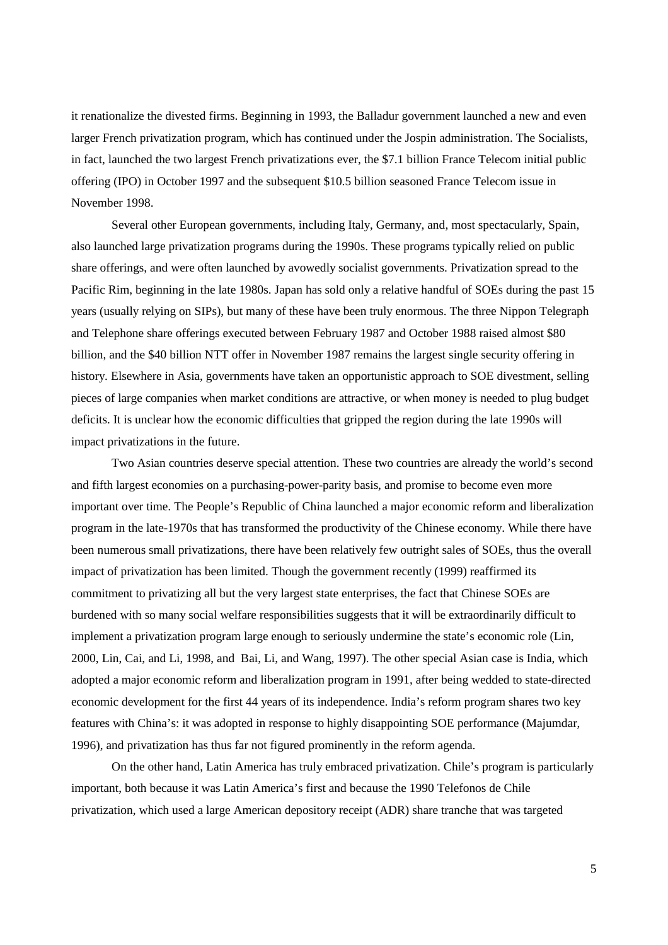it renationalize the divested firms. Beginning in 1993, the Balladur government launched a new and even larger French privatization program, which has continued under the Jospin administration. The Socialists, in fact, launched the two largest French privatizations ever, the \$7.1 billion France Telecom initial public offering (IPO) in October 1997 and the subsequent \$10.5 billion seasoned France Telecom issue in November 1998.

Several other European governments, including Italy, Germany, and, most spectacularly, Spain, also launched large privatization programs during the 1990s. These programs typically relied on public share offerings, and were often launched by avowedly socialist governments. Privatization spread to the Pacific Rim, beginning in the late 1980s. Japan has sold only a relative handful of SOEs during the past 15 years (usually relying on SIPs), but many of these have been truly enormous. The three Nippon Telegraph and Telephone share offerings executed between February 1987 and October 1988 raised almost \$80 billion, and the \$40 billion NTT offer in November 1987 remains the largest single security offering in history. Elsewhere in Asia, governments have taken an opportunistic approach to SOE divestment, selling pieces of large companies when market conditions are attractive, or when money is needed to plug budget deficits. It is unclear how the economic difficulties that gripped the region during the late 1990s will impact privatizations in the future.

Two Asian countries deserve special attention. These two countries are already the world's second and fifth largest economies on a purchasing-power-parity basis, and promise to become even more important over time. The People's Republic of China launched a major economic reform and liberalization program in the late-1970s that has transformed the productivity of the Chinese economy. While there have been numerous small privatizations, there have been relatively few outright sales of SOEs, thus the overall impact of privatization has been limited. Though the government recently (1999) reaffirmed its commitment to privatizing all but the very largest state enterprises, the fact that Chinese SOEs are burdened with so many social welfare responsibilities suggests that it will be extraordinarily difficult to implement a privatization program large enough to seriously undermine the state's economic role (Lin, 2000, Lin, Cai, and Li, 1998, and Bai, Li, and Wang, 1997). The other special Asian case is India, which adopted a major economic reform and liberalization program in 1991, after being wedded to state-directed economic development for the first 44 years of its independence. India's reform program shares two key features with China's: it was adopted in response to highly disappointing SOE performance (Majumdar, 1996), and privatization has thus far not figured prominently in the reform agenda.

On the other hand, Latin America has truly embraced privatization. Chile's program is particularly important, both because it was Latin America's first and because the 1990 Telefonos de Chile privatization, which used a large American depository receipt (ADR) share tranche that was targeted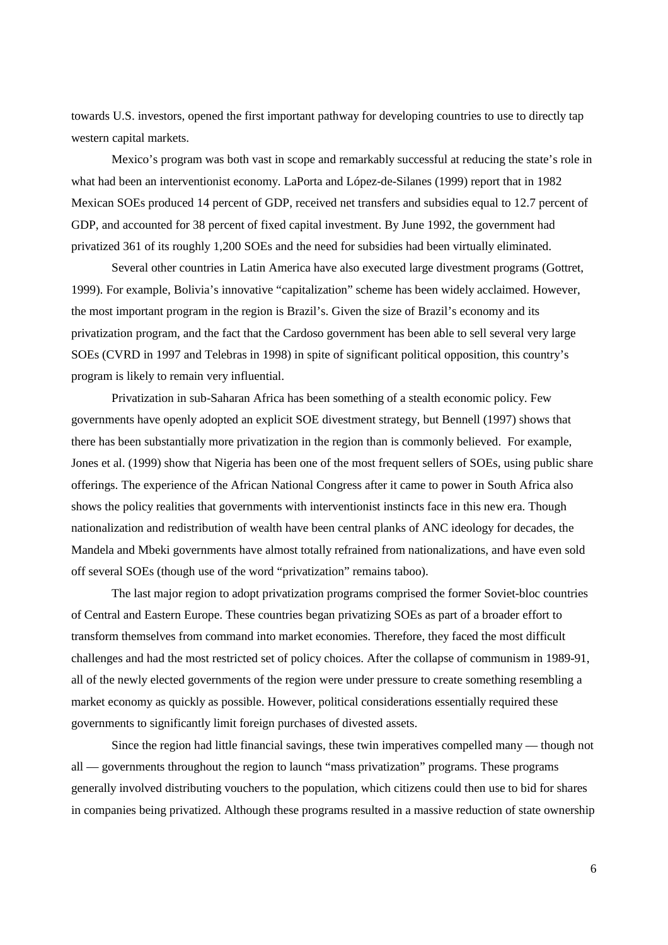towards U.S. investors, opened the first important pathway for developing countries to use to directly tap western capital markets.

Mexico's program was both vast in scope and remarkably successful at reducing the state's role in what had been an interventionist economy. LaPorta and López-de-Silanes (1999) report that in 1982 Mexican SOEs produced 14 percent of GDP, received net transfers and subsidies equal to 12.7 percent of GDP, and accounted for 38 percent of fixed capital investment. By June 1992, the government had privatized 361 of its roughly 1,200 SOEs and the need for subsidies had been virtually eliminated.

Several other countries in Latin America have also executed large divestment programs (Gottret, 1999). For example, Bolivia's innovative "capitalization" scheme has been widely acclaimed. However, the most important program in the region is Brazil's. Given the size of Brazil's economy and its privatization program, and the fact that the Cardoso government has been able to sell several very large SOEs (CVRD in 1997 and Telebras in 1998) in spite of significant political opposition, this country's program is likely to remain very influential.

Privatization in sub-Saharan Africa has been something of a stealth economic policy. Few governments have openly adopted an explicit SOE divestment strategy, but Bennell (1997) shows that there has been substantially more privatization in the region than is commonly believed. For example, Jones et al. (1999) show that Nigeria has been one of the most frequent sellers of SOEs, using public share offerings. The experience of the African National Congress after it came to power in South Africa also shows the policy realities that governments with interventionist instincts face in this new era. Though nationalization and redistribution of wealth have been central planks of ANC ideology for decades, the Mandela and Mbeki governments have almost totally refrained from nationalizations, and have even sold off several SOEs (though use of the word "privatization" remains taboo).

The last major region to adopt privatization programs comprised the former Soviet-bloc countries of Central and Eastern Europe. These countries began privatizing SOEs as part of a broader effort to transform themselves from command into market economies. Therefore, they faced the most difficult challenges and had the most restricted set of policy choices. After the collapse of communism in 1989-91, all of the newly elected governments of the region were under pressure to create something resembling a market economy as quickly as possible. However, political considerations essentially required these governments to significantly limit foreign purchases of divested assets.

Since the region had little financial savings, these twin imperatives compelled many — though not all — governments throughout the region to launch "mass privatization" programs. These programs generally involved distributing vouchers to the population, which citizens could then use to bid for shares in companies being privatized. Although these programs resulted in a massive reduction of state ownership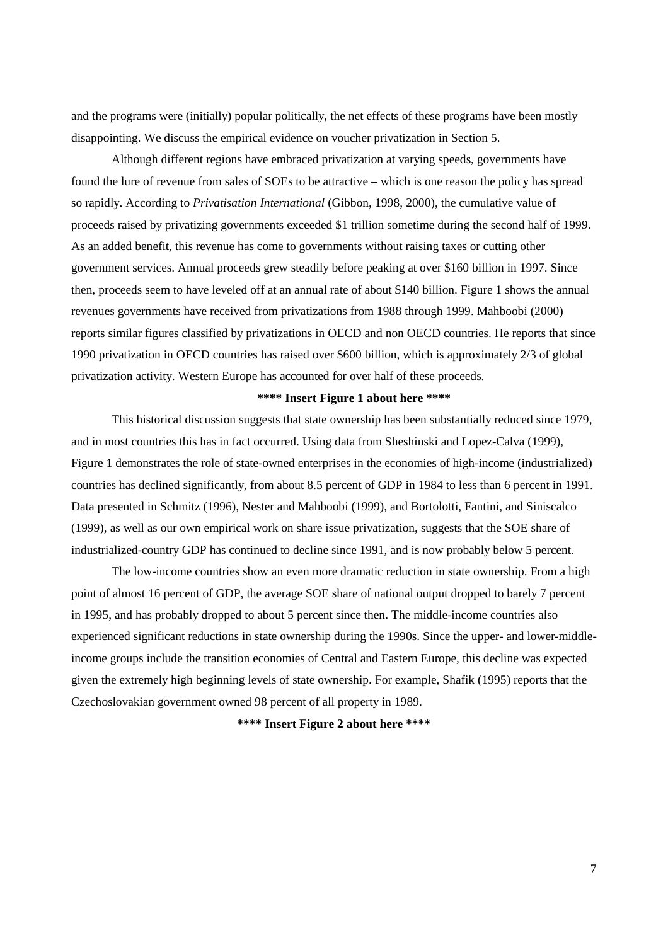and the programs were (initially) popular politically, the net effects of these programs have been mostly disappointing. We discuss the empirical evidence on voucher privatization in Section 5.

Although different regions have embraced privatization at varying speeds, governments have found the lure of revenue from sales of SOEs to be attractive – which is one reason the policy has spread so rapidly. According to *Privatisation International* (Gibbon, 1998, 2000), the cumulative value of proceeds raised by privatizing governments exceeded \$1 trillion sometime during the second half of 1999. As an added benefit, this revenue has come to governments without raising taxes or cutting other government services. Annual proceeds grew steadily before peaking at over \$160 billion in 1997. Since then, proceeds seem to have leveled off at an annual rate of about \$140 billion. Figure 1 shows the annual revenues governments have received from privatizations from 1988 through 1999. Mahboobi (2000) reports similar figures classified by privatizations in OECD and non OECD countries. He reports that since 1990 privatization in OECD countries has raised over \$600 billion, which is approximately 2/3 of global privatization activity. Western Europe has accounted for over half of these proceeds.

### **\*\*\*\* Insert Figure 1 about here \*\*\*\***

This historical discussion suggests that state ownership has been substantially reduced since 1979, and in most countries this has in fact occurred. Using data from Sheshinski and Lopez-Calva (1999), Figure 1 demonstrates the role of state-owned enterprises in the economies of high-income (industrialized) countries has declined significantly, from about 8.5 percent of GDP in 1984 to less than 6 percent in 1991. Data presented in Schmitz (1996), Nester and Mahboobi (1999), and Bortolotti, Fantini, and Siniscalco (1999), as well as our own empirical work on share issue privatization, suggests that the SOE share of industrialized-country GDP has continued to decline since 1991, and is now probably below 5 percent.

The low-income countries show an even more dramatic reduction in state ownership. From a high point of almost 16 percent of GDP, the average SOE share of national output dropped to barely 7 percent in 1995, and has probably dropped to about 5 percent since then. The middle-income countries also experienced significant reductions in state ownership during the 1990s. Since the upper- and lower-middleincome groups include the transition economies of Central and Eastern Europe, this decline was expected given the extremely high beginning levels of state ownership. For example, Shafik (1995) reports that the Czechoslovakian government owned 98 percent of all property in 1989.

### **\*\*\*\* Insert Figure 2 about here \*\*\*\***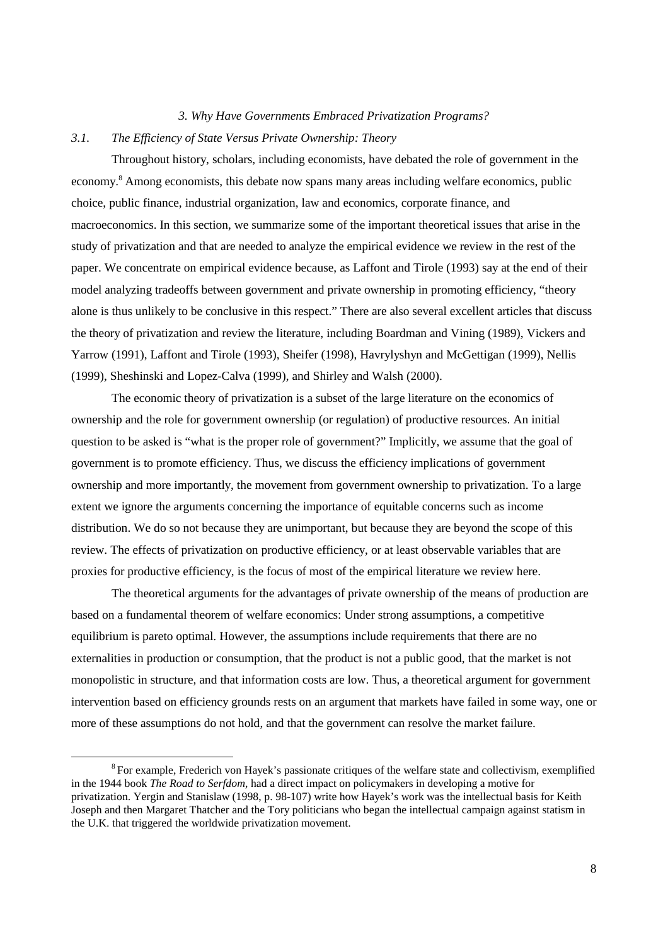### *3. Why Have Governments Embraced Privatization Programs?*

### *3.1. The Efficiency of State Versus Private Ownership: Theory*

Throughout history, scholars, including economists, have debated the role of government in the economy.<sup>8</sup> Among economists, this debate now spans many areas including welfare economics, public choice, public finance, industrial organization, law and economics, corporate finance, and macroeconomics. In this section, we summarize some of the important theoretical issues that arise in the study of privatization and that are needed to analyze the empirical evidence we review in the rest of the paper. We concentrate on empirical evidence because, as Laffont and Tirole (1993) say at the end of their model analyzing tradeoffs between government and private ownership in promoting efficiency, "theory alone is thus unlikely to be conclusive in this respect." There are also several excellent articles that discuss the theory of privatization and review the literature, including Boardman and Vining (1989), Vickers and Yarrow (1991), Laffont and Tirole (1993), Sheifer (1998), Havrylyshyn and McGettigan (1999), Nellis (1999), Sheshinski and Lopez-Calva (1999), and Shirley and Walsh (2000).

The economic theory of privatization is a subset of the large literature on the economics of ownership and the role for government ownership (or regulation) of productive resources. An initial question to be asked is "what is the proper role of government?" Implicitly, we assume that the goal of government is to promote efficiency. Thus, we discuss the efficiency implications of government ownership and more importantly, the movement from government ownership to privatization. To a large extent we ignore the arguments concerning the importance of equitable concerns such as income distribution. We do so not because they are unimportant, but because they are beyond the scope of this review. The effects of privatization on productive efficiency, or at least observable variables that are proxies for productive efficiency, is the focus of most of the empirical literature we review here.

The theoretical arguments for the advantages of private ownership of the means of production are based on a fundamental theorem of welfare economics: Under strong assumptions, a competitive equilibrium is pareto optimal. However, the assumptions include requirements that there are no externalities in production or consumption, that the product is not a public good, that the market is not monopolistic in structure, and that information costs are low. Thus, a theoretical argument for government intervention based on efficiency grounds rests on an argument that markets have failed in some way, one or more of these assumptions do not hold, and that the government can resolve the market failure.

<sup>&</sup>lt;sup>8</sup> For example, Frederich von Hayek's passionate critiques of the welfare state and collectivism, exemplified in the 1944 book *The Road to Serfdom,* had a direct impact on policymakers in developing a motive for privatization. Yergin and Stanislaw (1998, p. 98-107) write how Hayek's work was the intellectual basis for Keith Joseph and then Margaret Thatcher and the Tory politicians who began the intellectual campaign against statism in the U.K. that triggered the worldwide privatization movement.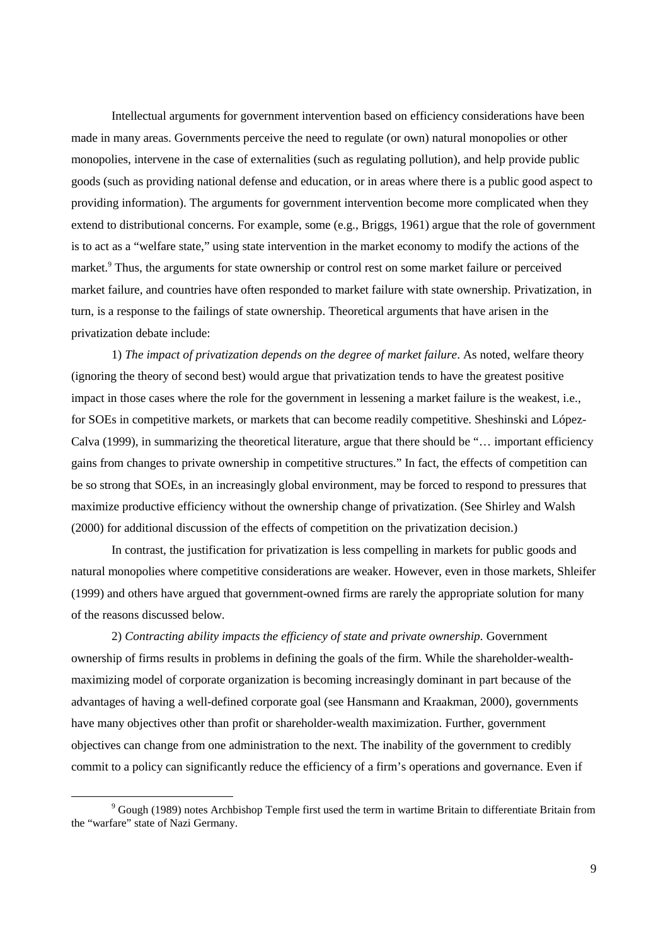Intellectual arguments for government intervention based on efficiency considerations have been made in many areas. Governments perceive the need to regulate (or own) natural monopolies or other monopolies, intervene in the case of externalities (such as regulating pollution), and help provide public goods (such as providing national defense and education, or in areas where there is a public good aspect to providing information). The arguments for government intervention become more complicated when they extend to distributional concerns. For example, some (e.g., Briggs, 1961) argue that the role of government is to act as a "welfare state," using state intervention in the market economy to modify the actions of the market.<sup>9</sup> Thus, the arguments for state ownership or control rest on some market failure or perceived market failure, and countries have often responded to market failure with state ownership. Privatization, in turn, is a response to the failings of state ownership. Theoretical arguments that have arisen in the privatization debate include:

1) *The impact of privatization depends on the degree of market failure*. As noted, welfare theory (ignoring the theory of second best) would argue that privatization tends to have the greatest positive impact in those cases where the role for the government in lessening a market failure is the weakest, i.e., for SOEs in competitive markets, or markets that can become readily competitive. Sheshinski and López-Calva (1999), in summarizing the theoretical literature, argue that there should be "… important efficiency gains from changes to private ownership in competitive structures." In fact, the effects of competition can be so strong that SOEs, in an increasingly global environment, may be forced to respond to pressures that maximize productive efficiency without the ownership change of privatization. (See Shirley and Walsh (2000) for additional discussion of the effects of competition on the privatization decision.)

In contrast, the justification for privatization is less compelling in markets for public goods and natural monopolies where competitive considerations are weaker. However, even in those markets, Shleifer (1999) and others have argued that government-owned firms are rarely the appropriate solution for many of the reasons discussed below.

2) *Contracting ability impacts the efficiency of state and private ownership.* Government ownership of firms results in problems in defining the goals of the firm. While the shareholder-wealthmaximizing model of corporate organization is becoming increasingly dominant in part because of the advantages of having a well-defined corporate goal (see Hansmann and Kraakman, 2000), governments have many objectives other than profit or shareholder-wealth maximization. Further, government objectives can change from one administration to the next. The inability of the government to credibly commit to a policy can significantly reduce the efficiency of a firm's operations and governance. Even if

<sup>&</sup>lt;sup>9</sup> Gough (1989) notes Archbishop Temple first used the term in wartime Britain to differentiate Britain from the "warfare" state of Nazi Germany.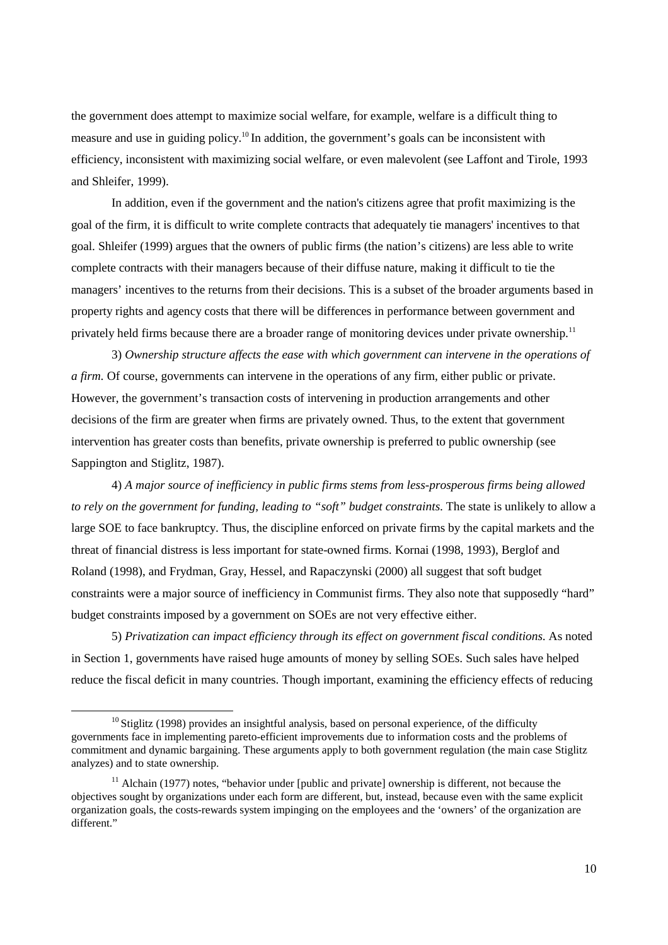the government does attempt to maximize social welfare, for example, welfare is a difficult thing to measure and use in guiding policy.<sup>10</sup> In addition, the government's goals can be inconsistent with efficiency, inconsistent with maximizing social welfare, or even malevolent (see Laffont and Tirole, 1993 and Shleifer, 1999).

In addition, even if the government and the nation's citizens agree that profit maximizing is the goal of the firm, it is difficult to write complete contracts that adequately tie managers' incentives to that goal. Shleifer (1999) argues that the owners of public firms (the nation's citizens) are less able to write complete contracts with their managers because of their diffuse nature, making it difficult to tie the managers' incentives to the returns from their decisions. This is a subset of the broader arguments based in property rights and agency costs that there will be differences in performance between government and privately held firms because there are a broader range of monitoring devices under private ownership.<sup>11</sup>

3) *Ownership structure affects the ease with which government can intervene in the operations of a firm.* Of course, governments can intervene in the operations of any firm, either public or private. However, the government's transaction costs of intervening in production arrangements and other decisions of the firm are greater when firms are privately owned. Thus, to the extent that government intervention has greater costs than benefits, private ownership is preferred to public ownership (see Sappington and Stiglitz, 1987).

4) *A major source of inefficiency in public firms stems from less-prosperous firms being allowed to rely on the government for funding, leading to "soft" budget constraints*. The state is unlikely to allow a large SOE to face bankruptcy. Thus, the discipline enforced on private firms by the capital markets and the threat of financial distress is less important for state-owned firms. Kornai (1998, 1993), Berglof and Roland (1998), and Frydman, Gray, Hessel, and Rapaczynski (2000) all suggest that soft budget constraints were a major source of inefficiency in Communist firms. They also note that supposedly "hard" budget constraints imposed by a government on SOEs are not very effective either.

5) *Privatization can impact efficiency through its effect on government fiscal conditions*. As noted in Section 1, governments have raised huge amounts of money by selling SOEs. Such sales have helped reduce the fiscal deficit in many countries. Though important, examining the efficiency effects of reducing

 $10$  Stiglitz (1998) provides an insightful analysis, based on personal experience, of the difficulty governments face in implementing pareto-efficient improvements due to information costs and the problems of commitment and dynamic bargaining. These arguments apply to both government regulation (the main case Stiglitz analyzes) and to state ownership.

 $11$  Alchain (1977) notes, "behavior under [public and private] ownership is different, not because the objectives sought by organizations under each form are different, but, instead, because even with the same explicit organization goals, the costs-rewards system impinging on the employees and the 'owners' of the organization are different."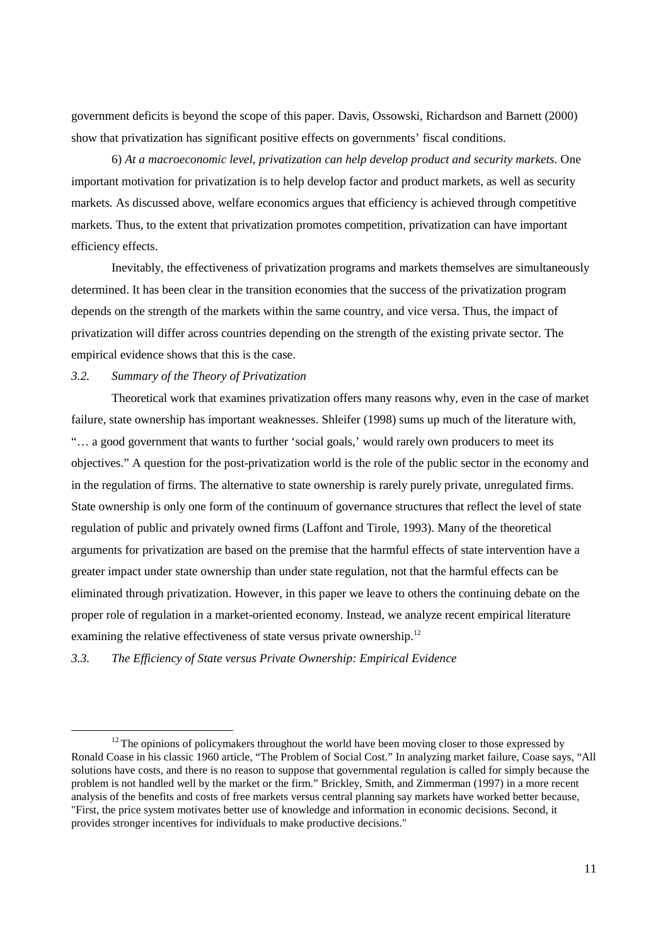government deficits is beyond the scope of this paper. Davis, Ossowski, Richardson and Barnett (2000) show that privatization has significant positive effects on governments' fiscal conditions.

6) *At a macroeconomic level, privatization can help develop product and security markets.* One important motivation for privatization is to help develop factor and product markets, as well as security markets. As discussed above, welfare economics argues that efficiency is achieved through competitive markets. Thus, to the extent that privatization promotes competition, privatization can have important efficiency effects.

Inevitably, the effectiveness of privatization programs and markets themselves are simultaneously determined. It has been clear in the transition economies that the success of the privatization program depends on the strength of the markets within the same country, and vice versa. Thus, the impact of privatization will differ across countries depending on the strength of the existing private sector. The empirical evidence shows that this is the case.

# *3.2. Summary of the Theory of Privatization*

Theoretical work that examines privatization offers many reasons why, even in the case of market failure, state ownership has important weaknesses. Shleifer (1998) sums up much of the literature with, "… a good government that wants to further 'social goals,' would rarely own producers to meet its objectives." A question for the post-privatization world is the role of the public sector in the economy and in the regulation of firms. The alternative to state ownership is rarely purely private, unregulated firms. State ownership is only one form of the continuum of governance structures that reflect the level of state regulation of public and privately owned firms (Laffont and Tirole, 1993). Many of the theoretical arguments for privatization are based on the premise that the harmful effects of state intervention have a greater impact under state ownership than under state regulation, not that the harmful effects can be eliminated through privatization. However, in this paper we leave to others the continuing debate on the proper role of regulation in a market-oriented economy. Instead, we analyze recent empirical literature examining the relative effectiveness of state versus private ownership.<sup>12</sup>

*3.3. The Efficiency of State versus Private Ownership: Empirical Evidence*

 $12$  The opinions of policymakers throughout the world have been moving closer to those expressed by Ronald Coase in his classic 1960 article, "The Problem of Social Cost." In analyzing market failure, Coase says, "All solutions have costs, and there is no reason to suppose that governmental regulation is called for simply because the problem is not handled well by the market or the firm." Brickley, Smith, and Zimmerman (1997) in a more recent analysis of the benefits and costs of free markets versus central planning say markets have worked better because, "First, the price system motivates better use of knowledge and information in economic decisions. Second, it provides stronger incentives for individuals to make productive decisions."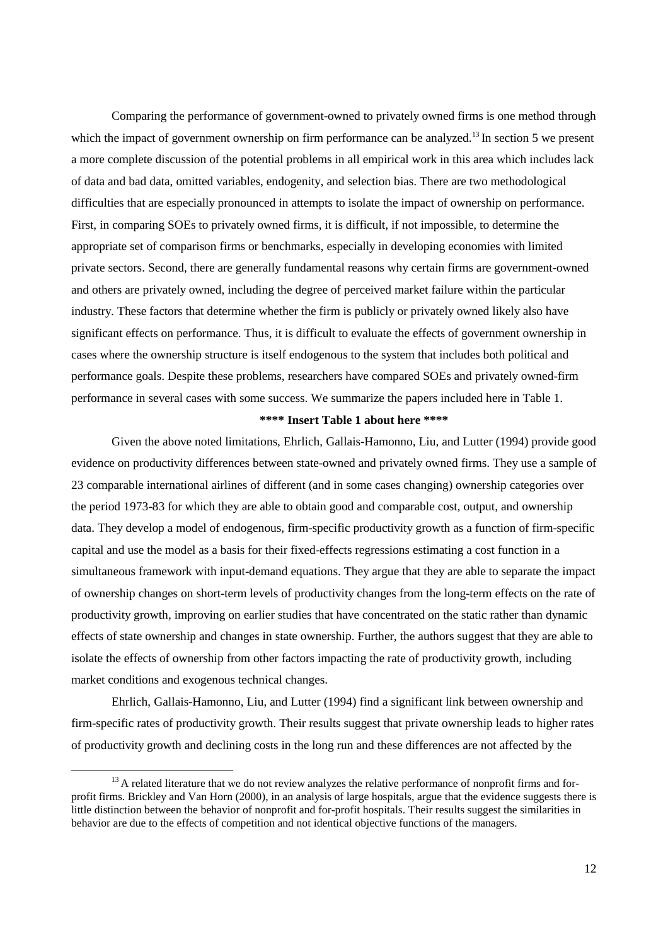Comparing the performance of government-owned to privately owned firms is one method through which the impact of government ownership on firm performance can be analyzed.<sup>13</sup> In section 5 we present a more complete discussion of the potential problems in all empirical work in this area which includes lack of data and bad data, omitted variables, endogenity, and selection bias. There are two methodological difficulties that are especially pronounced in attempts to isolate the impact of ownership on performance. First, in comparing SOEs to privately owned firms, it is difficult, if not impossible, to determine the appropriate set of comparison firms or benchmarks, especially in developing economies with limited private sectors. Second, there are generally fundamental reasons why certain firms are government-owned and others are privately owned, including the degree of perceived market failure within the particular industry. These factors that determine whether the firm is publicly or privately owned likely also have significant effects on performance. Thus, it is difficult to evaluate the effects of government ownership in cases where the ownership structure is itself endogenous to the system that includes both political and performance goals. Despite these problems, researchers have compared SOEs and privately owned-firm performance in several cases with some success. We summarize the papers included here in Table 1.

#### **\*\*\*\* Insert Table 1 about here \*\*\*\***

Given the above noted limitations, Ehrlich, Gallais-Hamonno, Liu, and Lutter (1994) provide good evidence on productivity differences between state-owned and privately owned firms. They use a sample of 23 comparable international airlines of different (and in some cases changing) ownership categories over the period 1973-83 for which they are able to obtain good and comparable cost, output, and ownership data. They develop a model of endogenous, firm-specific productivity growth as a function of firm-specific capital and use the model as a basis for their fixed-effects regressions estimating a cost function in a simultaneous framework with input-demand equations. They argue that they are able to separate the impact of ownership changes on short-term levels of productivity changes from the long-term effects on the rate of productivity growth, improving on earlier studies that have concentrated on the static rather than dynamic effects of state ownership and changes in state ownership. Further, the authors suggest that they are able to isolate the effects of ownership from other factors impacting the rate of productivity growth, including market conditions and exogenous technical changes.

Ehrlich, Gallais-Hamonno, Liu, and Lutter (1994) find a significant link between ownership and firm-specific rates of productivity growth. Their results suggest that private ownership leads to higher rates of productivity growth and declining costs in the long run and these differences are not affected by the

 $13$  A related literature that we do not review analyzes the relative performance of nonprofit firms and forprofit firms. Brickley and Van Horn (2000), in an analysis of large hospitals, argue that the evidence suggests there is little distinction between the behavior of nonprofit and for-profit hospitals. Their results suggest the similarities in behavior are due to the effects of competition and not identical objective functions of the managers.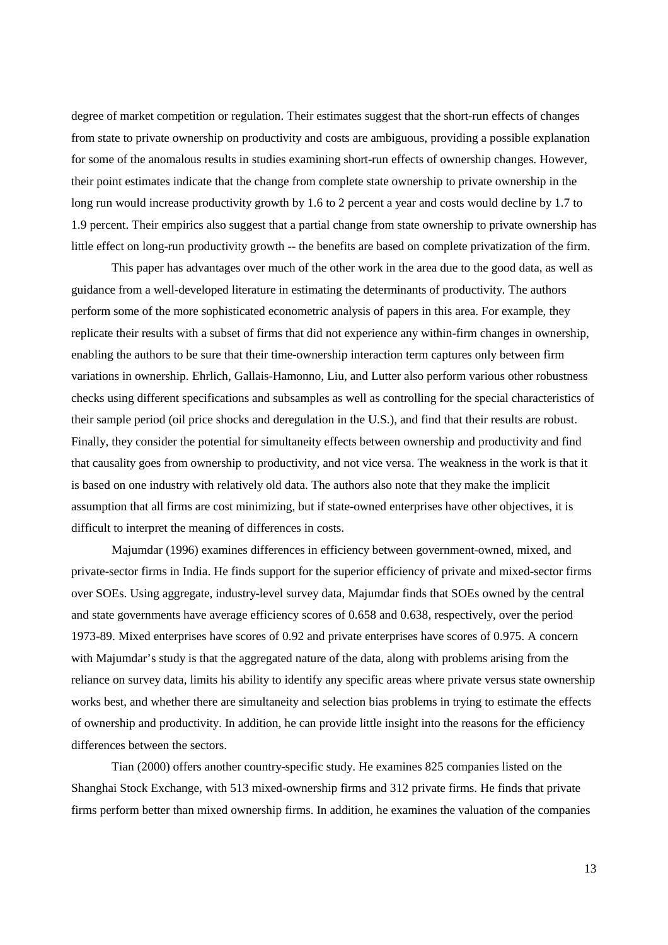degree of market competition or regulation. Their estimates suggest that the short-run effects of changes from state to private ownership on productivity and costs are ambiguous, providing a possible explanation for some of the anomalous results in studies examining short-run effects of ownership changes. However, their point estimates indicate that the change from complete state ownership to private ownership in the long run would increase productivity growth by 1.6 to 2 percent a year and costs would decline by 1.7 to 1.9 percent. Their empirics also suggest that a partial change from state ownership to private ownership has little effect on long-run productivity growth -- the benefits are based on complete privatization of the firm.

This paper has advantages over much of the other work in the area due to the good data, as well as guidance from a well-developed literature in estimating the determinants of productivity. The authors perform some of the more sophisticated econometric analysis of papers in this area. For example, they replicate their results with a subset of firms that did not experience any within-firm changes in ownership, enabling the authors to be sure that their time-ownership interaction term captures only between firm variations in ownership. Ehrlich, Gallais-Hamonno, Liu, and Lutter also perform various other robustness checks using different specifications and subsamples as well as controlling for the special characteristics of their sample period (oil price shocks and deregulation in the U.S.), and find that their results are robust. Finally, they consider the potential for simultaneity effects between ownership and productivity and find that causality goes from ownership to productivity, and not vice versa. The weakness in the work is that it is based on one industry with relatively old data. The authors also note that they make the implicit assumption that all firms are cost minimizing, but if state-owned enterprises have other objectives, it is difficult to interpret the meaning of differences in costs.

Majumdar (1996) examines differences in efficiency between government-owned, mixed, and private-sector firms in India. He finds support for the superior efficiency of private and mixed-sector firms over SOEs. Using aggregate, industry-level survey data, Majumdar finds that SOEs owned by the central and state governments have average efficiency scores of 0.658 and 0.638, respectively, over the period 1973-89. Mixed enterprises have scores of 0.92 and private enterprises have scores of 0.975. A concern with Majumdar's study is that the aggregated nature of the data, along with problems arising from the reliance on survey data, limits his ability to identify any specific areas where private versus state ownership works best, and whether there are simultaneity and selection bias problems in trying to estimate the effects of ownership and productivity. In addition, he can provide little insight into the reasons for the efficiency differences between the sectors.

Tian (2000) offers another country-specific study. He examines 825 companies listed on the Shanghai Stock Exchange, with 513 mixed-ownership firms and 312 private firms. He finds that private firms perform better than mixed ownership firms. In addition, he examines the valuation of the companies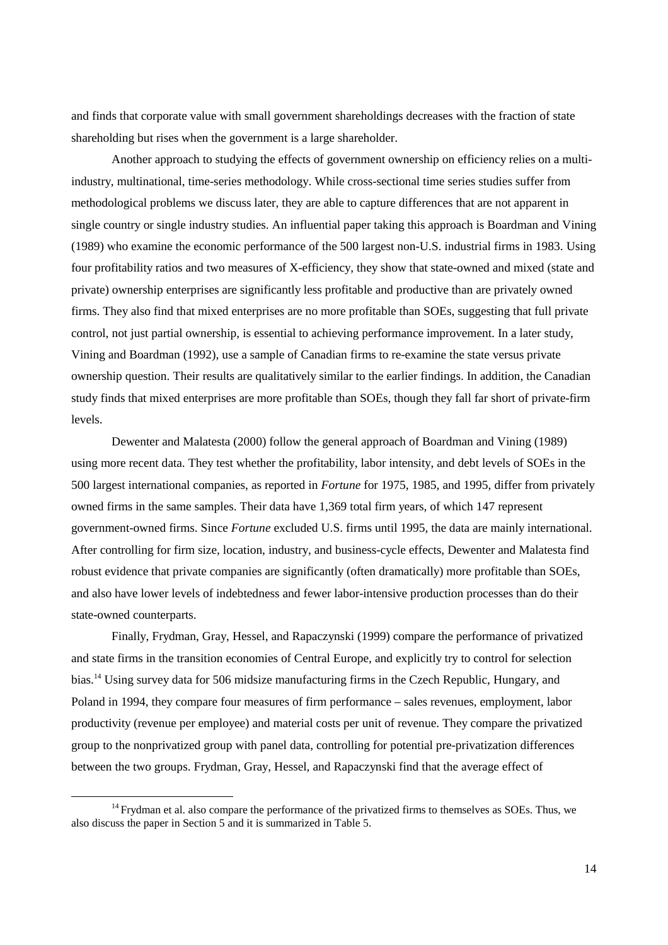and finds that corporate value with small government shareholdings decreases with the fraction of state shareholding but rises when the government is a large shareholder.

Another approach to studying the effects of government ownership on efficiency relies on a multiindustry, multinational, time-series methodology. While cross-sectional time series studies suffer from methodological problems we discuss later, they are able to capture differences that are not apparent in single country or single industry studies. An influential paper taking this approach is Boardman and Vining (1989) who examine the economic performance of the 500 largest non-U.S. industrial firms in 1983. Using four profitability ratios and two measures of X-efficiency, they show that state-owned and mixed (state and private) ownership enterprises are significantly less profitable and productive than are privately owned firms. They also find that mixed enterprises are no more profitable than SOEs, suggesting that full private control, not just partial ownership, is essential to achieving performance improvement. In a later study, Vining and Boardman (1992), use a sample of Canadian firms to re-examine the state versus private ownership question. Their results are qualitatively similar to the earlier findings. In addition, the Canadian study finds that mixed enterprises are more profitable than SOEs, though they fall far short of private-firm levels.

Dewenter and Malatesta (2000) follow the general approach of Boardman and Vining (1989) using more recent data. They test whether the profitability, labor intensity, and debt levels of SOEs in the 500 largest international companies, as reported in *Fortune* for 1975, 1985, and 1995, differ from privately owned firms in the same samples. Their data have 1,369 total firm years, of which 147 represent government-owned firms. Since *Fortune* excluded U.S. firms until 1995, the data are mainly international. After controlling for firm size, location, industry, and business-cycle effects, Dewenter and Malatesta find robust evidence that private companies are significantly (often dramatically) more profitable than SOEs, and also have lower levels of indebtedness and fewer labor-intensive production processes than do their state-owned counterparts.

Finally, Frydman, Gray, Hessel, and Rapaczynski (1999) compare the performance of privatized and state firms in the transition economies of Central Europe, and explicitly try to control for selection bias.<sup>14</sup> Using survey data for 506 midsize manufacturing firms in the Czech Republic, Hungary, and Poland in 1994, they compare four measures of firm performance – sales revenues, employment, labor productivity (revenue per employee) and material costs per unit of revenue. They compare the privatized group to the nonprivatized group with panel data, controlling for potential pre-privatization differences between the two groups. Frydman, Gray, Hessel, and Rapaczynski find that the average effect of

 $<sup>14</sup>$  Frydman et al. also compare the performance of the privatized firms to themselves as SOEs. Thus, we</sup> also discuss the paper in Section 5 and it is summarized in Table 5.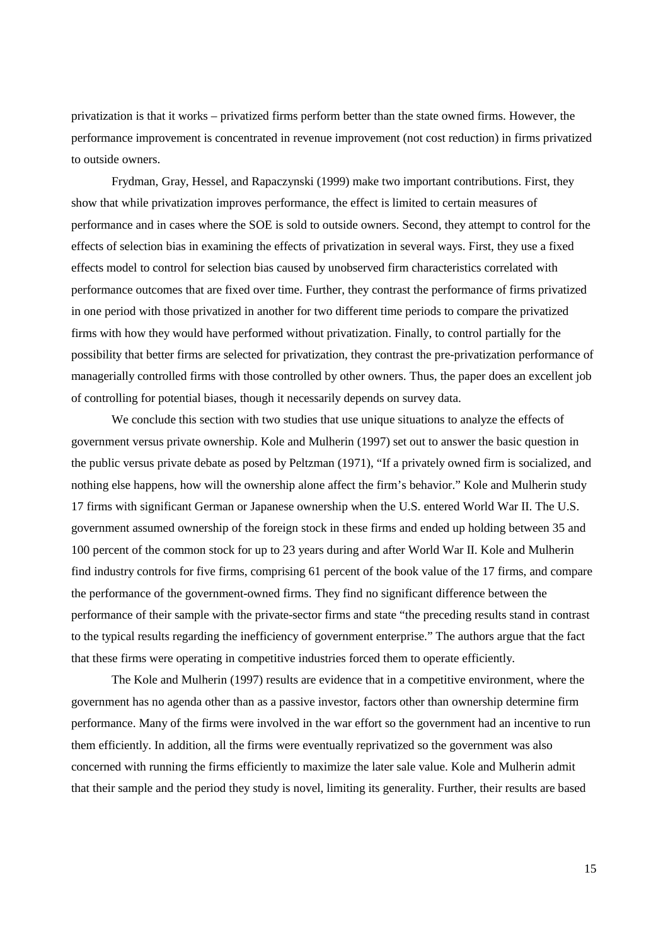privatization is that it works – privatized firms perform better than the state owned firms. However, the performance improvement is concentrated in revenue improvement (not cost reduction) in firms privatized to outside owners.

Frydman, Gray, Hessel, and Rapaczynski (1999) make two important contributions. First, they show that while privatization improves performance, the effect is limited to certain measures of performance and in cases where the SOE is sold to outside owners. Second, they attempt to control for the effects of selection bias in examining the effects of privatization in several ways. First, they use a fixed effects model to control for selection bias caused by unobserved firm characteristics correlated with performance outcomes that are fixed over time. Further, they contrast the performance of firms privatized in one period with those privatized in another for two different time periods to compare the privatized firms with how they would have performed without privatization. Finally, to control partially for the possibility that better firms are selected for privatization, they contrast the pre-privatization performance of managerially controlled firms with those controlled by other owners. Thus, the paper does an excellent job of controlling for potential biases, though it necessarily depends on survey data.

We conclude this section with two studies that use unique situations to analyze the effects of government versus private ownership. Kole and Mulherin (1997) set out to answer the basic question in the public versus private debate as posed by Peltzman (1971), "If a privately owned firm is socialized, and nothing else happens, how will the ownership alone affect the firm's behavior." Kole and Mulherin study 17 firms with significant German or Japanese ownership when the U.S. entered World War II. The U.S. government assumed ownership of the foreign stock in these firms and ended up holding between 35 and 100 percent of the common stock for up to 23 years during and after World War II. Kole and Mulherin find industry controls for five firms, comprising 61 percent of the book value of the 17 firms, and compare the performance of the government-owned firms. They find no significant difference between the performance of their sample with the private-sector firms and state "the preceding results stand in contrast to the typical results regarding the inefficiency of government enterprise." The authors argue that the fact that these firms were operating in competitive industries forced them to operate efficiently.

The Kole and Mulherin (1997) results are evidence that in a competitive environment, where the government has no agenda other than as a passive investor, factors other than ownership determine firm performance. Many of the firms were involved in the war effort so the government had an incentive to run them efficiently. In addition, all the firms were eventually reprivatized so the government was also concerned with running the firms efficiently to maximize the later sale value. Kole and Mulherin admit that their sample and the period they study is novel, limiting its generality. Further, their results are based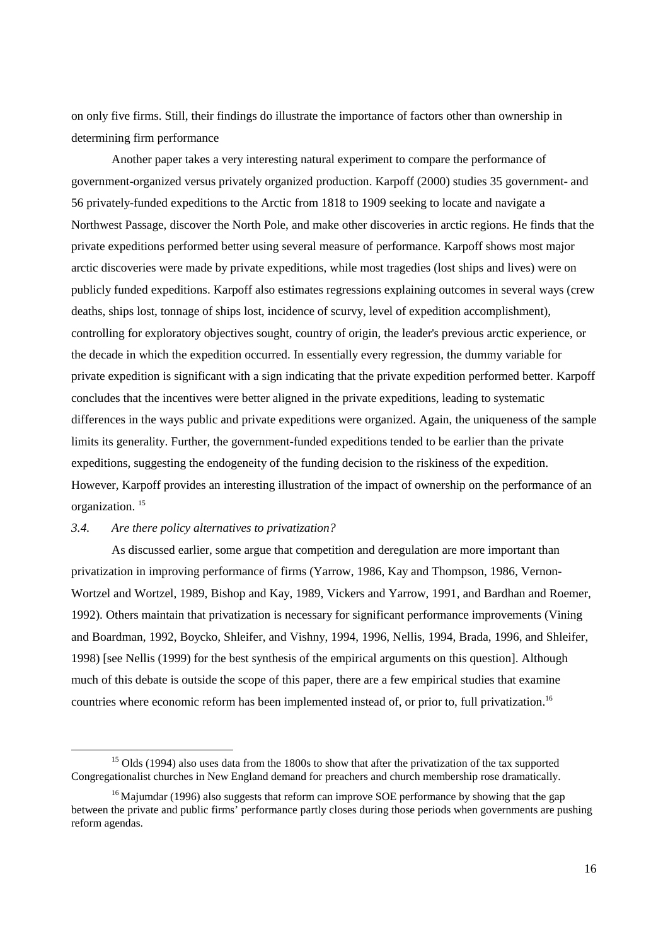on only five firms. Still, their findings do illustrate the importance of factors other than ownership in determining firm performance

Another paper takes a very interesting natural experiment to compare the performance of government-organized versus privately organized production. Karpoff (2000) studies 35 government- and 56 privately-funded expeditions to the Arctic from 1818 to 1909 seeking to locate and navigate a Northwest Passage, discover the North Pole, and make other discoveries in arctic regions. He finds that the private expeditions performed better using several measure of performance. Karpoff shows most major arctic discoveries were made by private expeditions, while most tragedies (lost ships and lives) were on publicly funded expeditions. Karpoff also estimates regressions explaining outcomes in several ways (crew deaths, ships lost, tonnage of ships lost, incidence of scurvy, level of expedition accomplishment), controlling for exploratory objectives sought, country of origin, the leader's previous arctic experience, or the decade in which the expedition occurred. In essentially every regression, the dummy variable for private expedition is significant with a sign indicating that the private expedition performed better. Karpoff concludes that the incentives were better aligned in the private expeditions, leading to systematic differences in the ways public and private expeditions were organized. Again, the uniqueness of the sample limits its generality. Further, the government-funded expeditions tended to be earlier than the private expeditions, suggesting the endogeneity of the funding decision to the riskiness of the expedition. However, Karpoff provides an interesting illustration of the impact of ownership on the performance of an organization. <sup>15</sup>

### *3.4. Are there policy alternatives to privatization?*

As discussed earlier, some argue that competition and deregulation are more important than privatization in improving performance of firms (Yarrow, 1986, Kay and Thompson, 1986, Vernon-Wortzel and Wortzel, 1989, Bishop and Kay, 1989, Vickers and Yarrow, 1991, and Bardhan and Roemer, 1992). Others maintain that privatization is necessary for significant performance improvements (Vining and Boardman, 1992, Boycko, Shleifer, and Vishny, 1994, 1996, Nellis, 1994, Brada, 1996, and Shleifer, 1998) [see Nellis (1999) for the best synthesis of the empirical arguments on this question]. Although much of this debate is outside the scope of this paper, there are a few empirical studies that examine countries where economic reform has been implemented instead of, or prior to, full privatization.<sup>16</sup>

<sup>&</sup>lt;sup>15</sup> Olds (1994) also uses data from the 1800s to show that after the privatization of the tax supported Congregationalist churches in New England demand for preachers and church membership rose dramatically.

<sup>&</sup>lt;sup>16</sup> Majumdar (1996) also suggests that reform can improve SOE performance by showing that the gap between the private and public firms' performance partly closes during those periods when governments are pushing reform agendas.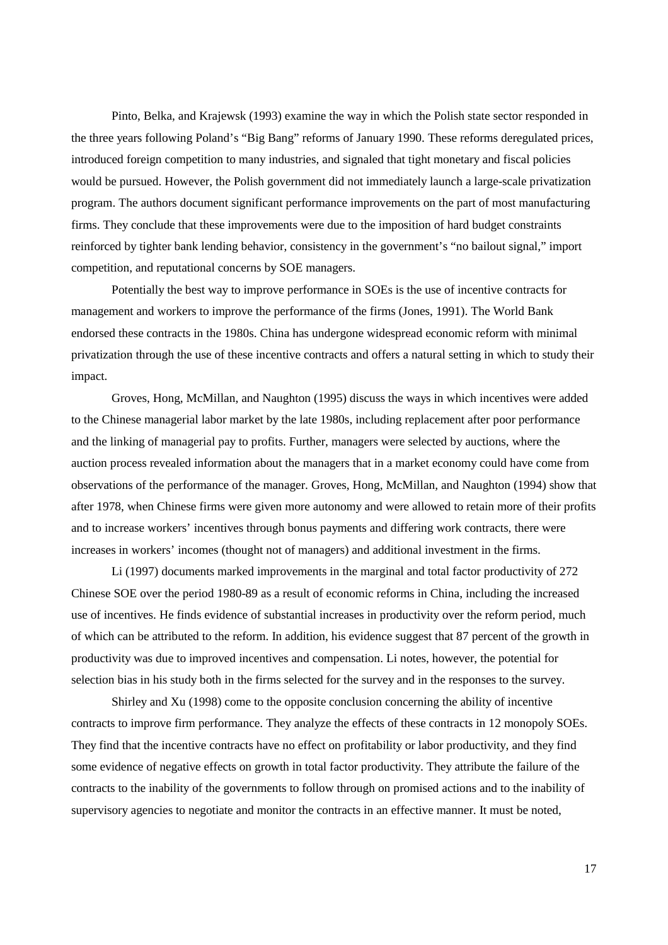Pinto, Belka, and Krajewsk (1993) examine the way in which the Polish state sector responded in the three years following Poland's "Big Bang" reforms of January 1990. These reforms deregulated prices, introduced foreign competition to many industries, and signaled that tight monetary and fiscal policies would be pursued. However, the Polish government did not immediately launch a large-scale privatization program. The authors document significant performance improvements on the part of most manufacturing firms. They conclude that these improvements were due to the imposition of hard budget constraints reinforced by tighter bank lending behavior, consistency in the government's "no bailout signal," import competition, and reputational concerns by SOE managers.

Potentially the best way to improve performance in SOEs is the use of incentive contracts for management and workers to improve the performance of the firms (Jones, 1991). The World Bank endorsed these contracts in the 1980s. China has undergone widespread economic reform with minimal privatization through the use of these incentive contracts and offers a natural setting in which to study their impact.

Groves, Hong, McMillan, and Naughton (1995) discuss the ways in which incentives were added to the Chinese managerial labor market by the late 1980s, including replacement after poor performance and the linking of managerial pay to profits. Further, managers were selected by auctions, where the auction process revealed information about the managers that in a market economy could have come from observations of the performance of the manager. Groves, Hong, McMillan, and Naughton (1994) show that after 1978, when Chinese firms were given more autonomy and were allowed to retain more of their profits and to increase workers' incentives through bonus payments and differing work contracts, there were increases in workers' incomes (thought not of managers) and additional investment in the firms.

Li (1997) documents marked improvements in the marginal and total factor productivity of 272 Chinese SOE over the period 1980-89 as a result of economic reforms in China, including the increased use of incentives. He finds evidence of substantial increases in productivity over the reform period, much of which can be attributed to the reform. In addition, his evidence suggest that 87 percent of the growth in productivity was due to improved incentives and compensation. Li notes, however, the potential for selection bias in his study both in the firms selected for the survey and in the responses to the survey.

Shirley and Xu (1998) come to the opposite conclusion concerning the ability of incentive contracts to improve firm performance. They analyze the effects of these contracts in 12 monopoly SOEs. They find that the incentive contracts have no effect on profitability or labor productivity, and they find some evidence of negative effects on growth in total factor productivity. They attribute the failure of the contracts to the inability of the governments to follow through on promised actions and to the inability of supervisory agencies to negotiate and monitor the contracts in an effective manner. It must be noted,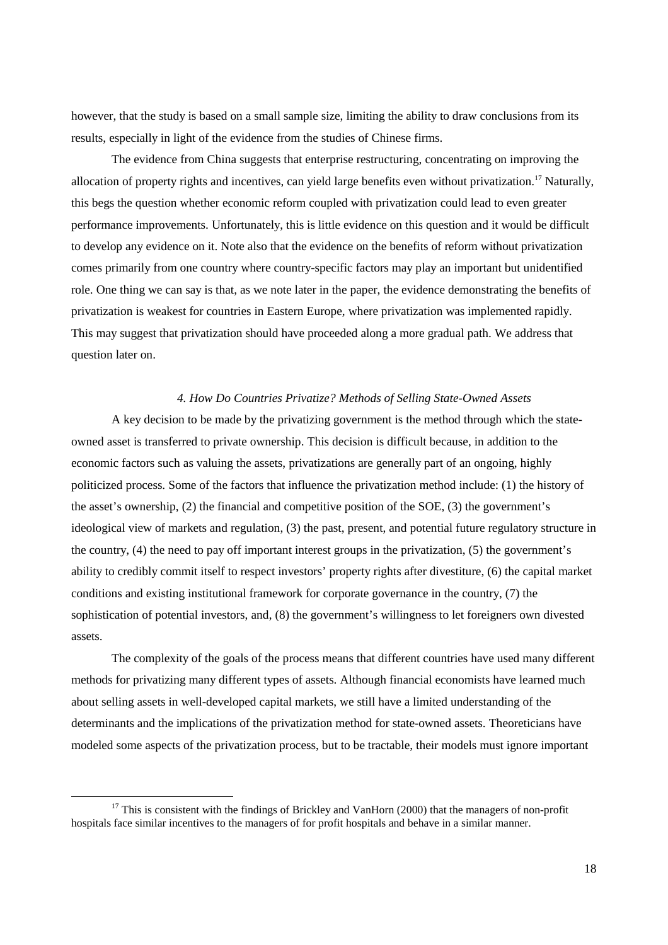however, that the study is based on a small sample size, limiting the ability to draw conclusions from its results, especially in light of the evidence from the studies of Chinese firms.

The evidence from China suggests that enterprise restructuring, concentrating on improving the allocation of property rights and incentives, can yield large benefits even without privatization.<sup>17</sup> Naturally, this begs the question whether economic reform coupled with privatization could lead to even greater performance improvements. Unfortunately, this is little evidence on this question and it would be difficult to develop any evidence on it. Note also that the evidence on the benefits of reform without privatization comes primarily from one country where country-specific factors may play an important but unidentified role. One thing we can say is that, as we note later in the paper, the evidence demonstrating the benefits of privatization is weakest for countries in Eastern Europe, where privatization was implemented rapidly. This may suggest that privatization should have proceeded along a more gradual path. We address that question later on.

# *4. How Do Countries Privatize? Methods of Selling State-Owned Assets*

A key decision to be made by the privatizing government is the method through which the stateowned asset is transferred to private ownership. This decision is difficult because, in addition to the economic factors such as valuing the assets, privatizations are generally part of an ongoing, highly politicized process. Some of the factors that influence the privatization method include: (1) the history of the asset's ownership, (2) the financial and competitive position of the SOE, (3) the government's ideological view of markets and regulation, (3) the past, present, and potential future regulatory structure in the country, (4) the need to pay off important interest groups in the privatization, (5) the government's ability to credibly commit itself to respect investors' property rights after divestiture, (6) the capital market conditions and existing institutional framework for corporate governance in the country, (7) the sophistication of potential investors, and, (8) the government's willingness to let foreigners own divested assets.

The complexity of the goals of the process means that different countries have used many different methods for privatizing many different types of assets. Although financial economists have learned much about selling assets in well-developed capital markets, we still have a limited understanding of the determinants and the implications of the privatization method for state-owned assets. Theoreticians have modeled some aspects of the privatization process, but to be tractable, their models must ignore important

 $17$  This is consistent with the findings of Brickley and VanHorn (2000) that the managers of non-profit hospitals face similar incentives to the managers of for profit hospitals and behave in a similar manner.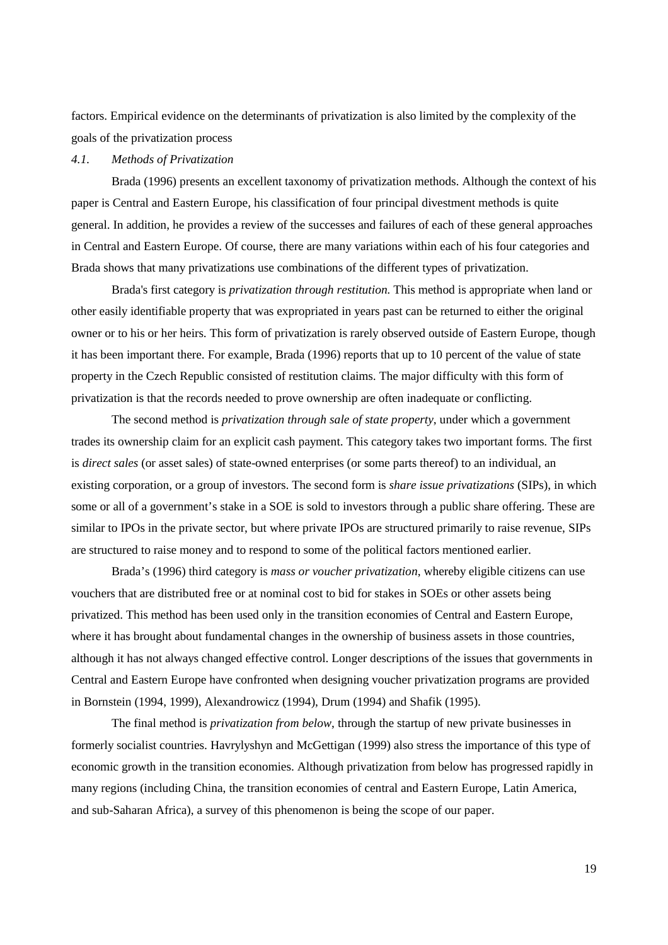factors. Empirical evidence on the determinants of privatization is also limited by the complexity of the goals of the privatization process

#### *4.1. Methods of Privatization*

Brada (1996) presents an excellent taxonomy of privatization methods. Although the context of his paper is Central and Eastern Europe, his classification of four principal divestment methods is quite general. In addition, he provides a review of the successes and failures of each of these general approaches in Central and Eastern Europe. Of course, there are many variations within each of his four categories and Brada shows that many privatizations use combinations of the different types of privatization.

Brada's first category is *privatization through restitution.* This method is appropriate when land or other easily identifiable property that was expropriated in years past can be returned to either the original owner or to his or her heirs. This form of privatization is rarely observed outside of Eastern Europe, though it has been important there. For example, Brada (1996) reports that up to 10 percent of the value of state property in the Czech Republic consisted of restitution claims. The major difficulty with this form of privatization is that the records needed to prove ownership are often inadequate or conflicting.

The second method is *privatization through sale of state property*, under which a government trades its ownership claim for an explicit cash payment. This category takes two important forms. The first is *direct sales* (or asset sales) of state-owned enterprises (or some parts thereof) to an individual, an existing corporation, or a group of investors. The second form is *share issue privatizations* (SIPs), in which some or all of a government's stake in a SOE is sold to investors through a public share offering. These are similar to IPOs in the private sector, but where private IPOs are structured primarily to raise revenue, SIPs are structured to raise money and to respond to some of the political factors mentioned earlier.

Brada's (1996) third category is *mass or voucher privatization*, whereby eligible citizens can use vouchers that are distributed free or at nominal cost to bid for stakes in SOEs or other assets being privatized. This method has been used only in the transition economies of Central and Eastern Europe, where it has brought about fundamental changes in the ownership of business assets in those countries, although it has not always changed effective control. Longer descriptions of the issues that governments in Central and Eastern Europe have confronted when designing voucher privatization programs are provided in Bornstein (1994, 1999), Alexandrowicz (1994), Drum (1994) and Shafik (1995).

The final method is *privatization from below*, through the startup of new private businesses in formerly socialist countries. Havrylyshyn and McGettigan (1999) also stress the importance of this type of economic growth in the transition economies. Although privatization from below has progressed rapidly in many regions (including China, the transition economies of central and Eastern Europe, Latin America, and sub-Saharan Africa), a survey of this phenomenon is being the scope of our paper.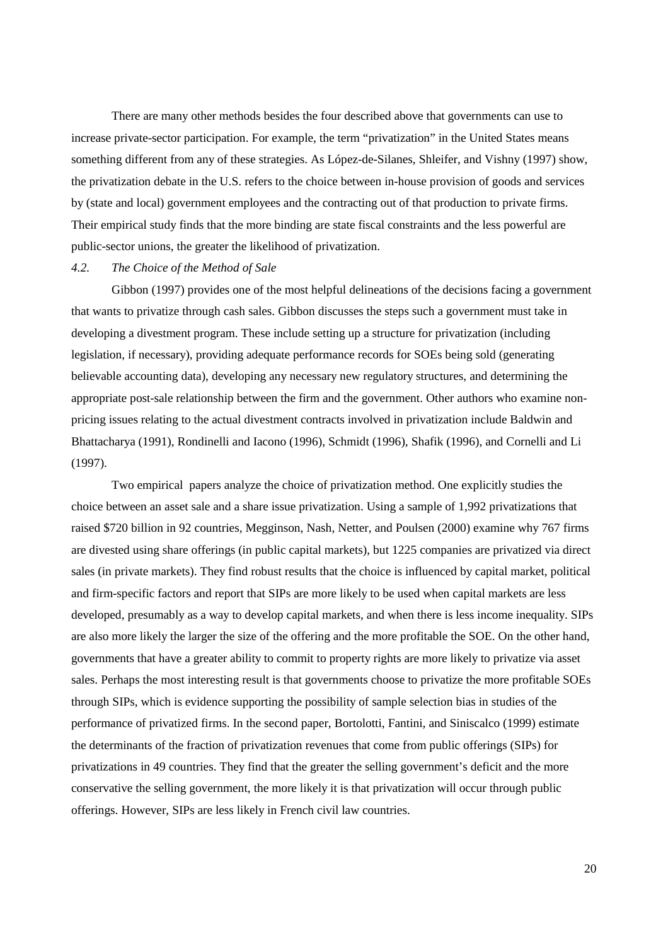There are many other methods besides the four described above that governments can use to increase private-sector participation. For example, the term "privatization" in the United States means something different from any of these strategies. As López-de-Silanes, Shleifer, and Vishny (1997) show, the privatization debate in the U.S. refers to the choice between in-house provision of goods and services by (state and local) government employees and the contracting out of that production to private firms. Their empirical study finds that the more binding are state fiscal constraints and the less powerful are public-sector unions, the greater the likelihood of privatization.

### *4.2. The Choice of the Method of Sale*

Gibbon (1997) provides one of the most helpful delineations of the decisions facing a government that wants to privatize through cash sales. Gibbon discusses the steps such a government must take in developing a divestment program. These include setting up a structure for privatization (including legislation, if necessary), providing adequate performance records for SOEs being sold (generating believable accounting data), developing any necessary new regulatory structures, and determining the appropriate post-sale relationship between the firm and the government. Other authors who examine nonpricing issues relating to the actual divestment contracts involved in privatization include Baldwin and Bhattacharya (1991), Rondinelli and Iacono (1996), Schmidt (1996), Shafik (1996), and Cornelli and Li (1997).

Two empirical papers analyze the choice of privatization method. One explicitly studies the choice between an asset sale and a share issue privatization. Using a sample of 1,992 privatizations that raised \$720 billion in 92 countries, Megginson, Nash, Netter, and Poulsen (2000) examine why 767 firms are divested using share offerings (in public capital markets), but 1225 companies are privatized via direct sales (in private markets). They find robust results that the choice is influenced by capital market, political and firm-specific factors and report that SIPs are more likely to be used when capital markets are less developed, presumably as a way to develop capital markets, and when there is less income inequality. SIPs are also more likely the larger the size of the offering and the more profitable the SOE. On the other hand, governments that have a greater ability to commit to property rights are more likely to privatize via asset sales. Perhaps the most interesting result is that governments choose to privatize the more profitable SOEs through SIPs, which is evidence supporting the possibility of sample selection bias in studies of the performance of privatized firms. In the second paper, Bortolotti, Fantini, and Siniscalco (1999) estimate the determinants of the fraction of privatization revenues that come from public offerings (SIPs) for privatizations in 49 countries. They find that the greater the selling government's deficit and the more conservative the selling government, the more likely it is that privatization will occur through public offerings. However, SIPs are less likely in French civil law countries.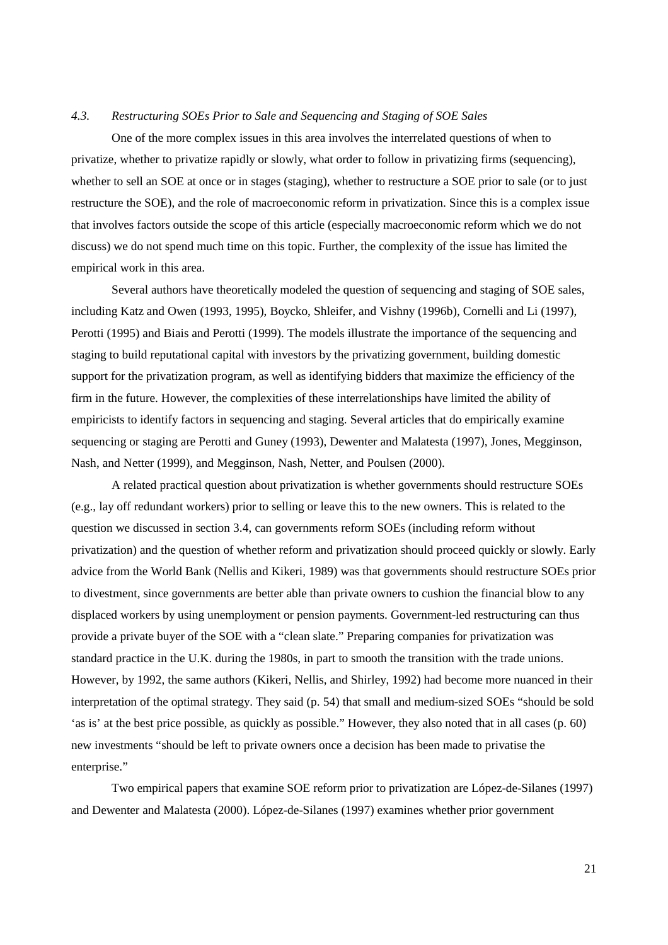### *4.3. Restructuring SOEs Prior to Sale and Sequencing and Staging of SOE Sales*

One of the more complex issues in this area involves the interrelated questions of when to privatize, whether to privatize rapidly or slowly, what order to follow in privatizing firms (sequencing), whether to sell an SOE at once or in stages (staging), whether to restructure a SOE prior to sale (or to just restructure the SOE), and the role of macroeconomic reform in privatization. Since this is a complex issue that involves factors outside the scope of this article (especially macroeconomic reform which we do not discuss) we do not spend much time on this topic. Further, the complexity of the issue has limited the empirical work in this area.

Several authors have theoretically modeled the question of sequencing and staging of SOE sales, including Katz and Owen (1993, 1995), Boycko, Shleifer, and Vishny (1996b), Cornelli and Li (1997), Perotti (1995) and Biais and Perotti (1999). The models illustrate the importance of the sequencing and staging to build reputational capital with investors by the privatizing government, building domestic support for the privatization program, as well as identifying bidders that maximize the efficiency of the firm in the future. However, the complexities of these interrelationships have limited the ability of empiricists to identify factors in sequencing and staging. Several articles that do empirically examine sequencing or staging are Perotti and Guney (1993), Dewenter and Malatesta (1997), Jones, Megginson, Nash, and Netter (1999), and Megginson, Nash, Netter, and Poulsen (2000).

A related practical question about privatization is whether governments should restructure SOEs (e.g., lay off redundant workers) prior to selling or leave this to the new owners. This is related to the question we discussed in section 3.4, can governments reform SOEs (including reform without privatization) and the question of whether reform and privatization should proceed quickly or slowly. Early advice from the World Bank (Nellis and Kikeri, 1989) was that governments should restructure SOEs prior to divestment, since governments are better able than private owners to cushion the financial blow to any displaced workers by using unemployment or pension payments. Government-led restructuring can thus provide a private buyer of the SOE with a "clean slate." Preparing companies for privatization was standard practice in the U.K. during the 1980s, in part to smooth the transition with the trade unions. However, by 1992, the same authors (Kikeri, Nellis, and Shirley, 1992) had become more nuanced in their interpretation of the optimal strategy. They said (p. 54) that small and medium-sized SOEs "should be sold 'as is' at the best price possible, as quickly as possible." However, they also noted that in all cases (p. 60) new investments "should be left to private owners once a decision has been made to privatise the enterprise."

Two empirical papers that examine SOE reform prior to privatization are López-de-Silanes (1997) and Dewenter and Malatesta (2000). López-de-Silanes (1997) examines whether prior government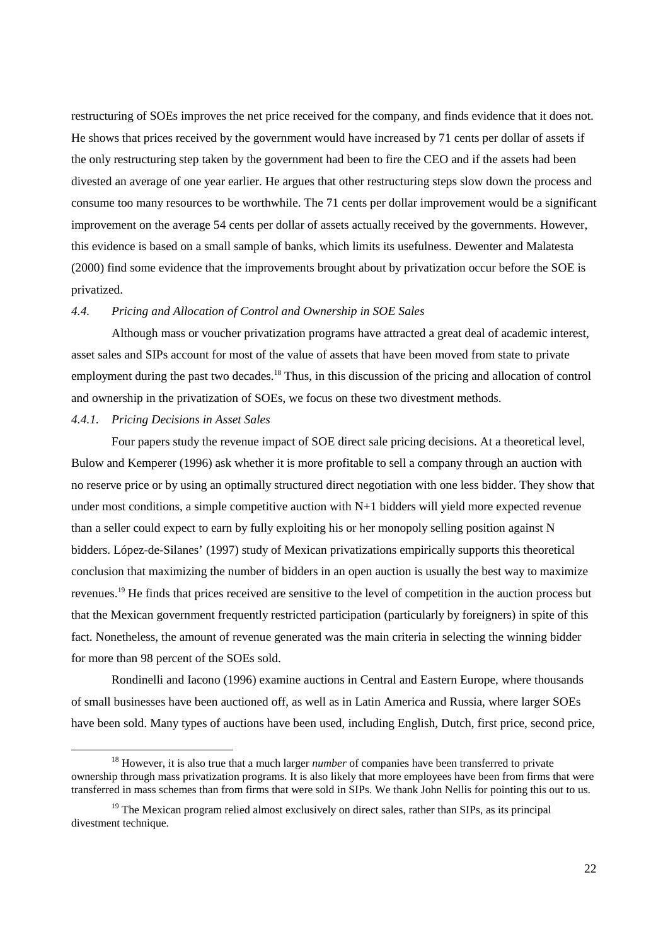restructuring of SOEs improves the net price received for the company, and finds evidence that it does not. He shows that prices received by the government would have increased by 71 cents per dollar of assets if the only restructuring step taken by the government had been to fire the CEO and if the assets had been divested an average of one year earlier. He argues that other restructuring steps slow down the process and consume too many resources to be worthwhile. The 71 cents per dollar improvement would be a significant improvement on the average 54 cents per dollar of assets actually received by the governments. However, this evidence is based on a small sample of banks, which limits its usefulness. Dewenter and Malatesta (2000) find some evidence that the improvements brought about by privatization occur before the SOE is privatized.

#### *4.4. Pricing and Allocation of Control and Ownership in SOE Sales*

Although mass or voucher privatization programs have attracted a great deal of academic interest, asset sales and SIPs account for most of the value of assets that have been moved from state to private employment during the past two decades.<sup>18</sup> Thus, in this discussion of the pricing and allocation of control and ownership in the privatization of SOEs, we focus on these two divestment methods.

# *4.4.1. Pricing Decisions in Asset Sales*

Four papers study the revenue impact of SOE direct sale pricing decisions. At a theoretical level, Bulow and Kemperer (1996) ask whether it is more profitable to sell a company through an auction with no reserve price or by using an optimally structured direct negotiation with one less bidder. They show that under most conditions, a simple competitive auction with N+1 bidders will yield more expected revenue than a seller could expect to earn by fully exploiting his or her monopoly selling position against N bidders. López-de-Silanes' (1997) study of Mexican privatizations empirically supports this theoretical conclusion that maximizing the number of bidders in an open auction is usually the best way to maximize revenues.<sup>19</sup> He finds that prices received are sensitive to the level of competition in the auction process but that the Mexican government frequently restricted participation (particularly by foreigners) in spite of this fact. Nonetheless, the amount of revenue generated was the main criteria in selecting the winning bidder for more than 98 percent of the SOEs sold.

Rondinelli and Iacono (1996) examine auctions in Central and Eastern Europe, where thousands of small businesses have been auctioned off, as well as in Latin America and Russia, where larger SOEs have been sold. Many types of auctions have been used, including English, Dutch, first price, second price,

<sup>&</sup>lt;sup>18</sup> However, it is also true that a much larger *number* of companies have been transferred to private ownership through mass privatization programs. It is also likely that more employees have been from firms that were transferred in mass schemes than from firms that were sold in SIPs. We thank John Nellis for pointing this out to us.

 $19$  The Mexican program relied almost exclusively on direct sales, rather than SIPs, as its principal divestment technique.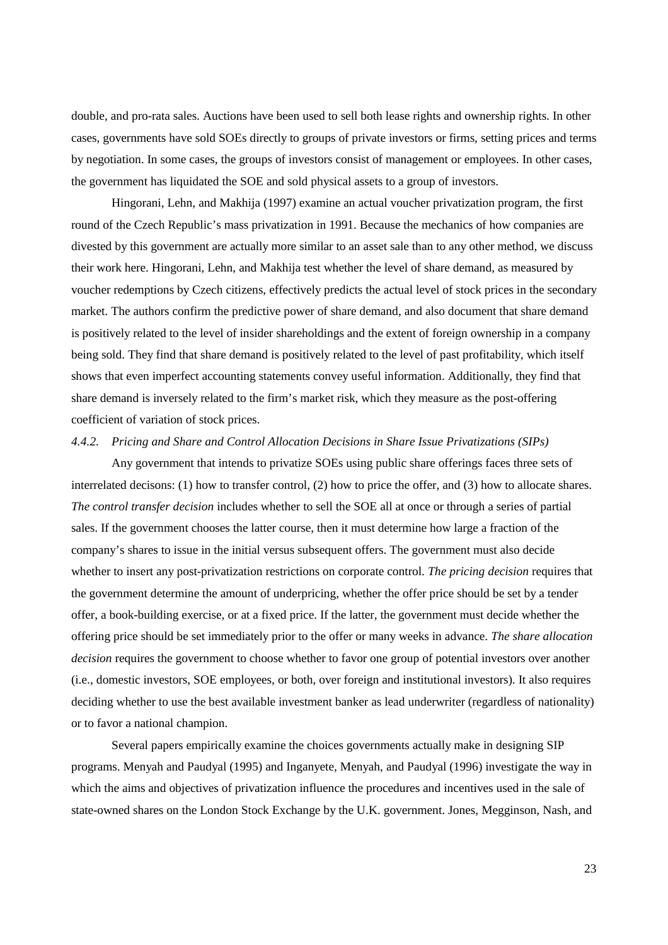double, and pro-rata sales. Auctions have been used to sell both lease rights and ownership rights. In other cases, governments have sold SOEs directly to groups of private investors or firms, setting prices and terms by negotiation. In some cases, the groups of investors consist of management or employees. In other cases, the government has liquidated the SOE and sold physical assets to a group of investors.

Hingorani, Lehn, and Makhija (1997) examine an actual voucher privatization program, the first round of the Czech Republic's mass privatization in 1991. Because the mechanics of how companies are divested by this government are actually more similar to an asset sale than to any other method, we discuss their work here. Hingorani, Lehn, and Makhija test whether the level of share demand, as measured by voucher redemptions by Czech citizens, effectively predicts the actual level of stock prices in the secondary market. The authors confirm the predictive power of share demand, and also document that share demand is positively related to the level of insider shareholdings and the extent of foreign ownership in a company being sold. They find that share demand is positively related to the level of past profitability, which itself shows that even imperfect accounting statements convey useful information. Additionally, they find that share demand is inversely related to the firm's market risk, which they measure as the post-offering coefficient of variation of stock prices.

#### *4.4.2. Pricing and Share and Control Allocation Decisions in Share Issue Privatizations (SIPs)*

Any government that intends to privatize SOEs using public share offerings faces three sets of interrelated decisons: (1) how to transfer control, (2) how to price the offer, and (3) how to allocate shares. *The control transfer decision* includes whether to sell the SOE all at once or through a series of partial sales. If the government chooses the latter course, then it must determine how large a fraction of the company's shares to issue in the initial versus subsequent offers. The government must also decide whether to insert any post-privatization restrictions on corporate control. *The pricing decision* requires that the government determine the amount of underpricing, whether the offer price should be set by a tender offer, a book-building exercise, or at a fixed price. If the latter, the government must decide whether the offering price should be set immediately prior to the offer or many weeks in advance. *The share allocation decision* requires the government to choose whether to favor one group of potential investors over another (i.e., domestic investors, SOE employees, or both, over foreign and institutional investors). It also requires deciding whether to use the best available investment banker as lead underwriter (regardless of nationality) or to favor a national champion.

Several papers empirically examine the choices governments actually make in designing SIP programs. Menyah and Paudyal (1995) and Inganyete, Menyah, and Paudyal (1996) investigate the way in which the aims and objectives of privatization influence the procedures and incentives used in the sale of state-owned shares on the London Stock Exchange by the U.K. government. Jones, Megginson, Nash, and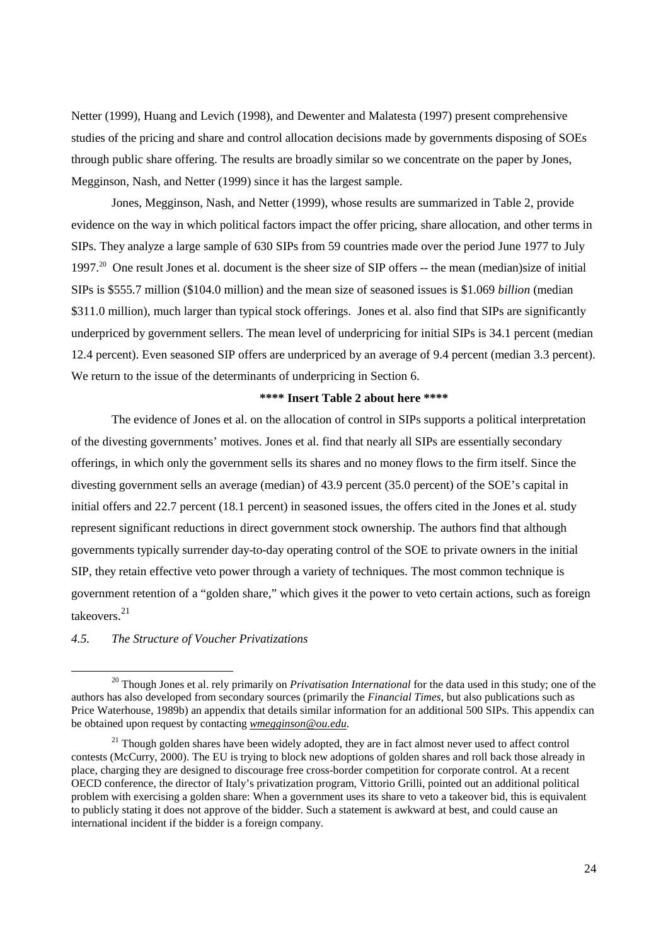Netter (1999), Huang and Levich (1998), and Dewenter and Malatesta (1997) present comprehensive studies of the pricing and share and control allocation decisions made by governments disposing of SOEs through public share offering. The results are broadly similar so we concentrate on the paper by Jones, Megginson, Nash, and Netter (1999) since it has the largest sample.

Jones, Megginson, Nash, and Netter (1999), whose results are summarized in Table 2, provide evidence on the way in which political factors impact the offer pricing, share allocation, and other terms in SIPs. They analyze a large sample of 630 SIPs from 59 countries made over the period June 1977 to July 1997.<sup>20</sup> One result Jones et al. document is the sheer size of SIP offers -- the mean (median)size of initial SIPs is \$555.7 million (\$104.0 million) and the mean size of seasoned issues is \$1.069 *billion* (median \$311.0 million), much larger than typical stock offerings. Jones et al. also find that SIPs are significantly underpriced by government sellers. The mean level of underpricing for initial SIPs is 34.1 percent (median 12.4 percent). Even seasoned SIP offers are underpriced by an average of 9.4 percent (median 3.3 percent). We return to the issue of the determinants of underpricing in Section 6.

# **\*\*\*\* Insert Table 2 about here \*\*\*\***

The evidence of Jones et al. on the allocation of control in SIPs supports a political interpretation of the divesting governments' motives. Jones et al. find that nearly all SIPs are essentially secondary offerings, in which only the government sells its shares and no money flows to the firm itself. Since the divesting government sells an average (median) of 43.9 percent (35.0 percent) of the SOE's capital in initial offers and 22.7 percent (18.1 percent) in seasoned issues, the offers cited in the Jones et al. study represent significant reductions in direct government stock ownership. The authors find that although governments typically surrender day-to-day operating control of the SOE to private owners in the initial SIP, they retain effective veto power through a variety of techniques. The most common technique is government retention of a "golden share," which gives it the power to veto certain actions, such as foreign takeovers. 21

*4.5. The Structure of Voucher Privatizations*

<sup>20</sup> Though Jones et al. rely primarily on *Privatisation International* for the data used in this study; one of the authors has also developed from secondary sources (primarily the *Financial Times*, but also publications such as Price Waterhouse, 1989b) an appendix that details similar information for an additional 500 SIPs. This appendix can be obtained upon request by contacting *wmegginson@ou.edu*.

 $21$  Though golden shares have been widely adopted, they are in fact almost never used to affect control contests (McCurry, 2000). The EU is trying to block new adoptions of golden shares and roll back those already in place, charging they are designed to discourage free cross-border competition for corporate control. At a recent OECD conference, the director of Italy's privatization program, Vittorio Grilli, pointed out an additional political problem with exercising a golden share: When a government uses its share to veto a takeover bid, this is equivalent to publicly stating it does not approve of the bidder. Such a statement is awkward at best, and could cause an international incident if the bidder is a foreign company.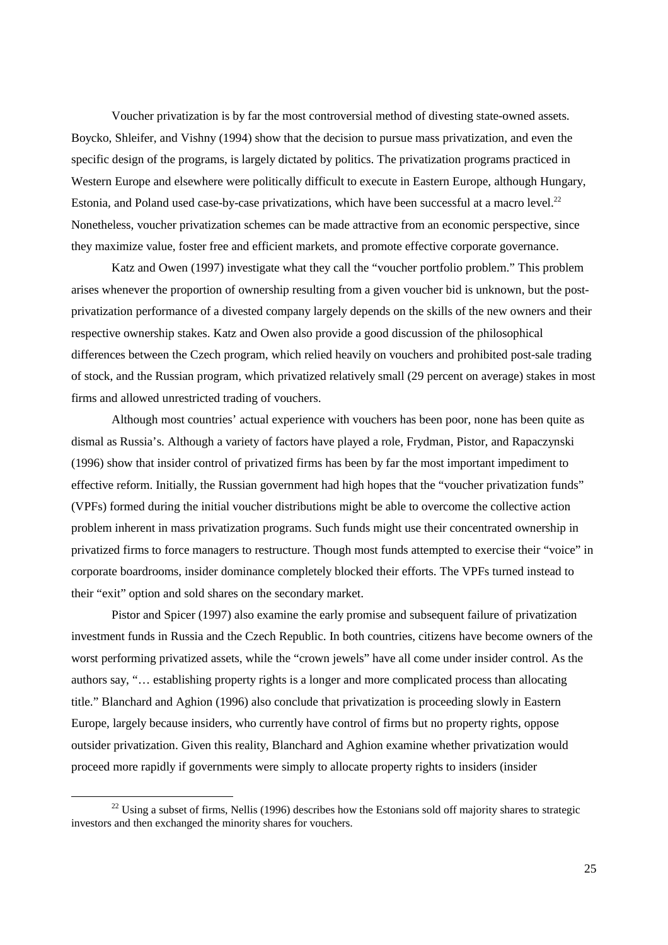Voucher privatization is by far the most controversial method of divesting state-owned assets. Boycko, Shleifer, and Vishny (1994) show that the decision to pursue mass privatization, and even the specific design of the programs, is largely dictated by politics. The privatization programs practiced in Western Europe and elsewhere were politically difficult to execute in Eastern Europe, although Hungary, Estonia, and Poland used case-by-case privatizations, which have been successful at a macro level. $^{22}$ Nonetheless, voucher privatization schemes can be made attractive from an economic perspective, since they maximize value, foster free and efficient markets, and promote effective corporate governance.

Katz and Owen (1997) investigate what they call the "voucher portfolio problem." This problem arises whenever the proportion of ownership resulting from a given voucher bid is unknown, but the postprivatization performance of a divested company largely depends on the skills of the new owners and their respective ownership stakes. Katz and Owen also provide a good discussion of the philosophical differences between the Czech program, which relied heavily on vouchers and prohibited post-sale trading of stock, and the Russian program, which privatized relatively small (29 percent on average) stakes in most firms and allowed unrestricted trading of vouchers.

Although most countries' actual experience with vouchers has been poor, none has been quite as dismal as Russia's. Although a variety of factors have played a role, Frydman, Pistor, and Rapaczynski (1996) show that insider control of privatized firms has been by far the most important impediment to effective reform. Initially, the Russian government had high hopes that the "voucher privatization funds" (VPFs) formed during the initial voucher distributions might be able to overcome the collective action problem inherent in mass privatization programs. Such funds might use their concentrated ownership in privatized firms to force managers to restructure. Though most funds attempted to exercise their "voice" in corporate boardrooms, insider dominance completely blocked their efforts. The VPFs turned instead to their "exit" option and sold shares on the secondary market.

Pistor and Spicer (1997) also examine the early promise and subsequent failure of privatization investment funds in Russia and the Czech Republic. In both countries, citizens have become owners of the worst performing privatized assets, while the "crown jewels" have all come under insider control. As the authors say, "… establishing property rights is a longer and more complicated process than allocating title." Blanchard and Aghion (1996) also conclude that privatization is proceeding slowly in Eastern Europe, largely because insiders, who currently have control of firms but no property rights, oppose outsider privatization. Given this reality, Blanchard and Aghion examine whether privatization would proceed more rapidly if governments were simply to allocate property rights to insiders (insider

 $^{22}$  Using a subset of firms, Nellis (1996) describes how the Estonians sold off majority shares to strategic investors and then exchanged the minority shares for vouchers.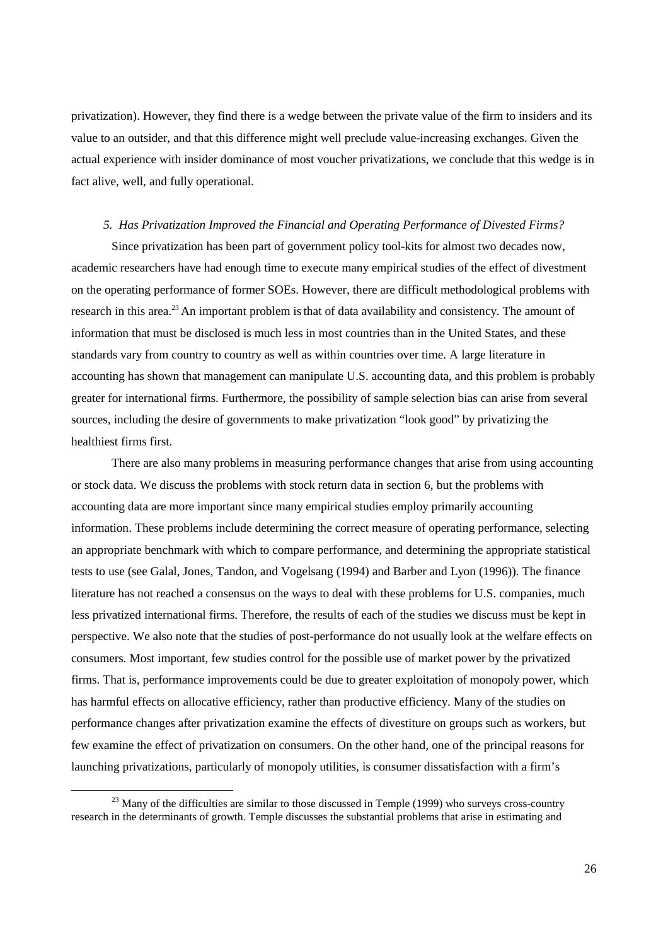privatization). However, they find there is a wedge between the private value of the firm to insiders and its value to an outsider, and that this difference might well preclude value-increasing exchanges. Given the actual experience with insider dominance of most voucher privatizations, we conclude that this wedge is in fact alive, well, and fully operational.

#### *5. Has Privatization Improved the Financial and Operating Performance of Divested Firms?*

Since privatization has been part of government policy tool-kits for almost two decades now, academic researchers have had enough time to execute many empirical studies of the effect of divestment on the operating performance of former SOEs. However, there are difficult methodological problems with research in this area.<sup>23</sup> An important problem is that of data availability and consistency. The amount of information that must be disclosed is much less in most countries than in the United States, and these standards vary from country to country as well as within countries over time. A large literature in accounting has shown that management can manipulate U.S. accounting data, and this problem is probably greater for international firms. Furthermore, the possibility of sample selection bias can arise from several sources, including the desire of governments to make privatization "look good" by privatizing the healthiest firms first.

There are also many problems in measuring performance changes that arise from using accounting or stock data. We discuss the problems with stock return data in section 6, but the problems with accounting data are more important since many empirical studies employ primarily accounting information. These problems include determining the correct measure of operating performance, selecting an appropriate benchmark with which to compare performance, and determining the appropriate statistical tests to use (see Galal, Jones, Tandon, and Vogelsang (1994) and Barber and Lyon (1996)). The finance literature has not reached a consensus on the ways to deal with these problems for U.S. companies, much less privatized international firms. Therefore, the results of each of the studies we discuss must be kept in perspective. We also note that the studies of post-performance do not usually look at the welfare effects on consumers. Most important, few studies control for the possible use of market power by the privatized firms. That is, performance improvements could be due to greater exploitation of monopoly power, which has harmful effects on allocative efficiency, rather than productive efficiency. Many of the studies on performance changes after privatization examine the effects of divestiture on groups such as workers, but few examine the effect of privatization on consumers. On the other hand, one of the principal reasons for launching privatizations, particularly of monopoly utilities, is consumer dissatisfaction with a firm's

 $23$  Many of the difficulties are similar to those discussed in Temple (1999) who surveys cross-country research in the determinants of growth. Temple discusses the substantial problems that arise in estimating and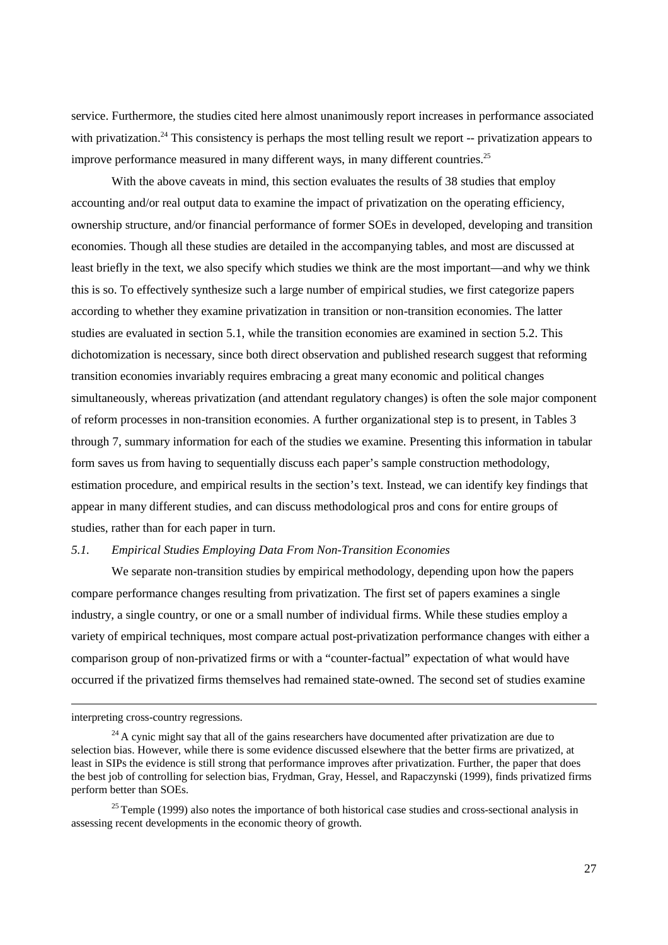service. Furthermore, the studies cited here almost unanimously report increases in performance associated with privatization.<sup>24</sup> This consistency is perhaps the most telling result we report -- privatization appears to improve performance measured in many different ways, in many different countries.<sup>25</sup>

With the above caveats in mind, this section evaluates the results of 38 studies that employ accounting and/or real output data to examine the impact of privatization on the operating efficiency, ownership structure, and/or financial performance of former SOEs in developed, developing and transition economies. Though all these studies are detailed in the accompanying tables, and most are discussed at least briefly in the text, we also specify which studies we think are the most important—and why we think this is so. To effectively synthesize such a large number of empirical studies, we first categorize papers according to whether they examine privatization in transition or non-transition economies. The latter studies are evaluated in section 5.1, while the transition economies are examined in section 5.2. This dichotomization is necessary, since both direct observation and published research suggest that reforming transition economies invariably requires embracing a great many economic and political changes simultaneously, whereas privatization (and attendant regulatory changes) is often the sole major component of reform processes in non-transition economies. A further organizational step is to present, in Tables 3 through 7, summary information for each of the studies we examine. Presenting this information in tabular form saves us from having to sequentially discuss each paper's sample construction methodology, estimation procedure, and empirical results in the section's text. Instead, we can identify key findings that appear in many different studies, and can discuss methodological pros and cons for entire groups of studies, rather than for each paper in turn.

# *5.1. Empirical Studies Employing Data From Non-Transition Economies*

We separate non-transition studies by empirical methodology, depending upon how the papers compare performance changes resulting from privatization. The first set of papers examines a single industry, a single country, or one or a small number of individual firms. While these studies employ a variety of empirical techniques, most compare actual post-privatization performance changes with either a comparison group of non-privatized firms or with a "counter-factual" expectation of what would have occurred if the privatized firms themselves had remained state-owned. The second set of studies examine

interpreting cross-country regressions.

 $24$  A cynic might say that all of the gains researchers have documented after privatization are due to selection bias. However, while there is some evidence discussed elsewhere that the better firms are privatized, at least in SIPs the evidence is still strong that performance improves after privatization. Further, the paper that does the best job of controlling for selection bias, Frydman, Gray, Hessel, and Rapaczynski (1999), finds privatized firms perform better than SOEs.

 $25$  Temple (1999) also notes the importance of both historical case studies and cross-sectional analysis in assessing recent developments in the economic theory of growth.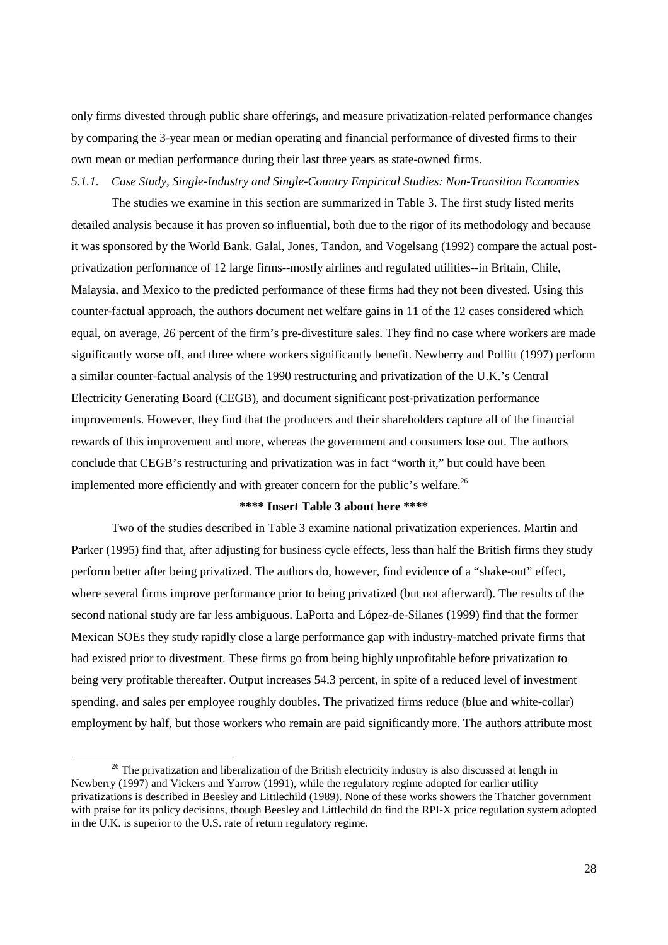only firms divested through public share offerings, and measure privatization-related performance changes by comparing the 3-year mean or median operating and financial performance of divested firms to their own mean or median performance during their last three years as state-owned firms.

#### *5.1.1. Case Study, Single-Industry and Single-Country Empirical Studies: Non-Transition Economies*

The studies we examine in this section are summarized in Table 3. The first study listed merits detailed analysis because it has proven so influential, both due to the rigor of its methodology and because it was sponsored by the World Bank. Galal, Jones, Tandon, and Vogelsang (1992) compare the actual postprivatization performance of 12 large firms--mostly airlines and regulated utilities--in Britain, Chile, Malaysia, and Mexico to the predicted performance of these firms had they not been divested. Using this counter-factual approach, the authors document net welfare gains in 11 of the 12 cases considered which equal, on average, 26 percent of the firm's pre-divestiture sales. They find no case where workers are made significantly worse off, and three where workers significantly benefit. Newberry and Pollitt (1997) perform a similar counter-factual analysis of the 1990 restructuring and privatization of the U.K.'s Central Electricity Generating Board (CEGB), and document significant post-privatization performance improvements. However, they find that the producers and their shareholders capture all of the financial rewards of this improvement and more, whereas the government and consumers lose out. The authors conclude that CEGB's restructuring and privatization was in fact "worth it," but could have been implemented more efficiently and with greater concern for the public's welfare.<sup>26</sup>

### **\*\*\*\* Insert Table 3 about here \*\*\*\***

Two of the studies described in Table 3 examine national privatization experiences. Martin and Parker (1995) find that, after adjusting for business cycle effects, less than half the British firms they study perform better after being privatized. The authors do, however, find evidence of a "shake-out" effect, where several firms improve performance prior to being privatized (but not afterward). The results of the second national study are far less ambiguous. LaPorta and López-de-Silanes (1999) find that the former Mexican SOEs they study rapidly close a large performance gap with industry-matched private firms that had existed prior to divestment. These firms go from being highly unprofitable before privatization to being very profitable thereafter. Output increases 54.3 percent, in spite of a reduced level of investment spending, and sales per employee roughly doubles. The privatized firms reduce (blue and white-collar) employment by half, but those workers who remain are paid significantly more. The authors attribute most

 $26$  The privatization and liberalization of the British electricity industry is also discussed at length in Newberry (1997) and Vickers and Yarrow (1991), while the regulatory regime adopted for earlier utility privatizations is described in Beesley and Littlechild (1989). None of these works showers the Thatcher government with praise for its policy decisions, though Beesley and Littlechild do find the RPI-X price regulation system adopted in the U.K. is superior to the U.S. rate of return regulatory regime.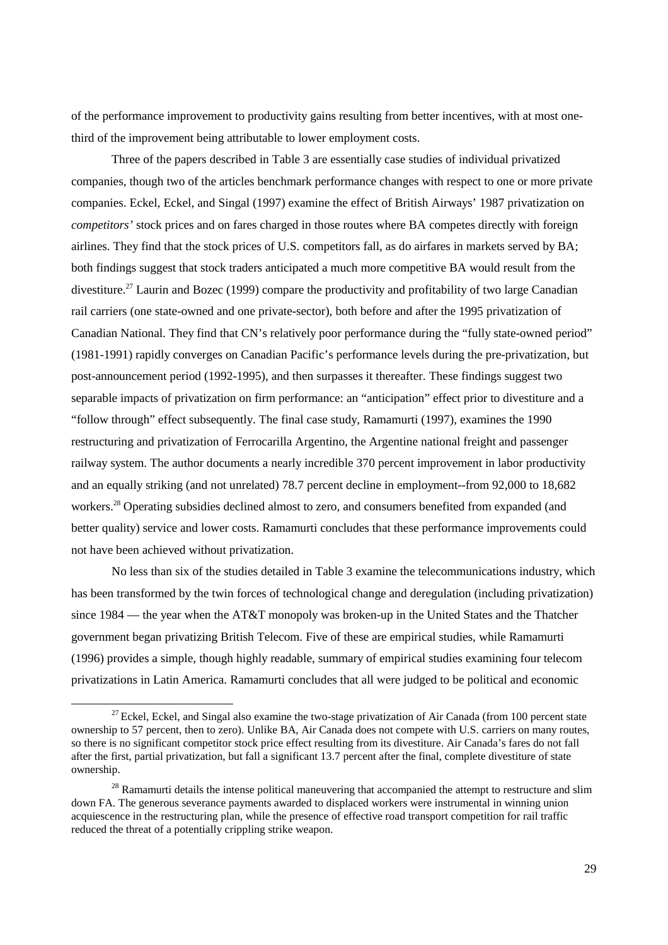of the performance improvement to productivity gains resulting from better incentives, with at most onethird of the improvement being attributable to lower employment costs.

Three of the papers described in Table 3 are essentially case studies of individual privatized companies, though two of the articles benchmark performance changes with respect to one or more private companies. Eckel, Eckel, and Singal (1997) examine the effect of British Airways' 1987 privatization on *competitors'* stock prices and on fares charged in those routes where BA competes directly with foreign airlines. They find that the stock prices of U.S. competitors fall, as do airfares in markets served by BA; both findings suggest that stock traders anticipated a much more competitive BA would result from the divestiture.<sup>27</sup> Laurin and Bozec (1999) compare the productivity and profitability of two large Canadian rail carriers (one state-owned and one private-sector), both before and after the 1995 privatization of Canadian National. They find that CN's relatively poor performance during the "fully state-owned period" (1981-1991) rapidly converges on Canadian Pacific's performance levels during the pre-privatization, but post-announcement period (1992-1995), and then surpasses it thereafter. These findings suggest two separable impacts of privatization on firm performance: an "anticipation" effect prior to divestiture and a "follow through" effect subsequently. The final case study, Ramamurti (1997), examines the 1990 restructuring and privatization of Ferrocarilla Argentino, the Argentine national freight and passenger railway system. The author documents a nearly incredible 370 percent improvement in labor productivity and an equally striking (and not unrelated) 78.7 percent decline in employment--from 92,000 to 18,682 workers.<sup>28</sup> Operating subsidies declined almost to zero, and consumers benefited from expanded (and better quality) service and lower costs. Ramamurti concludes that these performance improvements could not have been achieved without privatization.

No less than six of the studies detailed in Table 3 examine the telecommunications industry, which has been transformed by the twin forces of technological change and deregulation (including privatization) since 1984 — the year when the AT&T monopoly was broken-up in the United States and the Thatcher government began privatizing British Telecom. Five of these are empirical studies, while Ramamurti (1996) provides a simple, though highly readable, summary of empirical studies examining four telecom privatizations in Latin America. Ramamurti concludes that all were judged to be political and economic

 $27$  Eckel, Eckel, and Singal also examine the two-stage privatization of Air Canada (from 100 percent state ownership to 57 percent, then to zero). Unlike BA, Air Canada does not compete with U.S. carriers on many routes, so there is no significant competitor stock price effect resulting from its divestiture. Air Canada's fares do not fall after the first, partial privatization, but fall a significant 13.7 percent after the final, complete divestiture of state ownership.

<sup>&</sup>lt;sup>28</sup> Ramamurti details the intense political maneuvering that accompanied the attempt to restructure and slim down FA. The generous severance payments awarded to displaced workers were instrumental in winning union acquiescence in the restructuring plan, while the presence of effective road transport competition for rail traffic reduced the threat of a potentially crippling strike weapon.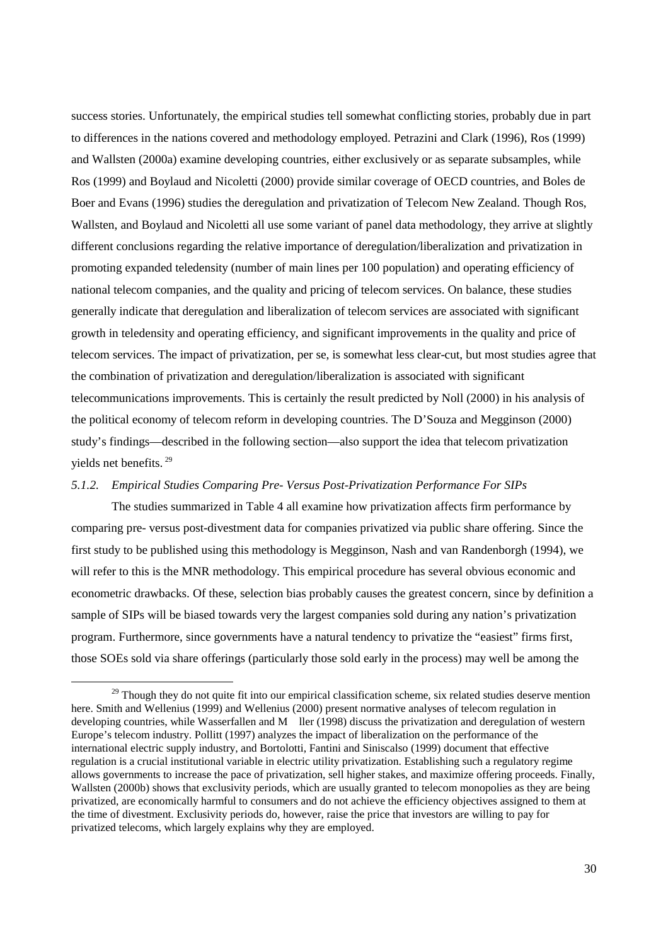success stories. Unfortunately, the empirical studies tell somewhat conflicting stories, probably due in part to differences in the nations covered and methodology employed. Petrazini and Clark (1996), Ros (1999) and Wallsten (2000a) examine developing countries, either exclusively or as separate subsamples, while Ros (1999) and Boylaud and Nicoletti (2000) provide similar coverage of OECD countries, and Boles de Boer and Evans (1996) studies the deregulation and privatization of Telecom New Zealand. Though Ros, Wallsten, and Boylaud and Nicoletti all use some variant of panel data methodology, they arrive at slightly different conclusions regarding the relative importance of deregulation/liberalization and privatization in promoting expanded teledensity (number of main lines per 100 population) and operating efficiency of national telecom companies, and the quality and pricing of telecom services. On balance, these studies generally indicate that deregulation and liberalization of telecom services are associated with significant growth in teledensity and operating efficiency, and significant improvements in the quality and price of telecom services. The impact of privatization, per se, is somewhat less clear-cut, but most studies agree that the combination of privatization and deregulation/liberalization is associated with significant telecommunications improvements. This is certainly the result predicted by Noll (2000) in his analysis of the political economy of telecom reform in developing countries. The D'Souza and Megginson (2000) study's findings—described in the following section—also support the idea that telecom privatization yields net benefits. <sup>29</sup>

### *5.1.2. Empirical Studies Comparing Pre- Versus Post-Privatization Performance For SIPs*

The studies summarized in Table 4 all examine how privatization affects firm performance by comparing pre- versus post-divestment data for companies privatized via public share offering. Since the first study to be published using this methodology is Megginson, Nash and van Randenborgh (1994), we will refer to this is the MNR methodology. This empirical procedure has several obvious economic and econometric drawbacks. Of these, selection bias probably causes the greatest concern, since by definition a sample of SIPs will be biased towards very the largest companies sold during any nation's privatization program. Furthermore, since governments have a natural tendency to privatize the "easiest" firms first, those SOEs sold via share offerings (particularly those sold early in the process) may well be among the

<sup>&</sup>lt;sup>29</sup> Though they do not quite fit into our empirical classification scheme, six related studies deserve mention here. Smith and Wellenius (1999) and Wellenius (2000) present normative analyses of telecom regulation in developing countries, while Wasserfallen and M ller (1998) discuss the privatization and deregulation of western Europe's telecom industry. Pollitt (1997) analyzes the impact of liberalization on the performance of the international electric supply industry, and Bortolotti, Fantini and Siniscalso (1999) document that effective regulation is a crucial institutional variable in electric utility privatization. Establishing such a regulatory regime allows governments to increase the pace of privatization, sell higher stakes, and maximize offering proceeds. Finally, Wallsten (2000b) shows that exclusivity periods, which are usually granted to telecom monopolies as they are being privatized, are economically harmful to consumers and do not achieve the efficiency objectives assigned to them at the time of divestment. Exclusivity periods do, however, raise the price that investors are willing to pay for privatized telecoms, which largely explains why they are employed.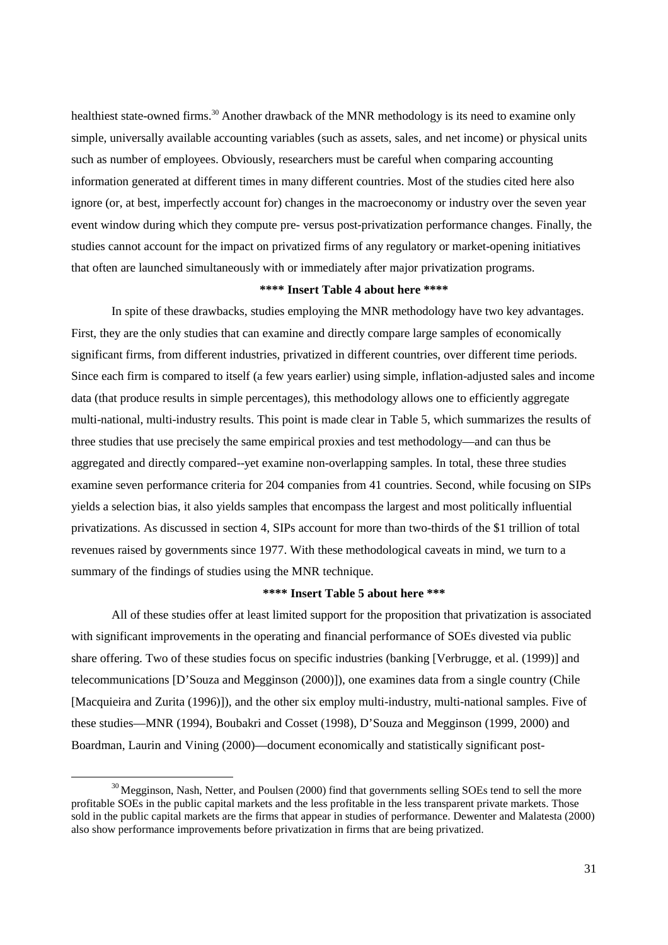healthiest state-owned firms.<sup>30</sup> Another drawback of the MNR methodology is its need to examine only simple, universally available accounting variables (such as assets, sales, and net income) or physical units such as number of employees. Obviously, researchers must be careful when comparing accounting information generated at different times in many different countries. Most of the studies cited here also ignore (or, at best, imperfectly account for) changes in the macroeconomy or industry over the seven year event window during which they compute pre- versus post-privatization performance changes. Finally, the studies cannot account for the impact on privatized firms of any regulatory or market-opening initiatives that often are launched simultaneously with or immediately after major privatization programs.

# **\*\*\*\* Insert Table 4 about here \*\*\*\***

In spite of these drawbacks, studies employing the MNR methodology have two key advantages. First, they are the only studies that can examine and directly compare large samples of economically significant firms, from different industries, privatized in different countries, over different time periods. Since each firm is compared to itself (a few years earlier) using simple, inflation-adjusted sales and income data (that produce results in simple percentages), this methodology allows one to efficiently aggregate multi-national, multi-industry results. This point is made clear in Table 5, which summarizes the results of three studies that use precisely the same empirical proxies and test methodology—and can thus be aggregated and directly compared--yet examine non-overlapping samples. In total, these three studies examine seven performance criteria for 204 companies from 41 countries. Second, while focusing on SIPs yields a selection bias, it also yields samples that encompass the largest and most politically influential privatizations. As discussed in section 4, SIPs account for more than two-thirds of the \$1 trillion of total revenues raised by governments since 1977. With these methodological caveats in mind, we turn to a summary of the findings of studies using the MNR technique.

#### **\*\*\*\* Insert Table 5 about here \*\*\***

All of these studies offer at least limited support for the proposition that privatization is associated with significant improvements in the operating and financial performance of SOEs divested via public share offering. Two of these studies focus on specific industries (banking [Verbrugge, et al. (1999)] and telecommunications [D'Souza and Megginson (2000)]), one examines data from a single country (Chile [Macquieira and Zurita (1996)]), and the other six employ multi-industry, multi-national samples. Five of these studies—MNR (1994), Boubakri and Cosset (1998), D'Souza and Megginson (1999, 2000) and Boardman, Laurin and Vining (2000)—document economically and statistically significant post-

<sup>&</sup>lt;sup>30</sup> Megginson, Nash, Netter, and Poulsen (2000) find that governments selling SOEs tend to sell the more profitable SOEs in the public capital markets and the less profitable in the less transparent private markets. Those sold in the public capital markets are the firms that appear in studies of performance. Dewenter and Malatesta (2000) also show performance improvements before privatization in firms that are being privatized.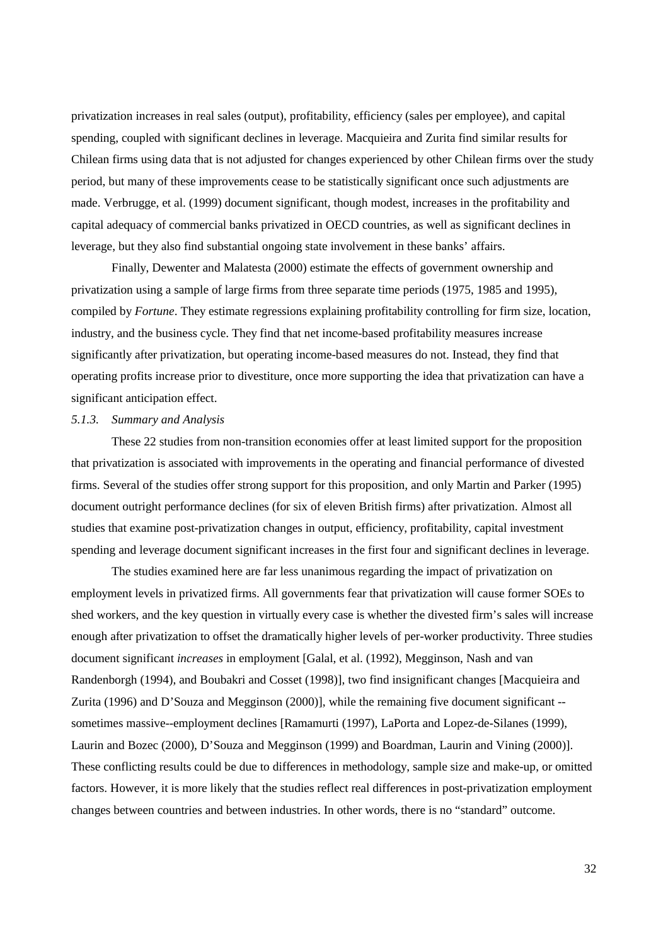privatization increases in real sales (output), profitability, efficiency (sales per employee), and capital spending, coupled with significant declines in leverage. Macquieira and Zurita find similar results for Chilean firms using data that is not adjusted for changes experienced by other Chilean firms over the study period, but many of these improvements cease to be statistically significant once such adjustments are made. Verbrugge, et al. (1999) document significant, though modest, increases in the profitability and capital adequacy of commercial banks privatized in OECD countries, as well as significant declines in leverage, but they also find substantial ongoing state involvement in these banks' affairs.

Finally, Dewenter and Malatesta (2000) estimate the effects of government ownership and privatization using a sample of large firms from three separate time periods (1975, 1985 and 1995), compiled by *Fortune*. They estimate regressions explaining profitability controlling for firm size, location, industry, and the business cycle. They find that net income-based profitability measures increase significantly after privatization, but operating income-based measures do not. Instead, they find that operating profits increase prior to divestiture, once more supporting the idea that privatization can have a significant anticipation effect.

### *5.1.3. Summary and Analysis*

These 22 studies from non-transition economies offer at least limited support for the proposition that privatization is associated with improvements in the operating and financial performance of divested firms. Several of the studies offer strong support for this proposition, and only Martin and Parker (1995) document outright performance declines (for six of eleven British firms) after privatization. Almost all studies that examine post-privatization changes in output, efficiency, profitability, capital investment spending and leverage document significant increases in the first four and significant declines in leverage.

The studies examined here are far less unanimous regarding the impact of privatization on employment levels in privatized firms. All governments fear that privatization will cause former SOEs to shed workers, and the key question in virtually every case is whether the divested firm's sales will increase enough after privatization to offset the dramatically higher levels of per-worker productivity. Three studies document significant *increases* in employment [Galal, et al. (1992), Megginson, Nash and van Randenborgh (1994), and Boubakri and Cosset (1998)], two find insignificant changes [Macquieira and Zurita (1996) and D'Souza and Megginson (2000)], while the remaining five document significant - sometimes massive--employment declines [Ramamurti (1997), LaPorta and Lopez-de-Silanes (1999), Laurin and Bozec (2000), D'Souza and Megginson (1999) and Boardman, Laurin and Vining (2000)]. These conflicting results could be due to differences in methodology, sample size and make-up, or omitted factors. However, it is more likely that the studies reflect real differences in post-privatization employment changes between countries and between industries. In other words, there is no "standard" outcome.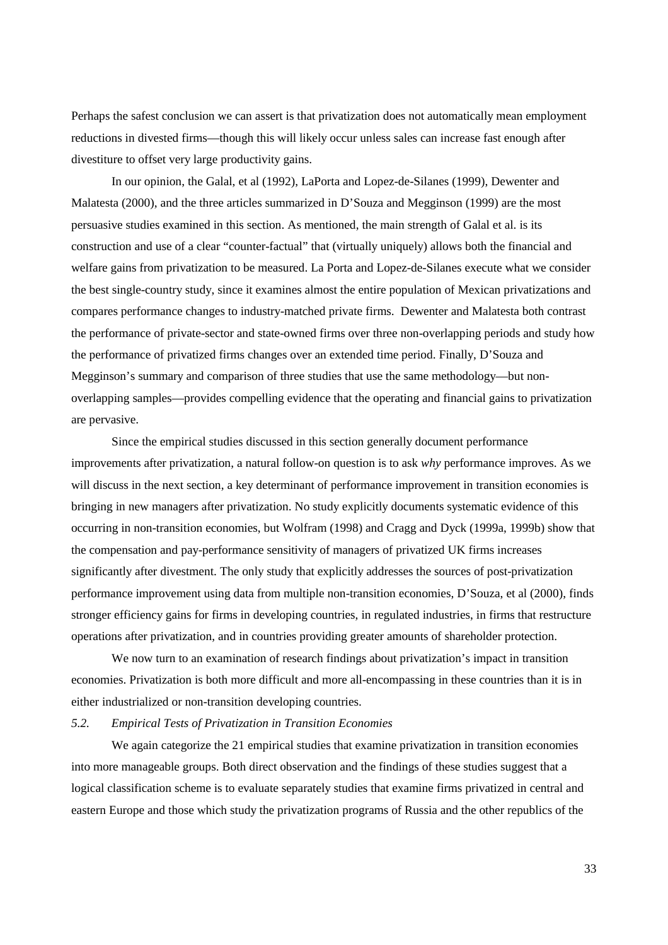Perhaps the safest conclusion we can assert is that privatization does not automatically mean employment reductions in divested firms—though this will likely occur unless sales can increase fast enough after divestiture to offset very large productivity gains.

In our opinion, the Galal, et al (1992), LaPorta and Lopez-de-Silanes (1999), Dewenter and Malatesta (2000), and the three articles summarized in D'Souza and Megginson (1999) are the most persuasive studies examined in this section. As mentioned, the main strength of Galal et al. is its construction and use of a clear "counter-factual" that (virtually uniquely) allows both the financial and welfare gains from privatization to be measured. La Porta and Lopez-de-Silanes execute what we consider the best single-country study, since it examines almost the entire population of Mexican privatizations and compares performance changes to industry-matched private firms. Dewenter and Malatesta both contrast the performance of private-sector and state-owned firms over three non-overlapping periods and study how the performance of privatized firms changes over an extended time period. Finally, D'Souza and Megginson's summary and comparison of three studies that use the same methodology—but nonoverlapping samples—provides compelling evidence that the operating and financial gains to privatization are pervasive.

Since the empirical studies discussed in this section generally document performance improvements after privatization, a natural follow-on question is to ask *why* performance improves. As we will discuss in the next section, a key determinant of performance improvement in transition economies is bringing in new managers after privatization. No study explicitly documents systematic evidence of this occurring in non-transition economies, but Wolfram (1998) and Cragg and Dyck (1999a, 1999b) show that the compensation and pay-performance sensitivity of managers of privatized UK firms increases significantly after divestment. The only study that explicitly addresses the sources of post-privatization performance improvement using data from multiple non-transition economies, D'Souza, et al (2000), finds stronger efficiency gains for firms in developing countries, in regulated industries, in firms that restructure operations after privatization, and in countries providing greater amounts of shareholder protection.

We now turn to an examination of research findings about privatization's impact in transition economies. Privatization is both more difficult and more all-encompassing in these countries than it is in either industrialized or non-transition developing countries.

# *5.2. Empirical Tests of Privatization in Transition Economies*

We again categorize the 21 empirical studies that examine privatization in transition economies into more manageable groups. Both direct observation and the findings of these studies suggest that a logical classification scheme is to evaluate separately studies that examine firms privatized in central and eastern Europe and those which study the privatization programs of Russia and the other republics of the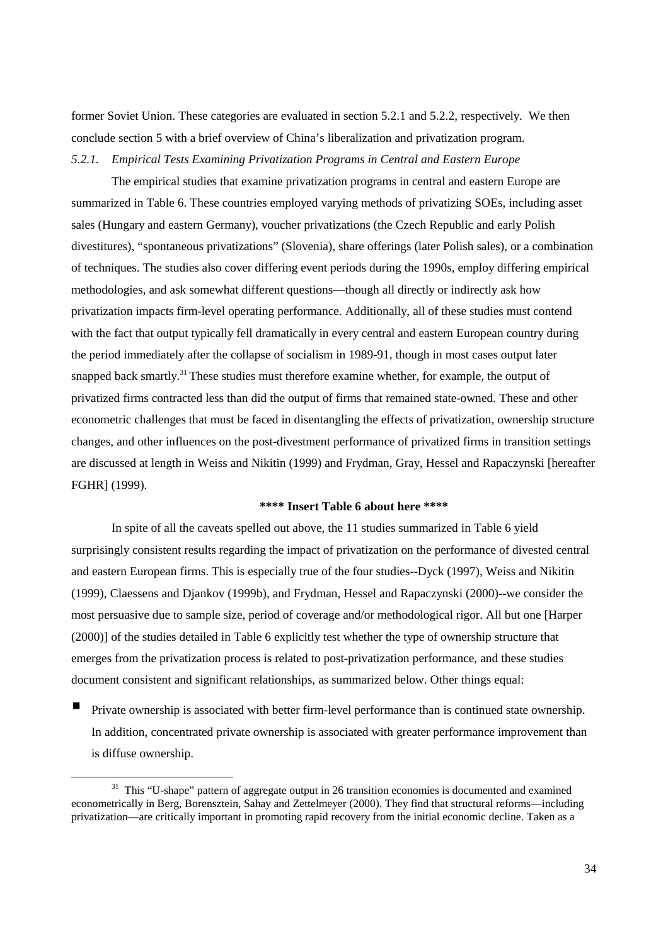former Soviet Union. These categories are evaluated in section 5.2.1 and 5.2.2, respectively. We then conclude section 5 with a brief overview of China's liberalization and privatization program. *5.2.1. Empirical Tests Examining Privatization Programs in Central and Eastern Europe*

The empirical studies that examine privatization programs in central and eastern Europe are summarized in Table 6. These countries employed varying methods of privatizing SOEs, including asset sales (Hungary and eastern Germany), voucher privatizations (the Czech Republic and early Polish divestitures), "spontaneous privatizations" (Slovenia), share offerings (later Polish sales), or a combination of techniques. The studies also cover differing event periods during the 1990s, employ differing empirical methodologies, and ask somewhat different questions—though all directly or indirectly ask how privatization impacts firm-level operating performance. Additionally, all of these studies must contend with the fact that output typically fell dramatically in every central and eastern European country during the period immediately after the collapse of socialism in 1989-91, though in most cases output later snapped back smartly.<sup>31</sup> These studies must therefore examine whether, for example, the output of privatized firms contracted less than did the output of firms that remained state-owned. These and other econometric challenges that must be faced in disentangling the effects of privatization, ownership structure changes, and other influences on the post-divestment performance of privatized firms in transition settings are discussed at length in Weiss and Nikitin (1999) and Frydman, Gray, Hessel and Rapaczynski [hereafter FGHR] (1999).

#### **\*\*\*\* Insert Table 6 about here \*\*\*\***

In spite of all the caveats spelled out above, the 11 studies summarized in Table 6 yield surprisingly consistent results regarding the impact of privatization on the performance of divested central and eastern European firms. This is especially true of the four studies--Dyck (1997), Weiss and Nikitin (1999), Claessens and Djankov (1999b), and Frydman, Hessel and Rapaczynski (2000)--we consider the most persuasive due to sample size, period of coverage and/or methodological rigor. All but one [Harper (2000)] of the studies detailed in Table 6 explicitly test whether the type of ownership structure that emerges from the privatization process is related to post-privatization performance, and these studies document consistent and significant relationships, as summarized below. Other things equal:

 Private ownership is associated with better firm-level performance than is continued state ownership. In addition, concentrated private ownership is associated with greater performance improvement than is diffuse ownership.

<sup>&</sup>lt;sup>31</sup> This "U-shape" pattern of aggregate output in 26 transition economies is documented and examined econometrically in Berg, Borensztein, Sahay and Zettelmeyer (2000). They find that structural reforms—including privatization—are critically important in promoting rapid recovery from the initial economic decline. Taken as a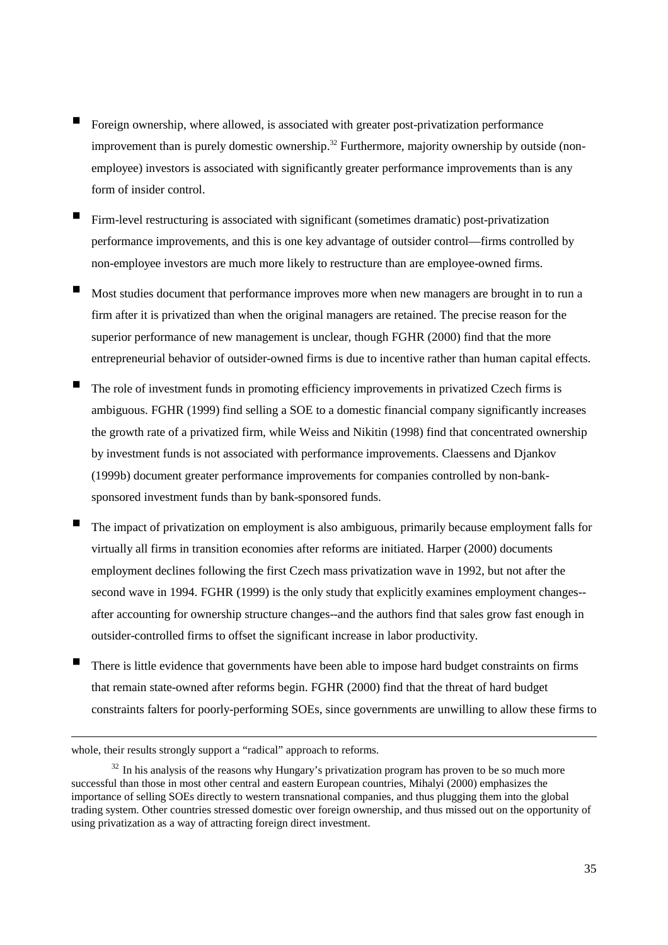- Foreign ownership, where allowed, is associated with greater post-privatization performance improvement than is purely domestic ownership.<sup>32</sup> Furthermore, majority ownership by outside (nonemployee) investors is associated with significantly greater performance improvements than is any form of insider control.
- Firm-level restructuring is associated with significant (sometimes dramatic) post-privatization performance improvements, and this is one key advantage of outsider control—firms controlled by non-employee investors are much more likely to restructure than are employee-owned firms.
- Most studies document that performance improves more when new managers are brought in to run a firm after it is privatized than when the original managers are retained. The precise reason for the superior performance of new management is unclear, though FGHR (2000) find that the more entrepreneurial behavior of outsider-owned firms is due to incentive rather than human capital effects.
- The role of investment funds in promoting efficiency improvements in privatized Czech firms is ambiguous. FGHR (1999) find selling a SOE to a domestic financial company significantly increases the growth rate of a privatized firm, while Weiss and Nikitin (1998) find that concentrated ownership by investment funds is not associated with performance improvements. Claessens and Djankov (1999b) document greater performance improvements for companies controlled by non-banksponsored investment funds than by bank-sponsored funds.
- The impact of privatization on employment is also ambiguous, primarily because employment falls for virtually all firms in transition economies after reforms are initiated. Harper (2000) documents employment declines following the first Czech mass privatization wave in 1992, but not after the second wave in 1994. FGHR (1999) is the only study that explicitly examines employment changes- after accounting for ownership structure changes--and the authors find that sales grow fast enough in outsider-controlled firms to offset the significant increase in labor productivity.
- There is little evidence that governments have been able to impose hard budget constraints on firms that remain state-owned after reforms begin. FGHR (2000) find that the threat of hard budget constraints falters for poorly-performing SOEs, since governments are unwilling to allow these firms to

whole, their results strongly support a "radical" approach to reforms.

 $32$  In his analysis of the reasons why Hungary's privatization program has proven to be so much more successful than those in most other central and eastern European countries, Mihalyi (2000) emphasizes the importance of selling SOEs directly to western transnational companies, and thus plugging them into the global trading system. Other countries stressed domestic over foreign ownership, and thus missed out on the opportunity of using privatization as a way of attracting foreign direct investment.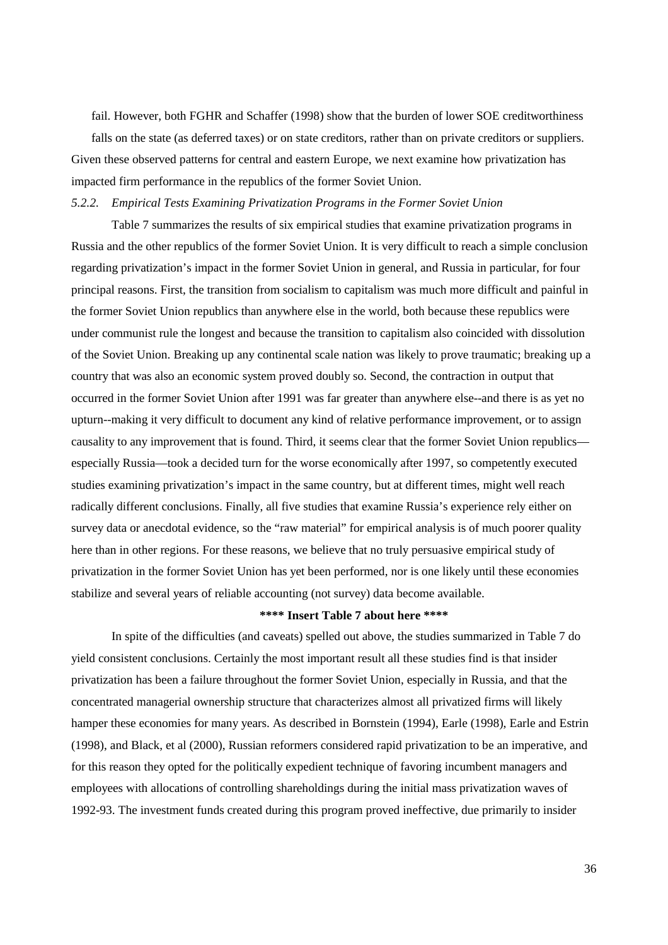fail. However, both FGHR and Schaffer (1998) show that the burden of lower SOE creditworthiness

falls on the state (as deferred taxes) or on state creditors, rather than on private creditors or suppliers. Given these observed patterns for central and eastern Europe, we next examine how privatization has impacted firm performance in the republics of the former Soviet Union.

#### *5.2.2. Empirical Tests Examining Privatization Programs in the Former Soviet Union*

Table 7 summarizes the results of six empirical studies that examine privatization programs in Russia and the other republics of the former Soviet Union. It is very difficult to reach a simple conclusion regarding privatization's impact in the former Soviet Union in general, and Russia in particular, for four principal reasons. First, the transition from socialism to capitalism was much more difficult and painful in the former Soviet Union republics than anywhere else in the world, both because these republics were under communist rule the longest and because the transition to capitalism also coincided with dissolution of the Soviet Union. Breaking up any continental scale nation was likely to prove traumatic; breaking up a country that was also an economic system proved doubly so. Second, the contraction in output that occurred in the former Soviet Union after 1991 was far greater than anywhere else--and there is as yet no upturn--making it very difficult to document any kind of relative performance improvement, or to assign causality to any improvement that is found. Third, it seems clear that the former Soviet Union republics especially Russia—took a decided turn for the worse economically after 1997, so competently executed studies examining privatization's impact in the same country, but at different times, might well reach radically different conclusions. Finally, all five studies that examine Russia's experience rely either on survey data or anecdotal evidence, so the "raw material" for empirical analysis is of much poorer quality here than in other regions. For these reasons, we believe that no truly persuasive empirical study of privatization in the former Soviet Union has yet been performed, nor is one likely until these economies stabilize and several years of reliable accounting (not survey) data become available.

#### **\*\*\*\* Insert Table 7 about here \*\*\*\***

In spite of the difficulties (and caveats) spelled out above, the studies summarized in Table 7 do yield consistent conclusions. Certainly the most important result all these studies find is that insider privatization has been a failure throughout the former Soviet Union, especially in Russia, and that the concentrated managerial ownership structure that characterizes almost all privatized firms will likely hamper these economies for many years. As described in Bornstein (1994), Earle (1998), Earle and Estrin (1998), and Black, et al (2000), Russian reformers considered rapid privatization to be an imperative, and for this reason they opted for the politically expedient technique of favoring incumbent managers and employees with allocations of controlling shareholdings during the initial mass privatization waves of 1992-93. The investment funds created during this program proved ineffective, due primarily to insider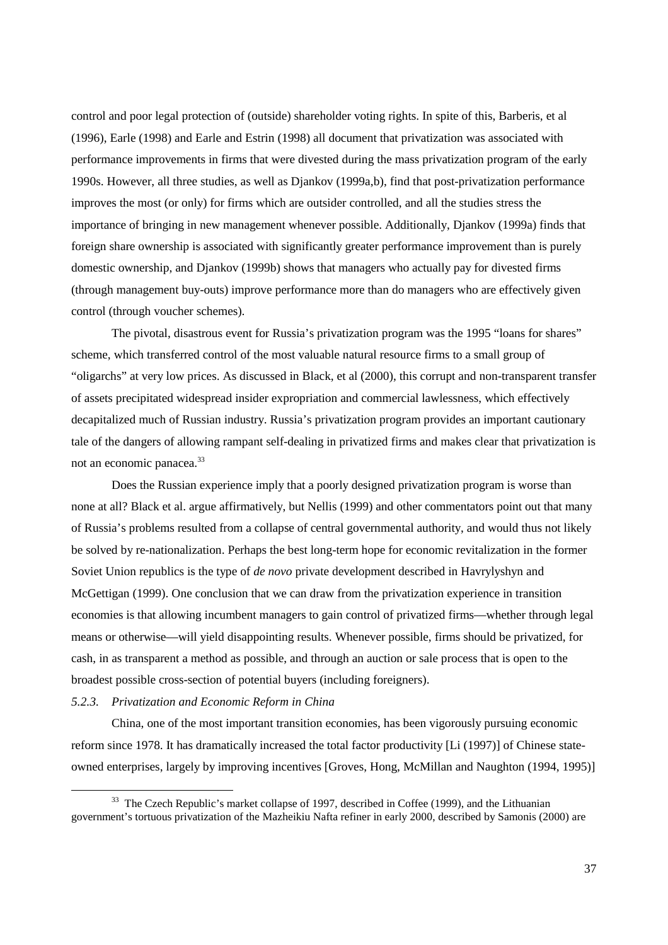control and poor legal protection of (outside) shareholder voting rights. In spite of this, Barberis, et al (1996), Earle (1998) and Earle and Estrin (1998) all document that privatization was associated with performance improvements in firms that were divested during the mass privatization program of the early 1990s. However, all three studies, as well as Djankov (1999a,b), find that post-privatization performance improves the most (or only) for firms which are outsider controlled, and all the studies stress the importance of bringing in new management whenever possible. Additionally, Djankov (1999a) finds that foreign share ownership is associated with significantly greater performance improvement than is purely domestic ownership, and Djankov (1999b) shows that managers who actually pay for divested firms (through management buy-outs) improve performance more than do managers who are effectively given control (through voucher schemes).

The pivotal, disastrous event for Russia's privatization program was the 1995 "loans for shares" scheme, which transferred control of the most valuable natural resource firms to a small group of "oligarchs" at very low prices. As discussed in Black, et al (2000), this corrupt and non-transparent transfer of assets precipitated widespread insider expropriation and commercial lawlessness, which effectively decapitalized much of Russian industry. Russia's privatization program provides an important cautionary tale of the dangers of allowing rampant self-dealing in privatized firms and makes clear that privatization is not an economic panacea.<sup>33</sup>

Does the Russian experience imply that a poorly designed privatization program is worse than none at all? Black et al. argue affirmatively, but Nellis (1999) and other commentators point out that many of Russia's problems resulted from a collapse of central governmental authority, and would thus not likely be solved by re-nationalization. Perhaps the best long-term hope for economic revitalization in the former Soviet Union republics is the type of *de novo* private development described in Havrylyshyn and McGettigan (1999). One conclusion that we can draw from the privatization experience in transition economies is that allowing incumbent managers to gain control of privatized firms—whether through legal means or otherwise—will yield disappointing results. Whenever possible, firms should be privatized, for cash, in as transparent a method as possible, and through an auction or sale process that is open to the broadest possible cross-section of potential buyers (including foreigners).

#### *5.2.3. Privatization and Economic Reform in China*

China, one of the most important transition economies, has been vigorously pursuing economic reform since 1978. It has dramatically increased the total factor productivity [Li (1997)] of Chinese stateowned enterprises, largely by improving incentives [Groves, Hong, McMillan and Naughton (1994, 1995)]

<sup>&</sup>lt;sup>33</sup> The Czech Republic's market collapse of 1997, described in Coffee (1999), and the Lithuanian government's tortuous privatization of the Mazheikiu Nafta refiner in early 2000, described by Samonis (2000) are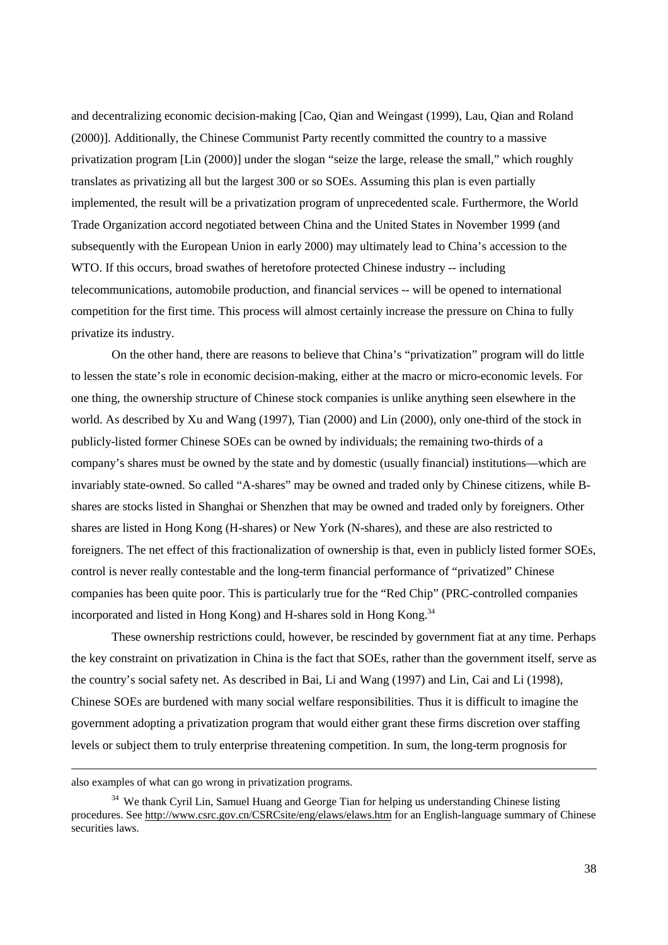and decentralizing economic decision-making [Cao, Qian and Weingast (1999), Lau, Qian and Roland (2000)]. Additionally, the Chinese Communist Party recently committed the country to a massive privatization program [Lin (2000)] under the slogan "seize the large, release the small," which roughly translates as privatizing all but the largest 300 or so SOEs. Assuming this plan is even partially implemented, the result will be a privatization program of unprecedented scale. Furthermore, the World Trade Organization accord negotiated between China and the United States in November 1999 (and subsequently with the European Union in early 2000) may ultimately lead to China's accession to the WTO. If this occurs, broad swathes of heretofore protected Chinese industry -- including telecommunications, automobile production, and financial services -- will be opened to international competition for the first time. This process will almost certainly increase the pressure on China to fully privatize its industry.

On the other hand, there are reasons to believe that China's "privatization" program will do little to lessen the state's role in economic decision-making, either at the macro or micro-economic levels. For one thing, the ownership structure of Chinese stock companies is unlike anything seen elsewhere in the world. As described by Xu and Wang (1997), Tian (2000) and Lin (2000), only one-third of the stock in publicly-listed former Chinese SOEs can be owned by individuals; the remaining two-thirds of a company's shares must be owned by the state and by domestic (usually financial) institutions—which are invariably state-owned. So called "A-shares" may be owned and traded only by Chinese citizens, while Bshares are stocks listed in Shanghai or Shenzhen that may be owned and traded only by foreigners. Other shares are listed in Hong Kong (H-shares) or New York (N-shares), and these are also restricted to foreigners. The net effect of this fractionalization of ownership is that, even in publicly listed former SOEs, control is never really contestable and the long-term financial performance of "privatized" Chinese companies has been quite poor. This is particularly true for the "Red Chip" (PRC-controlled companies incorporated and listed in Hong Kong) and H-shares sold in Hong Kong.<sup>34</sup>

These ownership restrictions could, however, be rescinded by government fiat at any time. Perhaps the key constraint on privatization in China is the fact that SOEs, rather than the government itself, serve as the country's social safety net. As described in Bai, Li and Wang (1997) and Lin, Cai and Li (1998), Chinese SOEs are burdened with many social welfare responsibilities. Thus it is difficult to imagine the government adopting a privatization program that would either grant these firms discretion over staffing levels or subject them to truly enterprise threatening competition. In sum, the long-term prognosis for

also examples of what can go wrong in privatization programs.

<sup>&</sup>lt;sup>34</sup> We thank Cyril Lin, Samuel Huang and George Tian for helping us understanding Chinese listing procedures. See http://www.csrc.gov.cn/CSRCsite/eng/elaws/elaws.htm for an English-language summary of Chinese securities laws.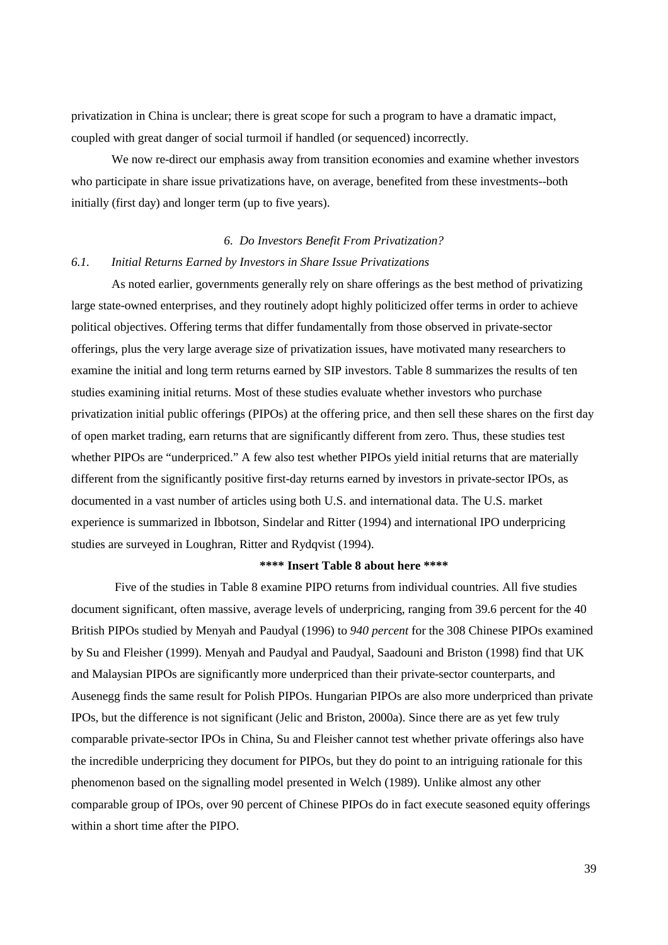privatization in China is unclear; there is great scope for such a program to have a dramatic impact, coupled with great danger of social turmoil if handled (or sequenced) incorrectly.

We now re-direct our emphasis away from transition economies and examine whether investors who participate in share issue privatizations have, on average, benefited from these investments--both initially (first day) and longer term (up to five years).

## *6. Do Investors Benefit From Privatization? 6.1. Initial Returns Earned by Investors in Share Issue Privatizations*

As noted earlier, governments generally rely on share offerings as the best method of privatizing large state-owned enterprises, and they routinely adopt highly politicized offer terms in order to achieve political objectives. Offering terms that differ fundamentally from those observed in private-sector offerings, plus the very large average size of privatization issues, have motivated many researchers to examine the initial and long term returns earned by SIP investors. Table 8 summarizes the results of ten studies examining initial returns. Most of these studies evaluate whether investors who purchase privatization initial public offerings (PIPOs) at the offering price, and then sell these shares on the first day of open market trading, earn returns that are significantly different from zero. Thus, these studies test whether PIPOs are "underpriced." A few also test whether PIPOs yield initial returns that are materially different from the significantly positive first-day returns earned by investors in private-sector IPOs, as documented in a vast number of articles using both U.S. and international data. The U.S. market experience is summarized in Ibbotson, Sindelar and Ritter (1994) and international IPO underpricing studies are surveyed in Loughran, Ritter and Rydqvist (1994).

### **\*\*\*\* Insert Table 8 about here \*\*\*\***

Five of the studies in Table 8 examine PIPO returns from individual countries. All five studies document significant, often massive, average levels of underpricing, ranging from 39.6 percent for the 40 British PIPOs studied by Menyah and Paudyal (1996) to *940 percent* for the 308 Chinese PIPOs examined by Su and Fleisher (1999). Menyah and Paudyal and Paudyal, Saadouni and Briston (1998) find that UK and Malaysian PIPOs are significantly more underpriced than their private-sector counterparts, and Ausenegg finds the same result for Polish PIPOs. Hungarian PIPOs are also more underpriced than private IPOs, but the difference is not significant (Jelic and Briston, 2000a). Since there are as yet few truly comparable private-sector IPOs in China, Su and Fleisher cannot test whether private offerings also have the incredible underpricing they document for PIPOs, but they do point to an intriguing rationale for this phenomenon based on the signalling model presented in Welch (1989). Unlike almost any other comparable group of IPOs, over 90 percent of Chinese PIPOs do in fact execute seasoned equity offerings within a short time after the PIPO.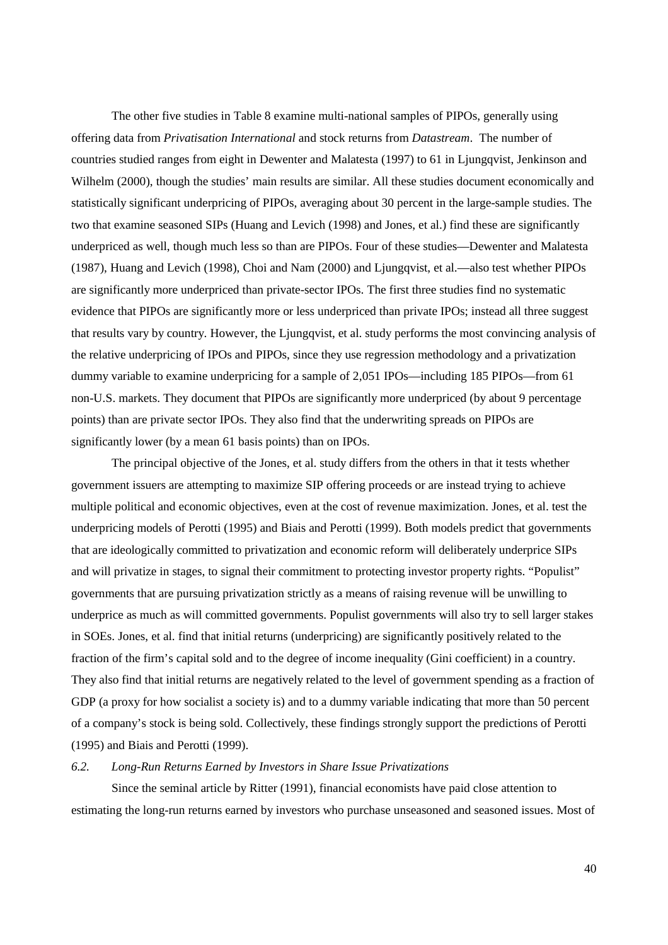The other five studies in Table 8 examine multi-national samples of PIPOs, generally using offering data from *Privatisation International* and stock returns from *Datastream*. The number of countries studied ranges from eight in Dewenter and Malatesta (1997) to 61 in Ljungqvist, Jenkinson and Wilhelm (2000), though the studies' main results are similar. All these studies document economically and statistically significant underpricing of PIPOs, averaging about 30 percent in the large-sample studies. The two that examine seasoned SIPs (Huang and Levich (1998) and Jones, et al.) find these are significantly underpriced as well, though much less so than are PIPOs. Four of these studies—Dewenter and Malatesta (1987), Huang and Levich (1998), Choi and Nam (2000) and Ljungqvist, et al.—also test whether PIPOs are significantly more underpriced than private-sector IPOs. The first three studies find no systematic evidence that PIPOs are significantly more or less underpriced than private IPOs; instead all three suggest that results vary by country. However, the Ljungqvist, et al. study performs the most convincing analysis of the relative underpricing of IPOs and PIPOs, since they use regression methodology and a privatization dummy variable to examine underpricing for a sample of 2,051 IPOs—including 185 PIPOs—from 61 non-U.S. markets. They document that PIPOs are significantly more underpriced (by about 9 percentage points) than are private sector IPOs. They also find that the underwriting spreads on PIPOs are significantly lower (by a mean 61 basis points) than on IPOs.

The principal objective of the Jones, et al. study differs from the others in that it tests whether government issuers are attempting to maximize SIP offering proceeds or are instead trying to achieve multiple political and economic objectives, even at the cost of revenue maximization. Jones, et al. test the underpricing models of Perotti (1995) and Biais and Perotti (1999). Both models predict that governments that are ideologically committed to privatization and economic reform will deliberately underprice SIPs and will privatize in stages, to signal their commitment to protecting investor property rights. "Populist" governments that are pursuing privatization strictly as a means of raising revenue will be unwilling to underprice as much as will committed governments. Populist governments will also try to sell larger stakes in SOEs. Jones, et al. find that initial returns (underpricing) are significantly positively related to the fraction of the firm's capital sold and to the degree of income inequality (Gini coefficient) in a country. They also find that initial returns are negatively related to the level of government spending as a fraction of GDP (a proxy for how socialist a society is) and to a dummy variable indicating that more than 50 percent of a company's stock is being sold. Collectively, these findings strongly support the predictions of Perotti (1995) and Biais and Perotti (1999).

### *6.2. Long-Run Returns Earned by Investors in Share Issue Privatizations*

Since the seminal article by Ritter (1991), financial economists have paid close attention to estimating the long-run returns earned by investors who purchase unseasoned and seasoned issues. Most of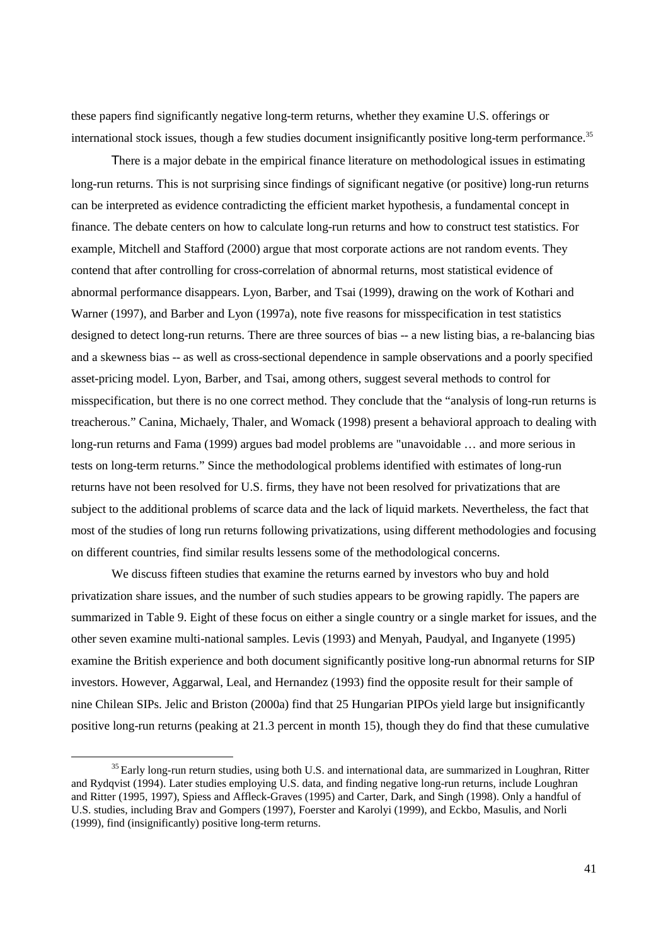these papers find significantly negative long-term returns, whether they examine U.S. offerings or international stock issues, though a few studies document insignificantly positive long-term performance.<sup>35</sup>

Τhere is a major debate in the empirical finance literature on methodological issues in estimating long-run returns. This is not surprising since findings of significant negative (or positive) long-run returns can be interpreted as evidence contradicting the efficient market hypothesis, a fundamental concept in finance. The debate centers on how to calculate long-run returns and how to construct test statistics. For example, Mitchell and Stafford (2000) argue that most corporate actions are not random events. They contend that after controlling for cross-correlation of abnormal returns, most statistical evidence of abnormal performance disappears. Lyon, Barber, and Tsai (1999), drawing on the work of Kothari and Warner (1997), and Barber and Lyon (1997a), note five reasons for misspecification in test statistics designed to detect long-run returns. There are three sources of bias -- a new listing bias, a re-balancing bias and a skewness bias -- as well as cross-sectional dependence in sample observations and a poorly specified asset-pricing model. Lyon, Barber, and Tsai, among others, suggest several methods to control for misspecification, but there is no one correct method. They conclude that the "analysis of long-run returns is treacherous." Canina, Michaely, Thaler, and Womack (1998) present a behavioral approach to dealing with long-run returns and Fama (1999) argues bad model problems are "unavoidable … and more serious in tests on long-term returns." Since the methodological problems identified with estimates of long-run returns have not been resolved for U.S. firms, they have not been resolved for privatizations that are subject to the additional problems of scarce data and the lack of liquid markets. Nevertheless, the fact that most of the studies of long run returns following privatizations, using different methodologies and focusing on different countries, find similar results lessens some of the methodological concerns.

We discuss fifteen studies that examine the returns earned by investors who buy and hold privatization share issues, and the number of such studies appears to be growing rapidly. The papers are summarized in Table 9. Eight of these focus on either a single country or a single market for issues, and the other seven examine multi-national samples. Levis (1993) and Menyah, Paudyal, and Inganyete (1995) examine the British experience and both document significantly positive long-run abnormal returns for SIP investors. However, Aggarwal, Leal, and Hernandez (1993) find the opposite result for their sample of nine Chilean SIPs. Jelic and Briston (2000a) find that 25 Hungarian PIPOs yield large but insignificantly positive long-run returns (peaking at 21.3 percent in month 15), though they do find that these cumulative

<sup>&</sup>lt;sup>35</sup> Early long-run return studies, using both U.S. and international data, are summarized in Loughran, Ritter and Rydqvist (1994). Later studies employing U.S. data, and finding negative long-run returns, include Loughran and Ritter (1995, 1997), Spiess and Affleck-Graves (1995) and Carter, Dark, and Singh (1998). Only a handful of U.S. studies, including Brav and Gompers (1997), Foerster and Karolyi (1999), and Eckbo, Masulis, and Norli (1999), find (insignificantly) positive long-term returns.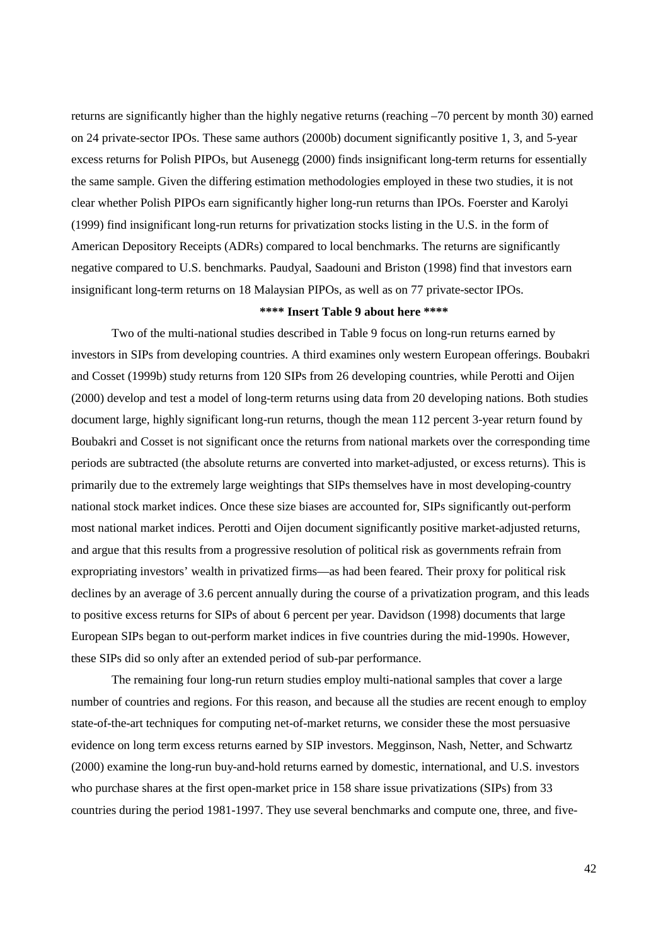returns are significantly higher than the highly negative returns (reaching –70 percent by month 30) earned on 24 private-sector IPOs. These same authors (2000b) document significantly positive 1, 3, and 5-year excess returns for Polish PIPOs, but Ausenegg (2000) finds insignificant long-term returns for essentially the same sample. Given the differing estimation methodologies employed in these two studies, it is not clear whether Polish PIPOs earn significantly higher long-run returns than IPOs. Foerster and Karolyi (1999) find insignificant long-run returns for privatization stocks listing in the U.S. in the form of American Depository Receipts (ADRs) compared to local benchmarks. The returns are significantly negative compared to U.S. benchmarks. Paudyal, Saadouni and Briston (1998) find that investors earn insignificant long-term returns on 18 Malaysian PIPOs, as well as on 77 private-sector IPOs.

#### **\*\*\*\* Insert Table 9 about here \*\*\*\***

Two of the multi-national studies described in Table 9 focus on long-run returns earned by investors in SIPs from developing countries. A third examines only western European offerings. Boubakri and Cosset (1999b) study returns from 120 SIPs from 26 developing countries, while Perotti and Oijen (2000) develop and test a model of long-term returns using data from 20 developing nations. Both studies document large, highly significant long-run returns, though the mean 112 percent 3-year return found by Boubakri and Cosset is not significant once the returns from national markets over the corresponding time periods are subtracted (the absolute returns are converted into market-adjusted, or excess returns). This is primarily due to the extremely large weightings that SIPs themselves have in most developing-country national stock market indices. Once these size biases are accounted for, SIPs significantly out-perform most national market indices. Perotti and Oijen document significantly positive market-adjusted returns, and argue that this results from a progressive resolution of political risk as governments refrain from expropriating investors' wealth in privatized firms—as had been feared. Their proxy for political risk declines by an average of 3.6 percent annually during the course of a privatization program, and this leads to positive excess returns for SIPs of about 6 percent per year. Davidson (1998) documents that large European SIPs began to out-perform market indices in five countries during the mid-1990s. However, these SIPs did so only after an extended period of sub-par performance.

The remaining four long-run return studies employ multi-national samples that cover a large number of countries and regions. For this reason, and because all the studies are recent enough to employ state-of-the-art techniques for computing net-of-market returns, we consider these the most persuasive evidence on long term excess returns earned by SIP investors. Megginson, Nash, Netter, and Schwartz (2000) examine the long-run buy-and-hold returns earned by domestic, international, and U.S. investors who purchase shares at the first open-market price in 158 share issue privatizations (SIPs) from 33 countries during the period 1981-1997. They use several benchmarks and compute one, three, and five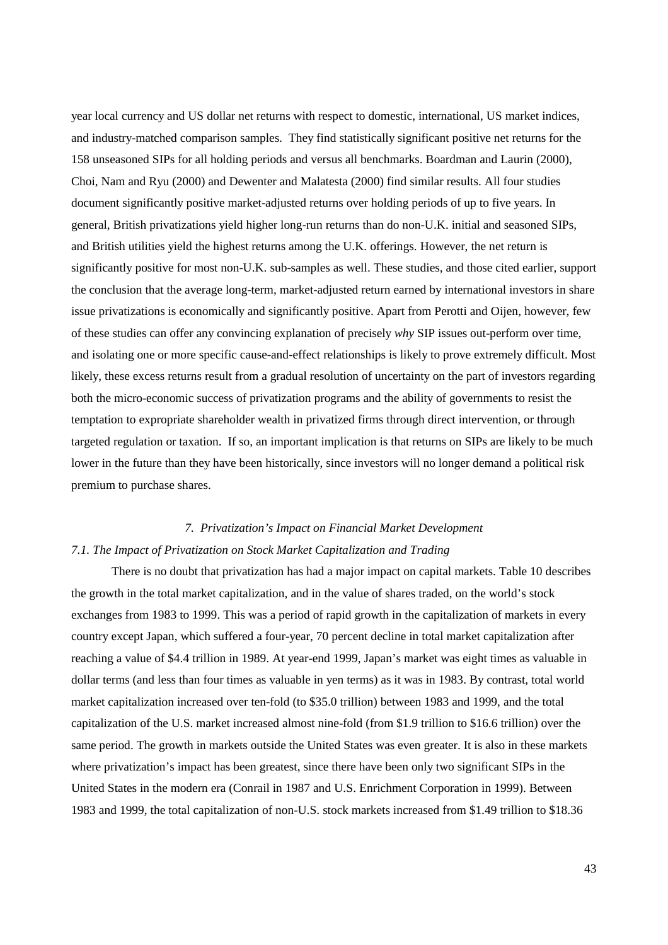year local currency and US dollar net returns with respect to domestic, international, US market indices, and industry-matched comparison samples. They find statistically significant positive net returns for the 158 unseasoned SIPs for all holding periods and versus all benchmarks. Boardman and Laurin (2000), Choi, Nam and Ryu (2000) and Dewenter and Malatesta (2000) find similar results. All four studies document significantly positive market-adjusted returns over holding periods of up to five years. In general, British privatizations yield higher long-run returns than do non-U.K. initial and seasoned SIPs, and British utilities yield the highest returns among the U.K. offerings. However, the net return is significantly positive for most non-U.K. sub-samples as well. These studies, and those cited earlier, support the conclusion that the average long-term, market-adjusted return earned by international investors in share issue privatizations is economically and significantly positive. Apart from Perotti and Oijen, however, few of these studies can offer any convincing explanation of precisely *why* SIP issues out-perform over time, and isolating one or more specific cause-and-effect relationships is likely to prove extremely difficult. Most likely, these excess returns result from a gradual resolution of uncertainty on the part of investors regarding both the micro-economic success of privatization programs and the ability of governments to resist the temptation to expropriate shareholder wealth in privatized firms through direct intervention, or through targeted regulation or taxation. If so, an important implication is that returns on SIPs are likely to be much lower in the future than they have been historically, since investors will no longer demand a political risk premium to purchase shares.

## *7. Privatization's Impact on Financial Market Development 7.1. The Impact of Privatization on Stock Market Capitalization and Trading*

There is no doubt that privatization has had a major impact on capital markets. Table 10 describes the growth in the total market capitalization, and in the value of shares traded, on the world's stock exchanges from 1983 to 1999. This was a period of rapid growth in the capitalization of markets in every country except Japan, which suffered a four-year, 70 percent decline in total market capitalization after reaching a value of \$4.4 trillion in 1989. At year-end 1999, Japan's market was eight times as valuable in dollar terms (and less than four times as valuable in yen terms) as it was in 1983. By contrast, total world market capitalization increased over ten-fold (to \$35.0 trillion) between 1983 and 1999, and the total capitalization of the U.S. market increased almost nine-fold (from \$1.9 trillion to \$16.6 trillion) over the same period. The growth in markets outside the United States was even greater. It is also in these markets where privatization's impact has been greatest, since there have been only two significant SIPs in the United States in the modern era (Conrail in 1987 and U.S. Enrichment Corporation in 1999). Between 1983 and 1999, the total capitalization of non-U.S. stock markets increased from \$1.49 trillion to \$18.36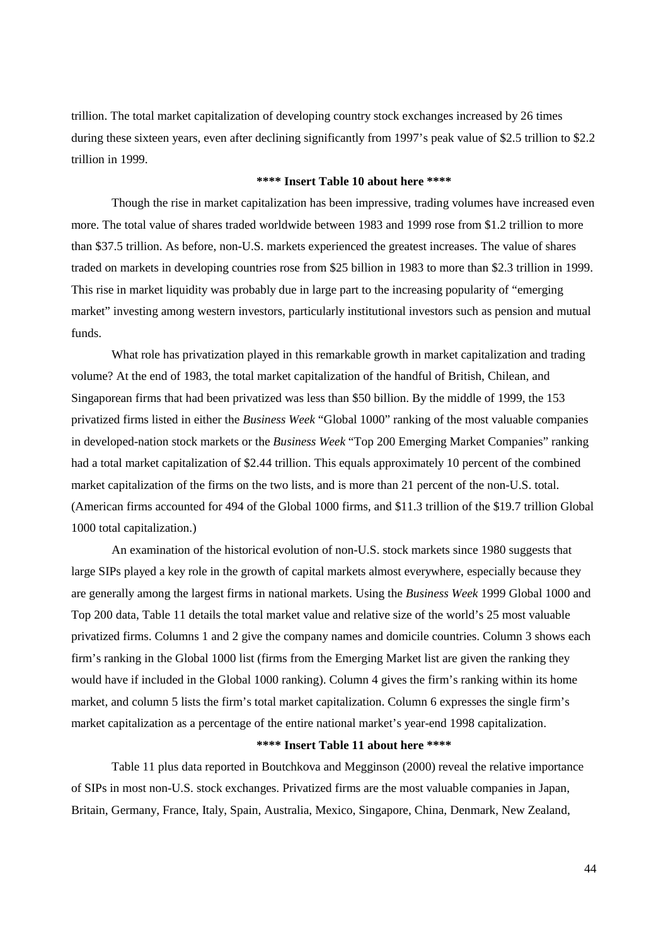trillion. The total market capitalization of developing country stock exchanges increased by 26 times during these sixteen years, even after declining significantly from 1997's peak value of \$2.5 trillion to \$2.2 trillion in 1999.

#### **\*\*\*\* Insert Table 10 about here \*\*\*\***

Though the rise in market capitalization has been impressive, trading volumes have increased even more. The total value of shares traded worldwide between 1983 and 1999 rose from \$1.2 trillion to more than \$37.5 trillion. As before, non-U.S. markets experienced the greatest increases. The value of shares traded on markets in developing countries rose from \$25 billion in 1983 to more than \$2.3 trillion in 1999. This rise in market liquidity was probably due in large part to the increasing popularity of "emerging market" investing among western investors, particularly institutional investors such as pension and mutual funds.

What role has privatization played in this remarkable growth in market capitalization and trading volume? At the end of 1983, the total market capitalization of the handful of British, Chilean, and Singaporean firms that had been privatized was less than \$50 billion. By the middle of 1999, the 153 privatized firms listed in either the *Business Week* "Global 1000" ranking of the most valuable companies in developed-nation stock markets or the *Business Week* "Top 200 Emerging Market Companies" ranking had a total market capitalization of \$2.44 trillion. This equals approximately 10 percent of the combined market capitalization of the firms on the two lists, and is more than 21 percent of the non-U.S. total. (American firms accounted for 494 of the Global 1000 firms, and \$11.3 trillion of the \$19.7 trillion Global 1000 total capitalization.)

An examination of the historical evolution of non-U.S. stock markets since 1980 suggests that large SIPs played a key role in the growth of capital markets almost everywhere, especially because they are generally among the largest firms in national markets. Using the *Business Week* 1999 Global 1000 and Top 200 data, Table 11 details the total market value and relative size of the world's 25 most valuable privatized firms. Columns 1 and 2 give the company names and domicile countries. Column 3 shows each firm's ranking in the Global 1000 list (firms from the Emerging Market list are given the ranking they would have if included in the Global 1000 ranking). Column 4 gives the firm's ranking within its home market, and column 5 lists the firm's total market capitalization. Column 6 expresses the single firm's market capitalization as a percentage of the entire national market's year-end 1998 capitalization.

#### **\*\*\*\* Insert Table 11 about here \*\*\*\***

Table 11 plus data reported in Boutchkova and Megginson (2000) reveal the relative importance of SIPs in most non-U.S. stock exchanges. Privatized firms are the most valuable companies in Japan, Britain, Germany, France, Italy, Spain, Australia, Mexico, Singapore, China, Denmark, New Zealand,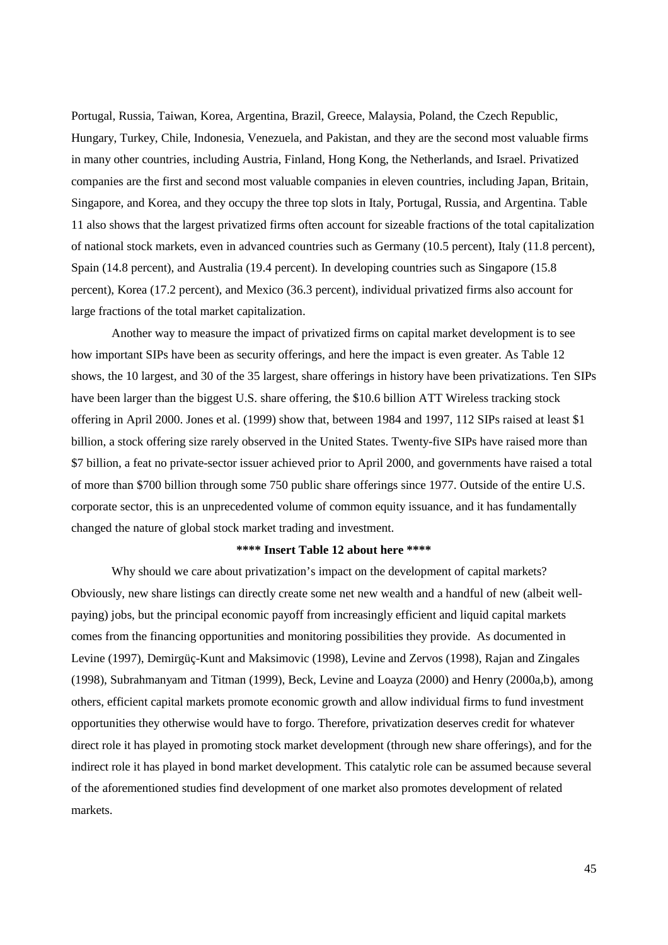Portugal, Russia, Taiwan, Korea, Argentina, Brazil, Greece, Malaysia, Poland, the Czech Republic, Hungary, Turkey, Chile, Indonesia, Venezuela, and Pakistan, and they are the second most valuable firms in many other countries, including Austria, Finland, Hong Kong, the Netherlands, and Israel. Privatized companies are the first and second most valuable companies in eleven countries, including Japan, Britain, Singapore, and Korea, and they occupy the three top slots in Italy, Portugal, Russia, and Argentina. Table 11 also shows that the largest privatized firms often account for sizeable fractions of the total capitalization of national stock markets, even in advanced countries such as Germany (10.5 percent), Italy (11.8 percent), Spain (14.8 percent), and Australia (19.4 percent). In developing countries such as Singapore (15.8 percent), Korea (17.2 percent), and Mexico (36.3 percent), individual privatized firms also account for large fractions of the total market capitalization.

Another way to measure the impact of privatized firms on capital market development is to see how important SIPs have been as security offerings, and here the impact is even greater. As Table 12 shows, the 10 largest, and 30 of the 35 largest, share offerings in history have been privatizations. Ten SIPs have been larger than the biggest U.S. share offering, the \$10.6 billion ATT Wireless tracking stock offering in April 2000. Jones et al. (1999) show that, between 1984 and 1997, 112 SIPs raised at least \$1 billion, a stock offering size rarely observed in the United States. Twenty-five SIPs have raised more than \$7 billion, a feat no private-sector issuer achieved prior to April 2000, and governments have raised a total of more than \$700 billion through some 750 public share offerings since 1977. Outside of the entire U.S. corporate sector, this is an unprecedented volume of common equity issuance, and it has fundamentally changed the nature of global stock market trading and investment.

#### **\*\*\*\* Insert Table 12 about here \*\*\*\***

Why should we care about privatization's impact on the development of capital markets? Obviously, new share listings can directly create some net new wealth and a handful of new (albeit wellpaying) jobs, but the principal economic payoff from increasingly efficient and liquid capital markets comes from the financing opportunities and monitoring possibilities they provide. As documented in Levine (1997), Demirgüç-Kunt and Maksimovic (1998), Levine and Zervos (1998), Rajan and Zingales (1998), Subrahmanyam and Titman (1999), Beck, Levine and Loayza (2000) and Henry (2000a,b), among others, efficient capital markets promote economic growth and allow individual firms to fund investment opportunities they otherwise would have to forgo. Therefore, privatization deserves credit for whatever direct role it has played in promoting stock market development (through new share offerings), and for the indirect role it has played in bond market development. This catalytic role can be assumed because several of the aforementioned studies find development of one market also promotes development of related markets.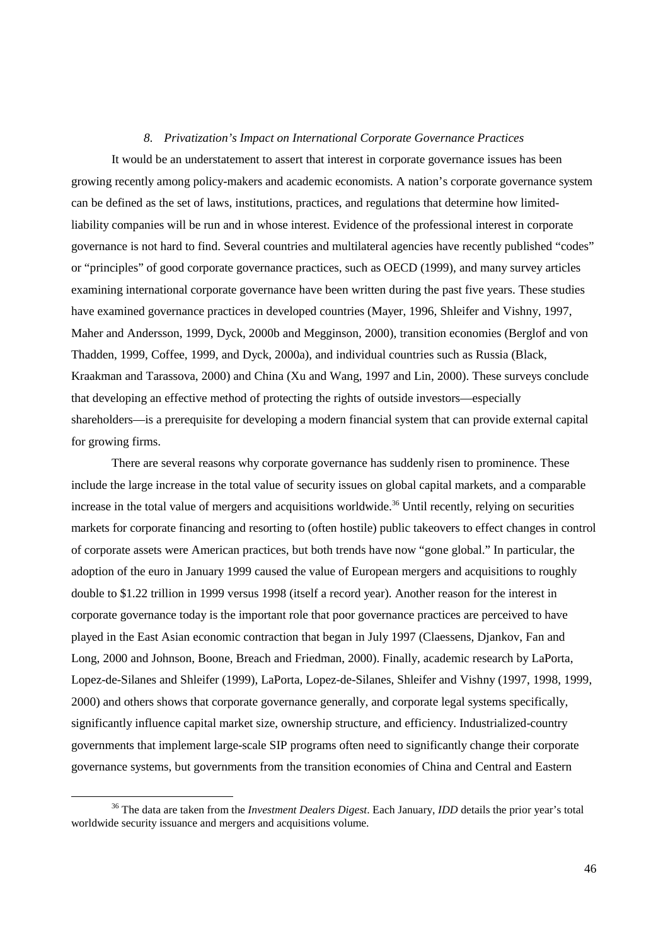#### *8. Privatization's Impact on International Corporate Governance Practices*

It would be an understatement to assert that interest in corporate governance issues has been growing recently among policy-makers and academic economists. A nation's corporate governance system can be defined as the set of laws, institutions, practices, and regulations that determine how limitedliability companies will be run and in whose interest. Evidence of the professional interest in corporate governance is not hard to find. Several countries and multilateral agencies have recently published "codes" or "principles" of good corporate governance practices, such as OECD (1999), and many survey articles examining international corporate governance have been written during the past five years. These studies have examined governance practices in developed countries (Mayer, 1996, Shleifer and Vishny, 1997, Maher and Andersson, 1999, Dyck, 2000b and Megginson, 2000), transition economies (Berglof and von Thadden, 1999, Coffee, 1999, and Dyck, 2000a), and individual countries such as Russia (Black, Kraakman and Tarassova, 2000) and China (Xu and Wang, 1997 and Lin, 2000). These surveys conclude that developing an effective method of protecting the rights of outside investors—especially shareholders—is a prerequisite for developing a modern financial system that can provide external capital for growing firms.

There are several reasons why corporate governance has suddenly risen to prominence. These include the large increase in the total value of security issues on global capital markets, and a comparable increase in the total value of mergers and acquisitions worldwide.<sup>36</sup> Until recently, relying on securities markets for corporate financing and resorting to (often hostile) public takeovers to effect changes in control of corporate assets were American practices, but both trends have now "gone global." In particular, the adoption of the euro in January 1999 caused the value of European mergers and acquisitions to roughly double to \$1.22 trillion in 1999 versus 1998 (itself a record year). Another reason for the interest in corporate governance today is the important role that poor governance practices are perceived to have played in the East Asian economic contraction that began in July 1997 (Claessens, Djankov, Fan and Long, 2000 and Johnson, Boone, Breach and Friedman, 2000). Finally, academic research by LaPorta, Lopez-de-Silanes and Shleifer (1999), LaPorta, Lopez-de-Silanes, Shleifer and Vishny (1997, 1998, 1999, 2000) and others shows that corporate governance generally, and corporate legal systems specifically, significantly influence capital market size, ownership structure, and efficiency. Industrialized-country governments that implement large-scale SIP programs often need to significantly change their corporate governance systems, but governments from the transition economies of China and Central and Eastern

<sup>36</sup> The data are taken from the *Investment Dealers Digest*. Each January, *IDD* details the prior year's total worldwide security issuance and mergers and acquisitions volume.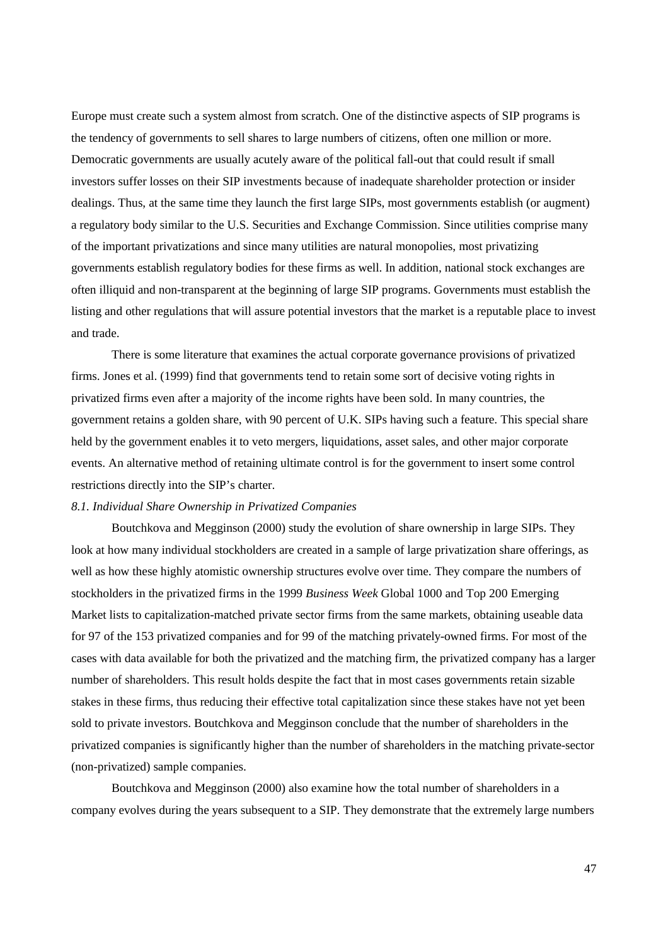Europe must create such a system almost from scratch. One of the distinctive aspects of SIP programs is the tendency of governments to sell shares to large numbers of citizens, often one million or more. Democratic governments are usually acutely aware of the political fall-out that could result if small investors suffer losses on their SIP investments because of inadequate shareholder protection or insider dealings. Thus, at the same time they launch the first large SIPs, most governments establish (or augment) a regulatory body similar to the U.S. Securities and Exchange Commission. Since utilities comprise many of the important privatizations and since many utilities are natural monopolies, most privatizing governments establish regulatory bodies for these firms as well. In addition, national stock exchanges are often illiquid and non-transparent at the beginning of large SIP programs. Governments must establish the listing and other regulations that will assure potential investors that the market is a reputable place to invest and trade.

There is some literature that examines the actual corporate governance provisions of privatized firms. Jones et al. (1999) find that governments tend to retain some sort of decisive voting rights in privatized firms even after a majority of the income rights have been sold. In many countries, the government retains a golden share, with 90 percent of U.K. SIPs having such a feature. This special share held by the government enables it to veto mergers, liquidations, asset sales, and other major corporate events. An alternative method of retaining ultimate control is for the government to insert some control restrictions directly into the SIP's charter.

#### *8.1. Individual Share Ownership in Privatized Companies*

Boutchkova and Megginson (2000) study the evolution of share ownership in large SIPs. They look at how many individual stockholders are created in a sample of large privatization share offerings, as well as how these highly atomistic ownership structures evolve over time. They compare the numbers of stockholders in the privatized firms in the 1999 *Business Week* Global 1000 and Top 200 Emerging Market lists to capitalization-matched private sector firms from the same markets, obtaining useable data for 97 of the 153 privatized companies and for 99 of the matching privately-owned firms. For most of the cases with data available for both the privatized and the matching firm, the privatized company has a larger number of shareholders. This result holds despite the fact that in most cases governments retain sizable stakes in these firms, thus reducing their effective total capitalization since these stakes have not yet been sold to private investors. Boutchkova and Megginson conclude that the number of shareholders in the privatized companies is significantly higher than the number of shareholders in the matching private-sector (non-privatized) sample companies.

Boutchkova and Megginson (2000) also examine how the total number of shareholders in a company evolves during the years subsequent to a SIP. They demonstrate that the extremely large numbers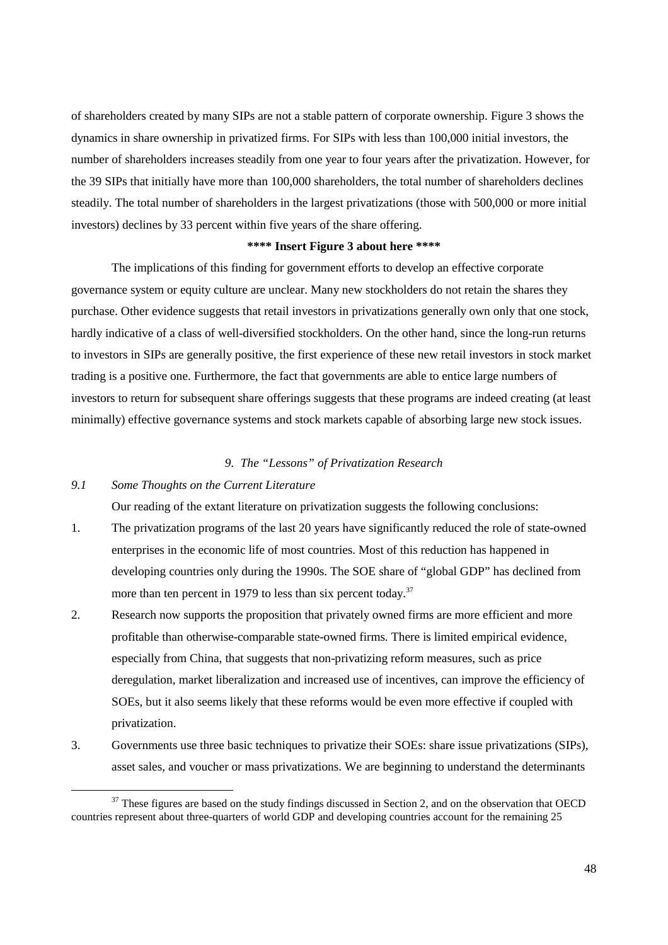of shareholders created by many SIPs are not a stable pattern of corporate ownership. Figure 3 shows the dynamics in share ownership in privatized firms. For SIPs with less than 100,000 initial investors, the number of shareholders increases steadily from one year to four years after the privatization. However, for the 39 SIPs that initially have more than 100,000 shareholders, the total number of shareholders declines steadily. The total number of shareholders in the largest privatizations (those with 500,000 or more initial investors) declines by 33 percent within five years of the share offering.

#### **\*\*\*\* Insert Figure 3 about here \*\*\*\***

The implications of this finding for government efforts to develop an effective corporate governance system or equity culture are unclear. Many new stockholders do not retain the shares they purchase. Other evidence suggests that retail investors in privatizations generally own only that one stock, hardly indicative of a class of well-diversified stockholders. On the other hand, since the long-run returns to investors in SIPs are generally positive, the first experience of these new retail investors in stock market trading is a positive one. Furthermore, the fact that governments are able to entice large numbers of investors to return for subsequent share offerings suggests that these programs are indeed creating (at least minimally) effective governance systems and stock markets capable of absorbing large new stock issues.

#### *9. The "Lessons" of Privatization Research*

## *9.1 Some Thoughts on the Current Literature*

Our reading of the extant literature on privatization suggests the following conclusions:

- 1. The privatization programs of the last 20 years have significantly reduced the role of state-owned enterprises in the economic life of most countries. Most of this reduction has happened in developing countries only during the 1990s. The SOE share of "global GDP" has declined from more than ten percent in 1979 to less than six percent today.<sup>37</sup>
- 2. Research now supports the proposition that privately owned firms are more efficient and more profitable than otherwise-comparable state-owned firms. There is limited empirical evidence, especially from China, that suggests that non-privatizing reform measures, such as price deregulation, market liberalization and increased use of incentives, can improve the efficiency of SOEs, but it also seems likely that these reforms would be even more effective if coupled with privatization.
- 3. Governments use three basic techniques to privatize their SOEs: share issue privatizations (SIPs), asset sales, and voucher or mass privatizations. We are beginning to understand the determinants

 $37$  These figures are based on the study findings discussed in Section 2, and on the observation that OECD countries represent about three-quarters of world GDP and developing countries account for the remaining 25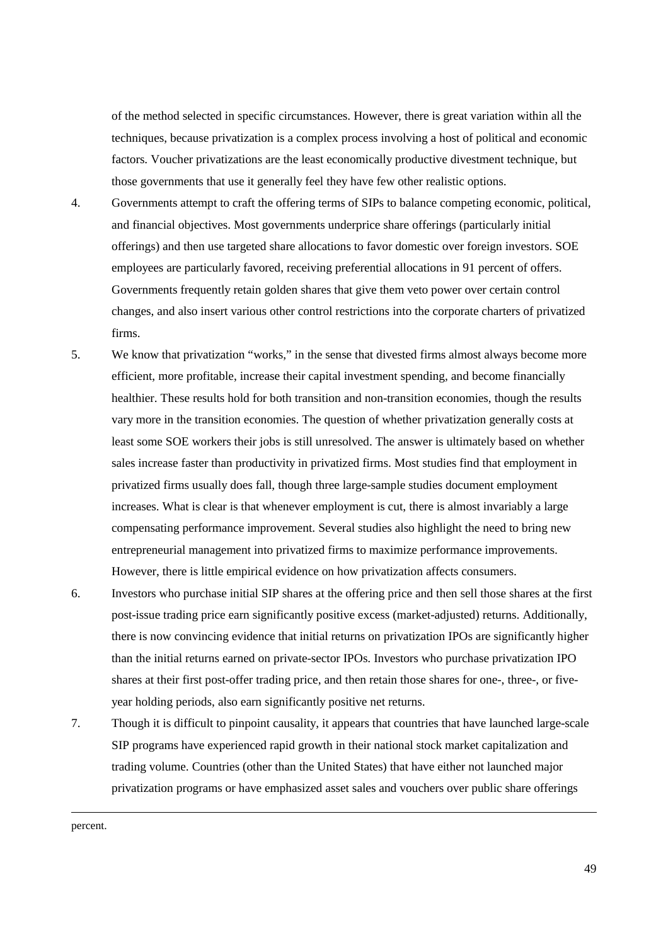of the method selected in specific circumstances. However, there is great variation within all the techniques, because privatization is a complex process involving a host of political and economic factors. Voucher privatizations are the least economically productive divestment technique, but those governments that use it generally feel they have few other realistic options.

- 4. Governments attempt to craft the offering terms of SIPs to balance competing economic, political, and financial objectives. Most governments underprice share offerings (particularly initial offerings) and then use targeted share allocations to favor domestic over foreign investors. SOE employees are particularly favored, receiving preferential allocations in 91 percent of offers. Governments frequently retain golden shares that give them veto power over certain control changes, and also insert various other control restrictions into the corporate charters of privatized firms.
- 5. We know that privatization "works," in the sense that divested firms almost always become more efficient, more profitable, increase their capital investment spending, and become financially healthier. These results hold for both transition and non-transition economies, though the results vary more in the transition economies. The question of whether privatization generally costs at least some SOE workers their jobs is still unresolved. The answer is ultimately based on whether sales increase faster than productivity in privatized firms. Most studies find that employment in privatized firms usually does fall, though three large-sample studies document employment increases. What is clear is that whenever employment is cut, there is almost invariably a large compensating performance improvement. Several studies also highlight the need to bring new entrepreneurial management into privatized firms to maximize performance improvements. However, there is little empirical evidence on how privatization affects consumers.
- 6. Investors who purchase initial SIP shares at the offering price and then sell those shares at the first post-issue trading price earn significantly positive excess (market-adjusted) returns. Additionally, there is now convincing evidence that initial returns on privatization IPOs are significantly higher than the initial returns earned on private-sector IPOs. Investors who purchase privatization IPO shares at their first post-offer trading price, and then retain those shares for one-, three-, or fiveyear holding periods, also earn significantly positive net returns.
- 7. Though it is difficult to pinpoint causality, it appears that countries that have launched large-scale SIP programs have experienced rapid growth in their national stock market capitalization and trading volume. Countries (other than the United States) that have either not launched major privatization programs or have emphasized asset sales and vouchers over public share offerings

percent.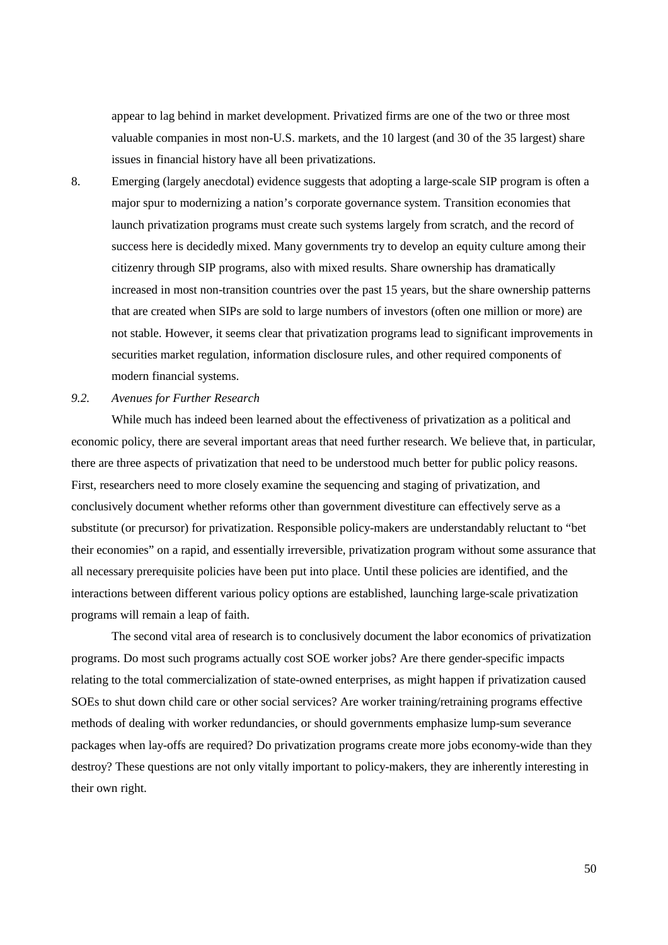appear to lag behind in market development. Privatized firms are one of the two or three most valuable companies in most non-U.S. markets, and the 10 largest (and 30 of the 35 largest) share issues in financial history have all been privatizations.

8. Emerging (largely anecdotal) evidence suggests that adopting a large-scale SIP program is often a major spur to modernizing a nation's corporate governance system. Transition economies that launch privatization programs must create such systems largely from scratch, and the record of success here is decidedly mixed. Many governments try to develop an equity culture among their citizenry through SIP programs, also with mixed results. Share ownership has dramatically increased in most non-transition countries over the past 15 years, but the share ownership patterns that are created when SIPs are sold to large numbers of investors (often one million or more) are not stable. However, it seems clear that privatization programs lead to significant improvements in securities market regulation, information disclosure rules, and other required components of modern financial systems.

#### *9.2. Avenues for Further Research*

While much has indeed been learned about the effectiveness of privatization as a political and economic policy, there are several important areas that need further research. We believe that, in particular, there are three aspects of privatization that need to be understood much better for public policy reasons. First, researchers need to more closely examine the sequencing and staging of privatization, and conclusively document whether reforms other than government divestiture can effectively serve as a substitute (or precursor) for privatization. Responsible policy-makers are understandably reluctant to "bet their economies" on a rapid, and essentially irreversible, privatization program without some assurance that all necessary prerequisite policies have been put into place. Until these policies are identified, and the interactions between different various policy options are established, launching large-scale privatization programs will remain a leap of faith.

The second vital area of research is to conclusively document the labor economics of privatization programs. Do most such programs actually cost SOE worker jobs? Are there gender-specific impacts relating to the total commercialization of state-owned enterprises, as might happen if privatization caused SOEs to shut down child care or other social services? Are worker training/retraining programs effective methods of dealing with worker redundancies, or should governments emphasize lump-sum severance packages when lay-offs are required? Do privatization programs create more jobs economy-wide than they destroy? These questions are not only vitally important to policy-makers, they are inherently interesting in their own right.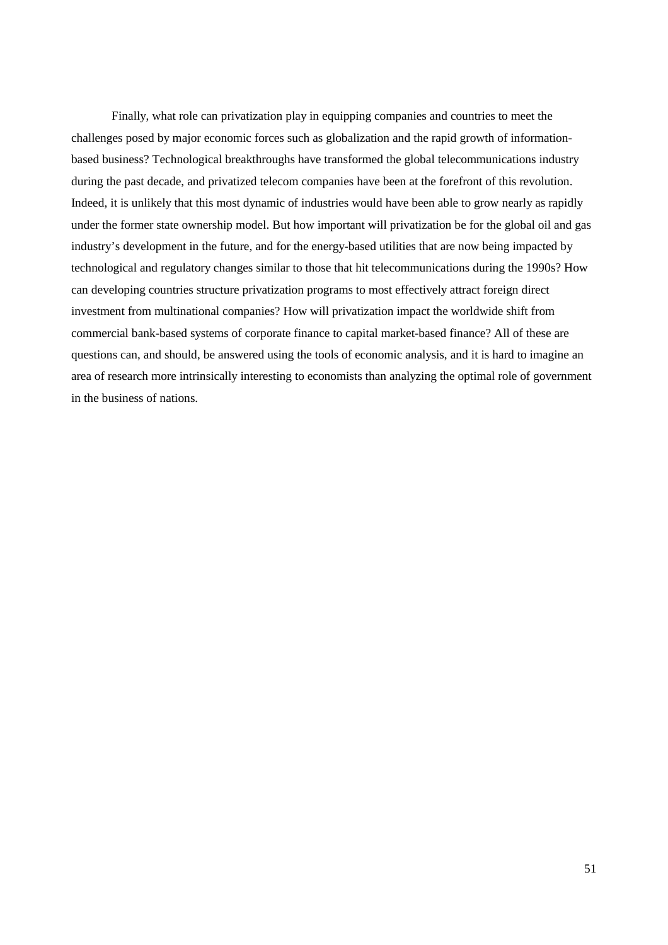Finally, what role can privatization play in equipping companies and countries to meet the challenges posed by major economic forces such as globalization and the rapid growth of informationbased business? Technological breakthroughs have transformed the global telecommunications industry during the past decade, and privatized telecom companies have been at the forefront of this revolution. Indeed, it is unlikely that this most dynamic of industries would have been able to grow nearly as rapidly under the former state ownership model. But how important will privatization be for the global oil and gas industry's development in the future, and for the energy-based utilities that are now being impacted by technological and regulatory changes similar to those that hit telecommunications during the 1990s? How can developing countries structure privatization programs to most effectively attract foreign direct investment from multinational companies? How will privatization impact the worldwide shift from commercial bank-based systems of corporate finance to capital market-based finance? All of these are questions can, and should, be answered using the tools of economic analysis, and it is hard to imagine an area of research more intrinsically interesting to economists than analyzing the optimal role of government in the business of nations.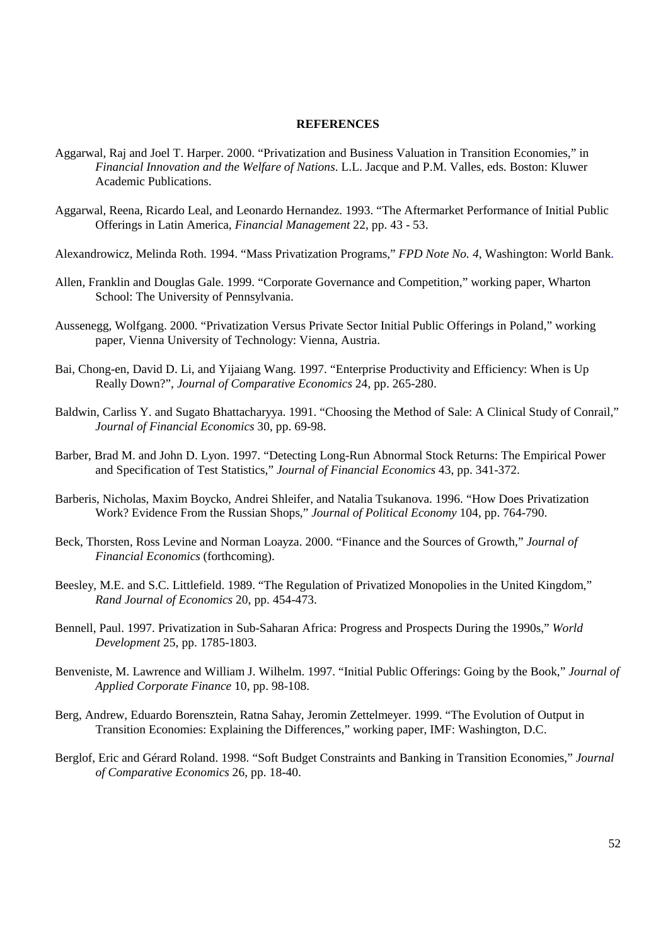#### **REFERENCES**

- Aggarwal, Raj and Joel T. Harper. 2000. "Privatization and Business Valuation in Transition Economies," in *Financial Innovation and the Welfare of Nations*. L.L. Jacque and P.M. Valles, eds. Boston: Kluwer Academic Publications.
- Aggarwal, Reena, Ricardo Leal, and Leonardo Hernandez. 1993. "The Aftermarket Performance of Initial Public Offerings in Latin America, *Financial Management* 22, pp. 43 - 53.

Alexandrowicz, Melinda Roth. 1994. "Mass Privatization Programs," *FPD Note No. 4*, Washington: World Bank.

- Allen, Franklin and Douglas Gale. 1999. "Corporate Governance and Competition," working paper, Wharton School: The University of Pennsylvania.
- Aussenegg, Wolfgang. 2000. "Privatization Versus Private Sector Initial Public Offerings in Poland," working paper, Vienna University of Technology: Vienna, Austria.
- Bai, Chong-en, David D. Li, and Yijaiang Wang. 1997. "Enterprise Productivity and Efficiency: When is Up Really Down?", *Journal of Comparative Economics* 24, pp. 265-280.
- Baldwin, Carliss Y. and Sugato Bhattacharyya. 1991. "Choosing the Method of Sale: A Clinical Study of Conrail," *Journal of Financial Economics* 30, pp. 69-98.
- Barber, Brad M. and John D. Lyon. 1997. "Detecting Long-Run Abnormal Stock Returns: The Empirical Power and Specification of Test Statistics," *Journal of Financial Economics* 43, pp. 341-372.
- Barberis, Nicholas, Maxim Boycko, Andrei Shleifer, and Natalia Tsukanova. 1996. "How Does Privatization Work? Evidence From the Russian Shops," *Journal of Political Economy* 104, pp. 764-790.
- Beck, Thorsten, Ross Levine and Norman Loayza. 2000. "Finance and the Sources of Growth," *Journal of Financial Economics* (forthcoming).
- Beesley, M.E. and S.C. Littlefield. 1989. "The Regulation of Privatized Monopolies in the United Kingdom," *Rand Journal of Economics* 20, pp. 454-473.
- Bennell, Paul. 1997. Privatization in Sub-Saharan Africa: Progress and Prospects During the 1990s," *World Development* 25, pp. 1785-1803.
- Benveniste, M. Lawrence and William J. Wilhelm. 1997. "Initial Public Offerings: Going by the Book," *Journal of Applied Corporate Finance* 10, pp. 98-108.
- Berg, Andrew, Eduardo Borensztein, Ratna Sahay, Jeromin Zettelmeyer. 1999. "The Evolution of Output in Transition Economies: Explaining the Differences," working paper, IMF: Washington, D.C.
- Berglof, Eric and Gérard Roland. 1998. "Soft Budget Constraints and Banking in Transition Economies," *Journal of Comparative Economics* 26, pp. 18-40.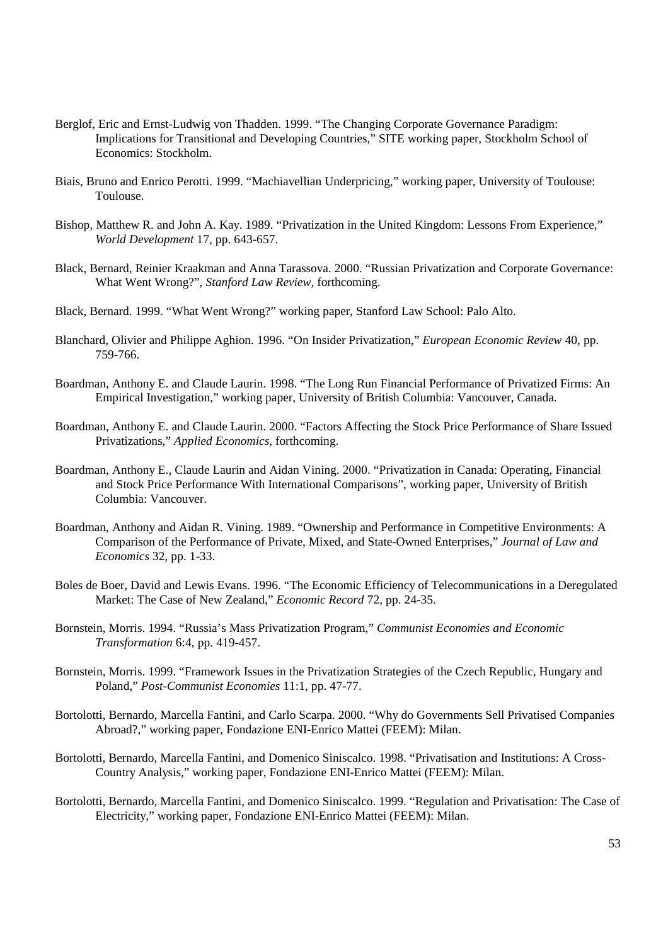- Berglof, Eric and Ernst-Ludwig von Thadden. 1999. "The Changing Corporate Governance Paradigm: Implications for Transitional and Developing Countries," SITE working paper, Stockholm School of Economics: Stockholm.
- Biais, Bruno and Enrico Perotti. 1999. "Machiavellian Underpricing," working paper, University of Toulouse: Toulouse.
- Bishop, Matthew R. and John A. Kay. 1989. "Privatization in the United Kingdom: Lessons From Experience," *World Development* 17, pp. 643-657.
- Black, Bernard, Reinier Kraakman and Anna Tarassova. 2000. "Russian Privatization and Corporate Governance: What Went Wrong?", *Stanford Law Review*, forthcoming.
- Black, Bernard. 1999. "What Went Wrong?" working paper, Stanford Law School: Palo Alto.
- Blanchard, Olivier and Philippe Aghion. 1996. "On Insider Privatization," *European Economic Review* 40, pp. 759-766.
- Boardman, Anthony E. and Claude Laurin. 1998. "The Long Run Financial Performance of Privatized Firms: An Empirical Investigation," working paper, University of British Columbia: Vancouver, Canada.
- Boardman, Anthony E. and Claude Laurin. 2000. "Factors Affecting the Stock Price Performance of Share Issued Privatizations," *Applied Economics*, forthcoming.
- Boardman, Anthony E., Claude Laurin and Aidan Vining. 2000. "Privatization in Canada: Operating, Financial and Stock Price Performance With International Comparisons", working paper, University of British Columbia: Vancouver.
- Boardman, Anthony and Aidan R. Vining. 1989. "Ownership and Performance in Competitive Environments: A Comparison of the Performance of Private, Mixed, and State-Owned Enterprises," *Journal of Law and Economics* 32, pp. 1-33.
- Boles de Boer, David and Lewis Evans. 1996. "The Economic Efficiency of Telecommunications in a Deregulated Market: The Case of New Zealand," *Economic Record* 72, pp. 24-35.
- Bornstein, Morris. 1994. "Russia's Mass Privatization Program," *Communist Economies and Economic Transformation* 6:4, pp. 419-457.
- Bornstein, Morris. 1999. "Framework Issues in the Privatization Strategies of the Czech Republic, Hungary and Poland," *Post-Communist Economies* 11:1, pp. 47-77.
- Bortolotti, Bernardo, Marcella Fantini, and Carlo Scarpa. 2000. "Why do Governments Sell Privatised Companies Abroad?," working paper, Fondazione ENI-Enrico Mattei (FEEM): Milan.
- Bortolotti, Bernardo, Marcella Fantini, and Domenico Siniscalco. 1998. "Privatisation and Institutions: A Cross-Country Analysis," working paper, Fondazione ENI-Enrico Mattei (FEEM): Milan.
- Bortolotti, Bernardo, Marcella Fantini, and Domenico Siniscalco. 1999. "Regulation and Privatisation: The Case of Electricity," working paper, Fondazione ENI-Enrico Mattei (FEEM): Milan.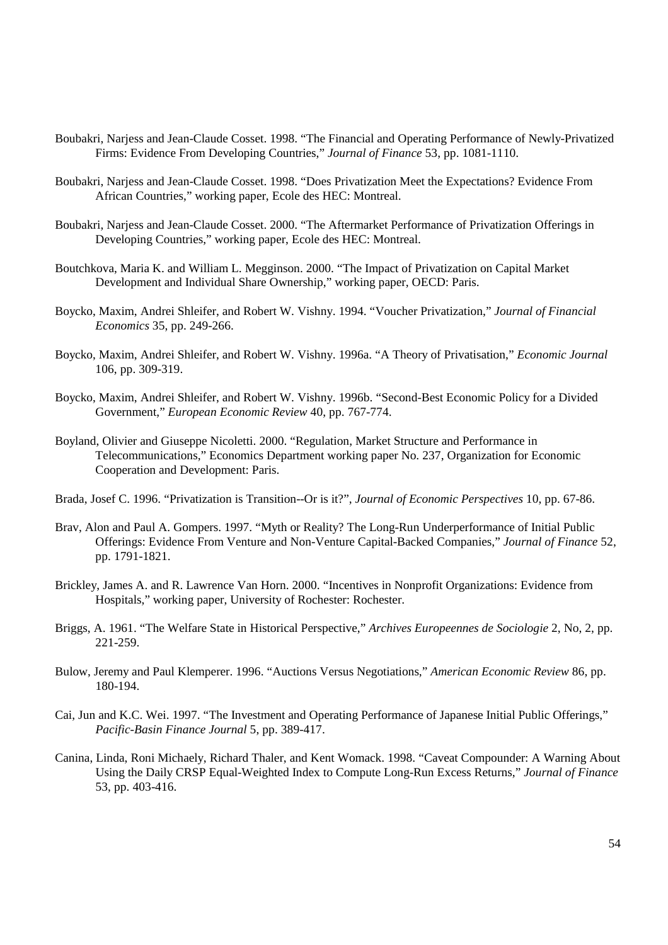- Boubakri, Narjess and Jean-Claude Cosset. 1998. "The Financial and Operating Performance of Newly-Privatized Firms: Evidence From Developing Countries," *Journal of Finance* 53, pp. 1081-1110.
- Boubakri, Narjess and Jean-Claude Cosset. 1998. "Does Privatization Meet the Expectations? Evidence From African Countries," working paper, Ecole des HEC: Montreal.
- Boubakri, Narjess and Jean-Claude Cosset. 2000. "The Aftermarket Performance of Privatization Offerings in Developing Countries," working paper, Ecole des HEC: Montreal.
- Boutchkova, Maria K. and William L. Megginson. 2000. "The Impact of Privatization on Capital Market Development and Individual Share Ownership," working paper, OECD: Paris.
- Boycko, Maxim, Andrei Shleifer, and Robert W. Vishny. 1994. "Voucher Privatization," *Journal of Financial Economics* 35, pp. 249-266.
- Boycko, Maxim, Andrei Shleifer, and Robert W. Vishny. 1996a. "A Theory of Privatisation," *Economic Journal* 106, pp. 309-319.
- Boycko, Maxim, Andrei Shleifer, and Robert W. Vishny. 1996b. "Second-Best Economic Policy for a Divided Government," *European Economic Review* 40, pp. 767-774.
- Boyland, Olivier and Giuseppe Nicoletti. 2000. "Regulation, Market Structure and Performance in Telecommunications," Economics Department working paper No. 237, Organization for Economic Cooperation and Development: Paris.
- Brada, Josef C. 1996. "Privatization is Transition--Or is it?", *Journal of Economic Perspectives* 10, pp. 67-86.
- Brav, Alon and Paul A. Gompers. 1997. "Myth or Reality? The Long-Run Underperformance of Initial Public Offerings: Evidence From Venture and Non-Venture Capital-Backed Companies," *Journal of Finance* 52, pp. 1791-1821.
- Brickley, James A. and R. Lawrence Van Horn. 2000. "Incentives in Nonprofit Organizations: Evidence from Hospitals," working paper, University of Rochester: Rochester.
- Briggs, A. 1961. "The Welfare State in Historical Perspective," *Archives Europeennes de Sociologie* 2, No, 2, pp. 221-259.
- Bulow, Jeremy and Paul Klemperer. 1996. "Auctions Versus Negotiations," *American Economic Review* 86, pp. 180-194.
- Cai, Jun and K.C. Wei. 1997. "The Investment and Operating Performance of Japanese Initial Public Offerings," *Pacific-Basin Finance Journal* 5, pp. 389-417.
- Canina, Linda, Roni Michaely, Richard Thaler, and Kent Womack. 1998. "Caveat Compounder: A Warning About Using the Daily CRSP Equal-Weighted Index to Compute Long-Run Excess Returns," *Journal of Finance* 53, pp. 403-416.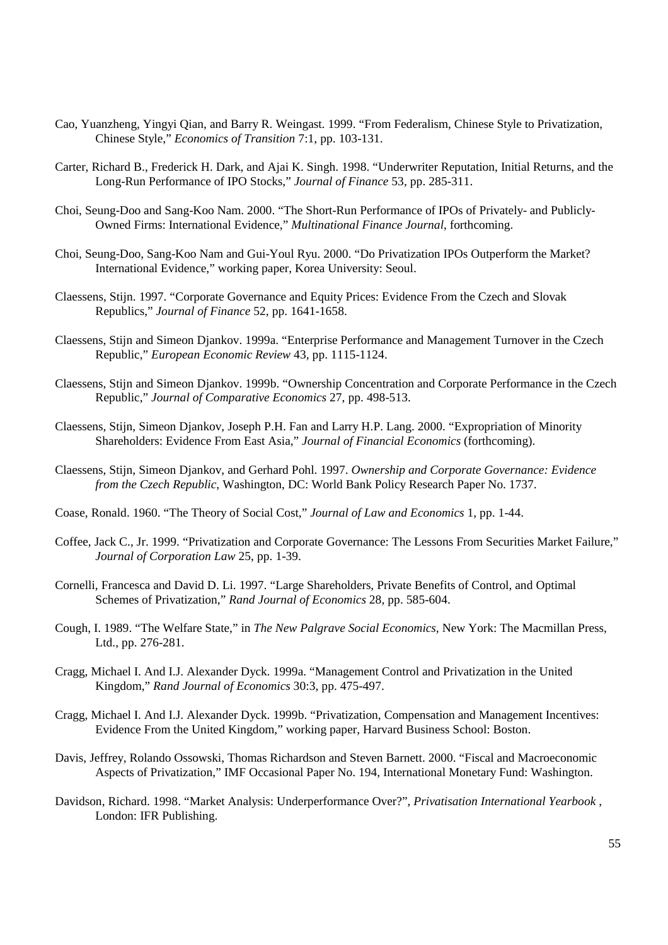- Cao, Yuanzheng, Yingyi Qian, and Barry R. Weingast. 1999. "From Federalism, Chinese Style to Privatization, Chinese Style," *Economics of Transition* 7:1, pp. 103-131.
- Carter, Richard B., Frederick H. Dark, and Ajai K. Singh. 1998. "Underwriter Reputation, Initial Returns, and the Long-Run Performance of IPO Stocks," *Journal of Finance* 53, pp. 285-311.
- Choi, Seung-Doo and Sang-Koo Nam. 2000. "The Short-Run Performance of IPOs of Privately- and Publicly-Owned Firms: International Evidence," *Multinational Finance Journal*, forthcoming.
- Choi, Seung-Doo, Sang-Koo Nam and Gui-Youl Ryu. 2000. "Do Privatization IPOs Outperform the Market? International Evidence," working paper, Korea University: Seoul.
- Claessens, Stijn. 1997. "Corporate Governance and Equity Prices: Evidence From the Czech and Slovak Republics," *Journal of Finance* 52, pp. 1641-1658.
- Claessens, Stijn and Simeon Djankov. 1999a. "Enterprise Performance and Management Turnover in the Czech Republic," *European Economic Review* 43, pp. 1115-1124.
- Claessens, Stijn and Simeon Djankov. 1999b. "Ownership Concentration and Corporate Performance in the Czech Republic," *Journal of Comparative Economics* 27, pp. 498-513.
- Claessens, Stijn, Simeon Djankov, Joseph P.H. Fan and Larry H.P. Lang. 2000. "Expropriation of Minority Shareholders: Evidence From East Asia," *Journal of Financial Economics* (forthcoming).
- Claessens, Stijn, Simeon Djankov, and Gerhard Pohl. 1997. *Ownership and Corporate Governance: Evidence from the Czech Republic*, Washington, DC: World Bank Policy Research Paper No. 1737.
- Coase, Ronald. 1960. "The Theory of Social Cost," *Journal of Law and Economics* 1, pp. 1-44.
- Coffee, Jack C., Jr. 1999. "Privatization and Corporate Governance: The Lessons From Securities Market Failure," *Journal of Corporation Law* 25, pp. 1-39.
- Cornelli, Francesca and David D. Li. 1997. "Large Shareholders, Private Benefits of Control, and Optimal Schemes of Privatization," *Rand Journal of Economics* 28, pp. 585-604.
- Cough, I. 1989. "The Welfare State," in *The New Palgrave Social Economics*, New York: The Macmillan Press, Ltd., pp. 276-281.
- Cragg, Michael I. And I.J. Alexander Dyck. 1999a. "Management Control and Privatization in the United Kingdom," *Rand Journal of Economics* 30:3, pp. 475-497.
- Cragg, Michael I. And I.J. Alexander Dyck. 1999b. "Privatization, Compensation and Management Incentives: Evidence From the United Kingdom," working paper, Harvard Business School: Boston.
- Davis, Jeffrey, Rolando Ossowski, Thomas Richardson and Steven Barnett. 2000. "Fiscal and Macroeconomic Aspects of Privatization," IMF Occasional Paper No. 194, International Monetary Fund: Washington.
- Davidson, Richard. 1998. "Market Analysis: Underperformance Over?", *Privatisation International Yearbook* , London: IFR Publishing.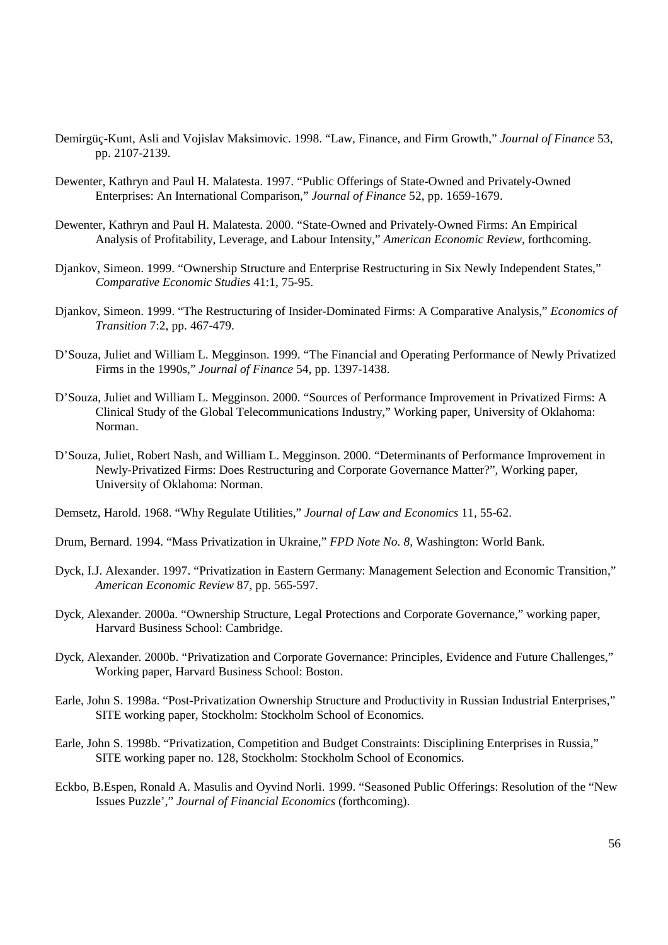- Demirgüç-Kunt, Asli and Vojislav Maksimovic. 1998. "Law, Finance, and Firm Growth," *Journal of Finance* 53, pp. 2107-2139.
- Dewenter, Kathryn and Paul H. Malatesta. 1997. "Public Offerings of State-Owned and Privately-Owned Enterprises: An International Comparison," *Journal of Finance* 52, pp. 1659-1679.
- Dewenter, Kathryn and Paul H. Malatesta. 2000. "State-Owned and Privately-Owned Firms: An Empirical Analysis of Profitability, Leverage, and Labour Intensity," *American Economic Review*, forthcoming.
- Djankov, Simeon. 1999. "Ownership Structure and Enterprise Restructuring in Six Newly Independent States," *Comparative Economic Studies* 41:1, 75-95.
- Djankov, Simeon. 1999. "The Restructuring of Insider-Dominated Firms: A Comparative Analysis," *Economics of Transition* 7:2, pp. 467-479.
- D'Souza, Juliet and William L. Megginson. 1999. "The Financial and Operating Performance of Newly Privatized Firms in the 1990s," *Journal of Finance* 54, pp. 1397-1438.
- D'Souza, Juliet and William L. Megginson. 2000. "Sources of Performance Improvement in Privatized Firms: A Clinical Study of the Global Telecommunications Industry," Working paper, University of Oklahoma: Norman.
- D'Souza, Juliet, Robert Nash, and William L. Megginson. 2000. "Determinants of Performance Improvement in Newly-Privatized Firms: Does Restructuring and Corporate Governance Matter?", Working paper, University of Oklahoma: Norman.
- Demsetz, Harold. 1968. "Why Regulate Utilities," *Journal of Law and Economics* 11, 55-62.
- Drum, Bernard. 1994. "Mass Privatization in Ukraine," *FPD Note No. 8*, Washington: World Bank.
- Dyck, I.J. Alexander. 1997. "Privatization in Eastern Germany: Management Selection and Economic Transition," *American Economic Review* 87, pp. 565-597.
- Dyck, Alexander. 2000a. "Ownership Structure, Legal Protections and Corporate Governance," working paper, Harvard Business School: Cambridge.
- Dyck, Alexander. 2000b. "Privatization and Corporate Governance: Principles, Evidence and Future Challenges," Working paper, Harvard Business School: Boston.
- Earle, John S. 1998a. "Post-Privatization Ownership Structure and Productivity in Russian Industrial Enterprises," SITE working paper, Stockholm: Stockholm School of Economics.
- Earle, John S. 1998b. "Privatization, Competition and Budget Constraints: Disciplining Enterprises in Russia," SITE working paper no. 128, Stockholm: Stockholm School of Economics.
- Eckbo, B.Espen, Ronald A. Masulis and Oyvind Norli. 1999. "Seasoned Public Offerings: Resolution of the "New Issues Puzzle'," *Journal of Financial Economics* (forthcoming).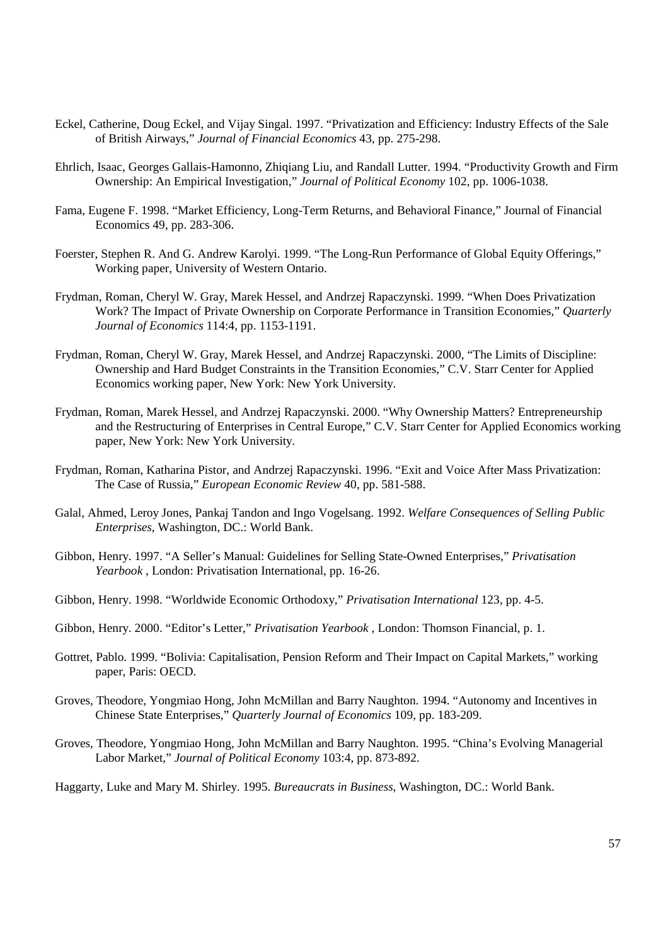- Eckel, Catherine, Doug Eckel, and Vijay Singal. 1997. "Privatization and Efficiency: Industry Effects of the Sale of British Airways," *Journal of Financial Economics* 43, pp. 275-298.
- Ehrlich, Isaac, Georges Gallais-Hamonno, Zhiqiang Liu, and Randall Lutter. 1994. "Productivity Growth and Firm Ownership: An Empirical Investigation," *Journal of Political Economy* 102, pp. 1006-1038.
- Fama, Eugene F. 1998. "Market Efficiency, Long-Term Returns, and Behavioral Finance," Journal of Financial Economics 49, pp. 283-306.
- Foerster, Stephen R. And G. Andrew Karolyi. 1999. "The Long-Run Performance of Global Equity Offerings," Working paper, University of Western Ontario.
- Frydman, Roman, Cheryl W. Gray, Marek Hessel, and Andrzej Rapaczynski. 1999. "When Does Privatization Work? The Impact of Private Ownership on Corporate Performance in Transition Economies," *Quarterly Journal of Economics* 114:4, pp. 1153-1191.
- Frydman, Roman, Cheryl W. Gray, Marek Hessel, and Andrzej Rapaczynski. 2000, "The Limits of Discipline: Ownership and Hard Budget Constraints in the Transition Economies," C.V. Starr Center for Applied Economics working paper, New York: New York University.
- Frydman, Roman, Marek Hessel, and Andrzej Rapaczynski. 2000. "Why Ownership Matters? Entrepreneurship and the Restructuring of Enterprises in Central Europe," C.V. Starr Center for Applied Economics working paper, New York: New York University.
- Frydman, Roman, Katharina Pistor, and Andrzej Rapaczynski. 1996. "Exit and Voice After Mass Privatization: The Case of Russia," *European Economic Review* 40, pp. 581-588.
- Galal, Ahmed, Leroy Jones, Pankaj Tandon and Ingo Vogelsang. 1992. *Welfare Consequences of Selling Public Enterprises*, Washington, DC.: World Bank.
- Gibbon, Henry. 1997. "A Seller's Manual: Guidelines for Selling State-Owned Enterprises," *Privatisation Yearbook* , London: Privatisation International, pp. 16-26.
- Gibbon, Henry. 1998. "Worldwide Economic Orthodoxy," *Privatisation International* 123, pp. 4-5.
- Gibbon, Henry. 2000. "Editor's Letter," *Privatisation Yearbook* , London: Thomson Financial, p. 1.
- Gottret, Pablo. 1999. "Bolivia: Capitalisation, Pension Reform and Their Impact on Capital Markets," working paper, Paris: OECD.
- Groves, Theodore, Yongmiao Hong, John McMillan and Barry Naughton. 1994. "Autonomy and Incentives in Chinese State Enterprises," *Quarterly Journal of Economics* 109, pp. 183-209.
- Groves, Theodore, Yongmiao Hong, John McMillan and Barry Naughton. 1995. "China's Evolving Managerial Labor Market," *Journal of Political Economy* 103:4, pp. 873-892.

Haggarty, Luke and Mary M. Shirley. 1995. *Bureaucrats in Business*, Washington, DC.: World Bank.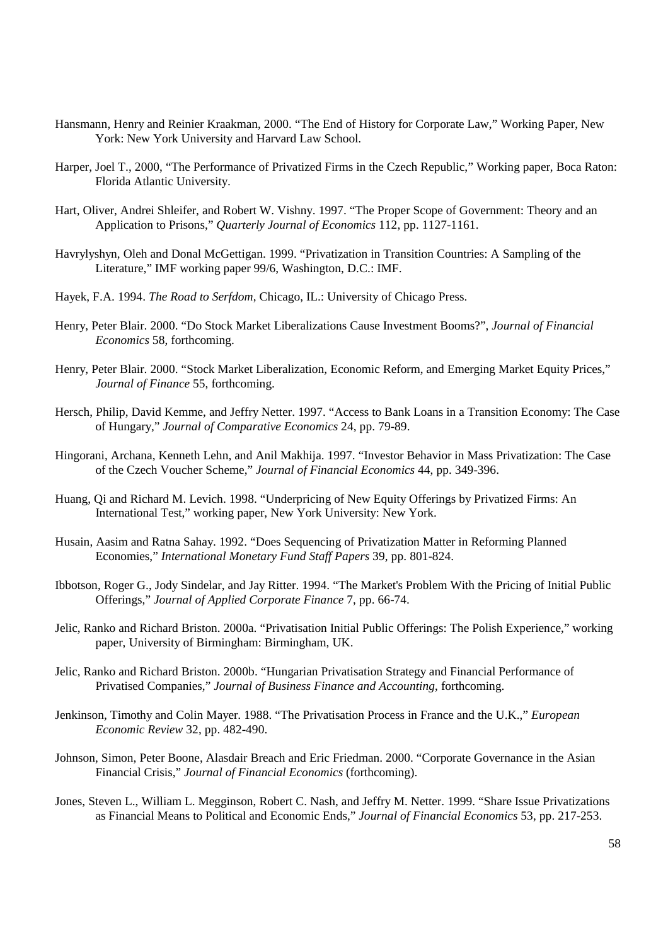- Hansmann, Henry and Reinier Kraakman, 2000. "The End of History for Corporate Law," Working Paper, New York: New York University and Harvard Law School.
- Harper, Joel T., 2000, "The Performance of Privatized Firms in the Czech Republic," Working paper, Boca Raton: Florida Atlantic University.
- Hart, Oliver, Andrei Shleifer, and Robert W. Vishny. 1997. "The Proper Scope of Government: Theory and an Application to Prisons," *Quarterly Journal of Economics* 112, pp. 1127-1161.
- Havrylyshyn, Oleh and Donal McGettigan. 1999. "Privatization in Transition Countries: A Sampling of the Literature," IMF working paper 99/6, Washington, D.C.: IMF.
- Hayek, F.A. 1994. *The Road to Serfdom*, Chicago, IL.: University of Chicago Press.
- Henry, Peter Blair. 2000. "Do Stock Market Liberalizations Cause Investment Booms?", *Journal of Financial Economics* 58, forthcoming.
- Henry, Peter Blair. 2000. "Stock Market Liberalization, Economic Reform, and Emerging Market Equity Prices," *Journal of Finance* 55, forthcoming.
- Hersch, Philip, David Kemme, and Jeffry Netter. 1997. "Access to Bank Loans in a Transition Economy: The Case of Hungary," *Journal of Comparative Economics* 24, pp. 79-89.
- Hingorani, Archana, Kenneth Lehn, and Anil Makhija. 1997. "Investor Behavior in Mass Privatization: The Case of the Czech Voucher Scheme," *Journal of Financial Economics* 44, pp. 349-396.
- Huang, Qi and Richard M. Levich. 1998. "Underpricing of New Equity Offerings by Privatized Firms: An International Test," working paper, New York University: New York.
- Husain, Aasim and Ratna Sahay. 1992. "Does Sequencing of Privatization Matter in Reforming Planned Economies," *International Monetary Fund Staff Papers* 39, pp. 801-824.
- Ibbotson, Roger G., Jody Sindelar, and Jay Ritter. 1994. "The Market's Problem With the Pricing of Initial Public Offerings," *Journal of Applied Corporate Finance* 7, pp. 66-74.
- Jelic, Ranko and Richard Briston. 2000a. "Privatisation Initial Public Offerings: The Polish Experience," working paper, University of Birmingham: Birmingham, UK.
- Jelic, Ranko and Richard Briston. 2000b. "Hungarian Privatisation Strategy and Financial Performance of Privatised Companies," *Journal of Business Finance and Accounting*, forthcoming.
- Jenkinson, Timothy and Colin Mayer. 1988. "The Privatisation Process in France and the U.K.," *European Economic Review* 32, pp. 482-490.
- Johnson, Simon, Peter Boone, Alasdair Breach and Eric Friedman. 2000. "Corporate Governance in the Asian Financial Crisis," *Journal of Financial Economics* (forthcoming).
- Jones, Steven L., William L. Megginson, Robert C. Nash, and Jeffry M. Netter. 1999. "Share Issue Privatizations as Financial Means to Political and Economic Ends," *Journal of Financial Economics* 53, pp. 217-253.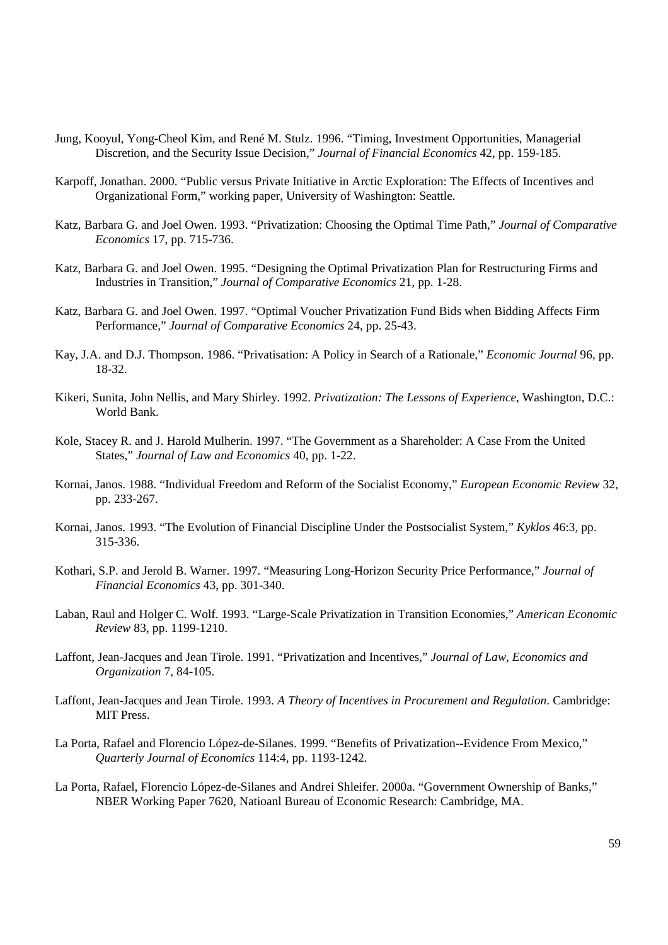- Jung, Kooyul, Yong-Cheol Kim, and René M. Stulz. 1996. "Timing, Investment Opportunities, Managerial Discretion, and the Security Issue Decision," *Journal of Financial Economics* 42, pp. 159-185.
- Karpoff, Jonathan. 2000. "Public versus Private Initiative in Arctic Exploration: The Effects of Incentives and Organizational Form," working paper, University of Washington: Seattle.
- Katz, Barbara G. and Joel Owen. 1993. "Privatization: Choosing the Optimal Time Path," *Journal of Comparative Economics* 17, pp. 715-736.
- Katz, Barbara G. and Joel Owen. 1995. "Designing the Optimal Privatization Plan for Restructuring Firms and Industries in Transition," *Journal of Comparative Economics* 21, pp. 1-28.
- Katz, Barbara G. and Joel Owen. 1997. "Optimal Voucher Privatization Fund Bids when Bidding Affects Firm Performance," *Journal of Comparative Economics* 24, pp. 25-43.
- Kay, J.A. and D.J. Thompson. 1986. "Privatisation: A Policy in Search of a Rationale," *Economic Journal* 96, pp. 18-32.
- Kikeri, Sunita, John Nellis, and Mary Shirley. 1992. *Privatization: The Lessons of Experience*, Washington, D.C.: World Bank.
- Kole, Stacey R. and J. Harold Mulherin. 1997. "The Government as a Shareholder: A Case From the United States," *Journal of Law and Economics* 40, pp. 1-22.
- Kornai, Janos. 1988. "Individual Freedom and Reform of the Socialist Economy," *European Economic Review* 32, pp. 233-267.
- Kornai, Janos. 1993. "The Evolution of Financial Discipline Under the Postsocialist System," *Kyklos* 46:3, pp. 315-336.
- Kothari, S.P. and Jerold B. Warner. 1997. "Measuring Long-Horizon Security Price Performance," *Journal of Financial Economics* 43, pp. 301-340.
- Laban, Raul and Holger C. Wolf. 1993. "Large-Scale Privatization in Transition Economies," *American Economic Review* 83, pp. 1199-1210.
- Laffont, Jean-Jacques and Jean Tirole. 1991. "Privatization and Incentives," *Journal of Law, Economics and Organization* 7, 84-105.
- Laffont, Jean-Jacques and Jean Tirole. 1993. *A Theory of Incentives in Procurement and Regulation*. Cambridge: MIT Press.
- La Porta, Rafael and Florencio López-de-Silanes. 1999. "Benefits of Privatization--Evidence From Mexico," *Quarterly Journal of Economics* 114:4, pp. 1193-1242.
- La Porta, Rafael, Florencio López-de-Silanes and Andrei Shleifer. 2000a. "Government Ownership of Banks," NBER Working Paper 7620, Natioanl Bureau of Economic Research: Cambridge, MA.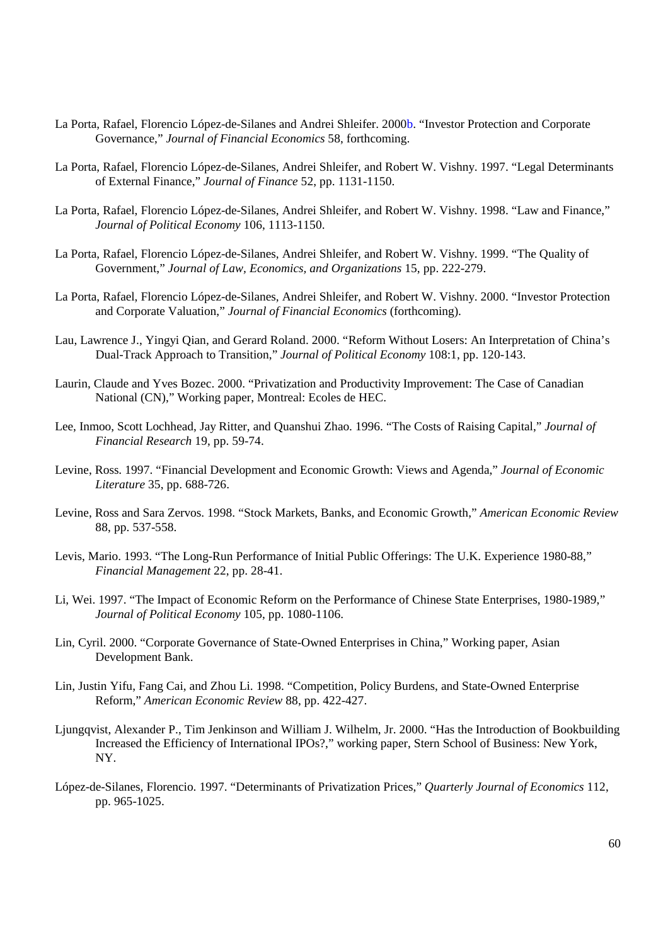- La Porta, Rafael, Florencio López-de-Silanes and Andrei Shleifer. 2000b. "Investor Protection and Corporate Governance," *Journal of Financial Economics* 58, forthcoming.
- La Porta, Rafael, Florencio López-de-Silanes, Andrei Shleifer, and Robert W. Vishny. 1997. "Legal Determinants of External Finance," *Journal of Finance* 52, pp. 1131-1150.
- La Porta, Rafael, Florencio López-de-Silanes, Andrei Shleifer, and Robert W. Vishny. 1998. "Law and Finance," *Journal of Political Economy* 106, 1113-1150.
- La Porta, Rafael, Florencio López-de-Silanes, Andrei Shleifer, and Robert W. Vishny. 1999. "The Quality of Government," *Journal of Law, Economics, and Organizations* 15, pp. 222-279.
- La Porta, Rafael, Florencio López-de-Silanes, Andrei Shleifer, and Robert W. Vishny. 2000. "Investor Protection and Corporate Valuation," *Journal of Financial Economics* (forthcoming).
- Lau, Lawrence J., Yingyi Qian, and Gerard Roland. 2000. "Reform Without Losers: An Interpretation of China's Dual-Track Approach to Transition," *Journal of Political Economy* 108:1, pp. 120-143.
- Laurin, Claude and Yves Bozec. 2000. "Privatization and Productivity Improvement: The Case of Canadian National (CN)," Working paper, Montreal: Ecoles de HEC.
- Lee, Inmoo, Scott Lochhead, Jay Ritter, and Quanshui Zhao. 1996. "The Costs of Raising Capital," *Journal of Financial Research* 19, pp. 59-74.
- Levine, Ross. 1997. "Financial Development and Economic Growth: Views and Agenda," *Journal of Economic Literature* 35, pp. 688-726.
- Levine, Ross and Sara Zervos. 1998. "Stock Markets, Banks, and Economic Growth," *American Economic Review* 88, pp. 537-558.
- Levis, Mario. 1993. "The Long-Run Performance of Initial Public Offerings: The U.K. Experience 1980-88," *Financial Management* 22, pp. 28-41.
- Li, Wei. 1997. "The Impact of Economic Reform on the Performance of Chinese State Enterprises, 1980-1989," *Journal of Political Economy* 105, pp. 1080-1106.
- Lin, Cyril. 2000. "Corporate Governance of State-Owned Enterprises in China," Working paper, Asian Development Bank.
- Lin, Justin Yifu, Fang Cai, and Zhou Li. 1998. "Competition, Policy Burdens, and State-Owned Enterprise Reform," *American Economic Review* 88, pp. 422-427.
- Ljungqvist, Alexander P., Tim Jenkinson and William J. Wilhelm, Jr. 2000. "Has the Introduction of Bookbuilding Increased the Efficiency of International IPOs?," working paper, Stern School of Business: New York, NY.
- López-de-Silanes, Florencio. 1997. "Determinants of Privatization Prices," *Quarterly Journal of Economics* 112, pp. 965-1025.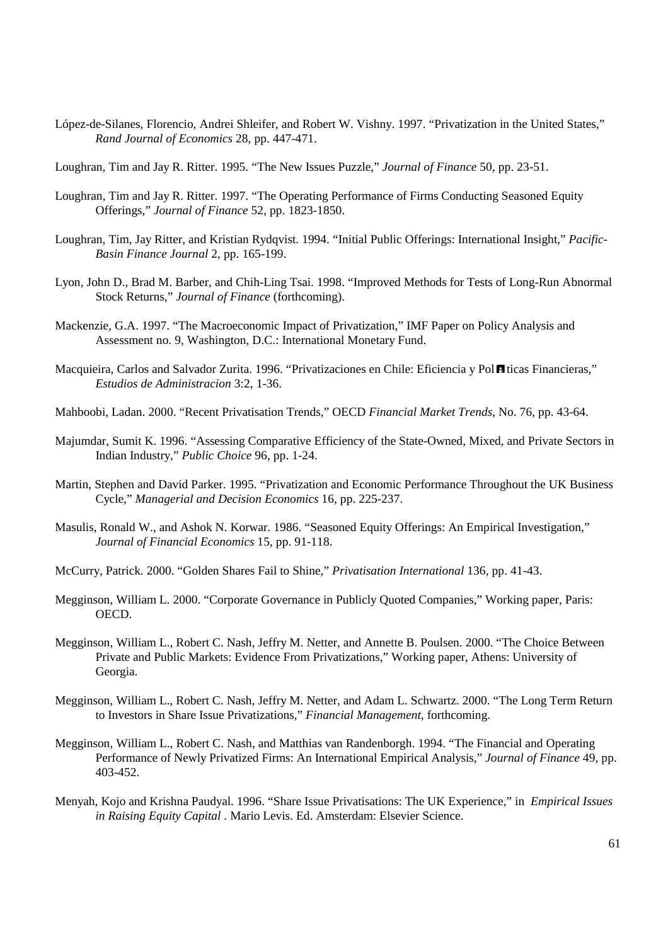- López-de-Silanes, Florencio, Andrei Shleifer, and Robert W. Vishny. 1997. "Privatization in the United States," *Rand Journal of Economics* 28, pp. 447-471.
- Loughran, Tim and Jay R. Ritter. 1995. "The New Issues Puzzle," *Journal of Finance* 50, pp. 23-51.
- Loughran, Tim and Jay R. Ritter. 1997. "The Operating Performance of Firms Conducting Seasoned Equity Offerings," *Journal of Finance* 52, pp. 1823-1850.
- Loughran, Tim, Jay Ritter, and Kristian Rydqvist. 1994. "Initial Public Offerings: International Insight," *Pacific-Basin Finance Journal* 2, pp. 165-199.
- Lyon, John D., Brad M. Barber, and Chih-Ling Tsai. 1998. "Improved Methods for Tests of Long-Run Abnormal Stock Returns," *Journal of Finance* (forthcoming).
- Mackenzie, G.A. 1997. "The Macroeconomic Impact of Privatization," IMF Paper on Policy Analysis and Assessment no. 9, Washington, D.C.: International Monetary Fund.
- Macquieira, Carlos and Salvador Zurita. 1996. "Privatizaciones en Chile: Eficiencia y Pol Hiticas Financieras," *Estudios de Administracion* 3:2, 1-36.
- Mahboobi, Ladan. 2000. "Recent Privatisation Trends," OECD *Financial Market Trends*, No. 76, pp. 43-64.
- Majumdar, Sumit K. 1996. "Assessing Comparative Efficiency of the State-Owned, Mixed, and Private Sectors in Indian Industry," *Public Choice* 96, pp. 1-24.
- Martin, Stephen and David Parker. 1995. "Privatization and Economic Performance Throughout the UK Business Cycle," *Managerial and Decision Economics* 16, pp. 225-237.
- Masulis, Ronald W., and Ashok N. Korwar. 1986. "Seasoned Equity Offerings: An Empirical Investigation," *Journal of Financial Economics* 15, pp. 91-118.
- McCurry, Patrick. 2000. "Golden Shares Fail to Shine," *Privatisation International* 136, pp. 41-43.
- Megginson, William L. 2000. "Corporate Governance in Publicly Quoted Companies," Working paper, Paris: OECD.
- Megginson, William L., Robert C. Nash, Jeffry M. Netter, and Annette B. Poulsen. 2000. "The Choice Between Private and Public Markets: Evidence From Privatizations," Working paper, Athens: University of Georgia.
- Megginson, William L., Robert C. Nash, Jeffry M. Netter, and Adam L. Schwartz. 2000. "The Long Term Return to Investors in Share Issue Privatizations," *Financial Management*, forthcoming.
- Megginson, William L., Robert C. Nash, and Matthias van Randenborgh. 1994. "The Financial and Operating Performance of Newly Privatized Firms: An International Empirical Analysis," *Journal of Finance* 49, pp. 403-452.
- Menyah, Kojo and Krishna Paudyal. 1996. "Share Issue Privatisations: The UK Experience," in *Empirical Issues in Raising Equity Capital* . Mario Levis. Ed. Amsterdam: Elsevier Science.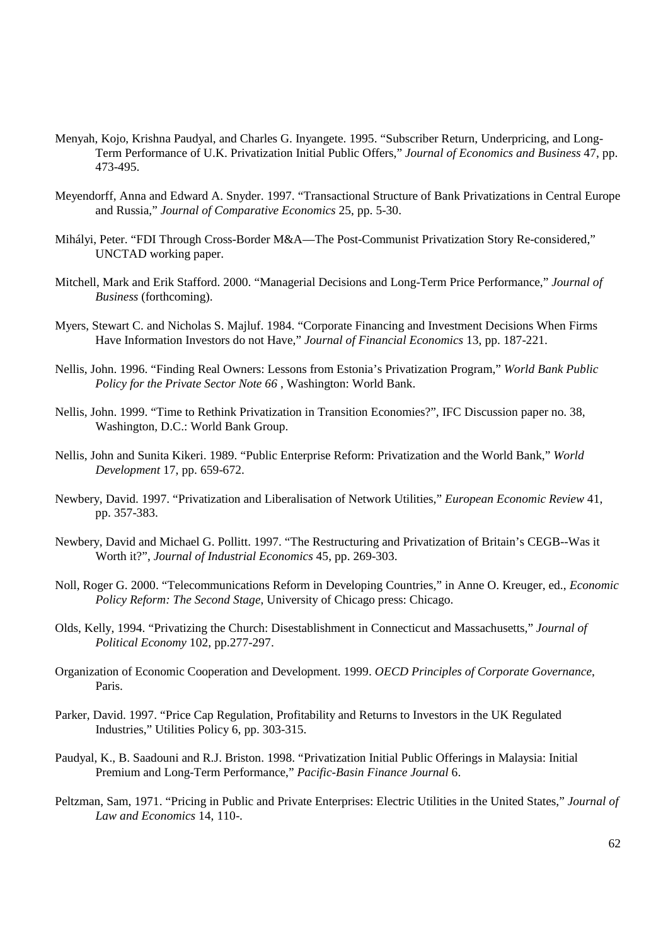- Menyah, Kojo, Krishna Paudyal, and Charles G. Inyangete. 1995. "Subscriber Return, Underpricing, and Long-Term Performance of U.K. Privatization Initial Public Offers," *Journal of Economics and Business* 47, pp. 473-495.
- Meyendorff, Anna and Edward A. Snyder. 1997. "Transactional Structure of Bank Privatizations in Central Europe and Russia," *Journal of Comparative Economics* 25, pp. 5-30.
- Mihályi, Peter. "FDI Through Cross-Border M&A—The Post-Communist Privatization Story Re-considered," UNCTAD working paper.
- Mitchell, Mark and Erik Stafford. 2000. "Managerial Decisions and Long-Term Price Performance," *Journal of Business* (forthcoming).
- Myers, Stewart C. and Nicholas S. Majluf. 1984. "Corporate Financing and Investment Decisions When Firms Have Information Investors do not Have," *Journal of Financial Economics* 13, pp. 187-221.
- Nellis, John. 1996. "Finding Real Owners: Lessons from Estonia's Privatization Program," *World Bank Public Policy for the Private Sector Note 66* , Washington: World Bank.
- Nellis, John. 1999. "Time to Rethink Privatization in Transition Economies?", IFC Discussion paper no. 38, Washington, D.C.: World Bank Group.
- Nellis, John and Sunita Kikeri. 1989. "Public Enterprise Reform: Privatization and the World Bank," *World Development* 17, pp. 659-672.
- Newbery, David. 1997. "Privatization and Liberalisation of Network Utilities," *European Economic Review* 41, pp. 357-383.
- Newbery, David and Michael G. Pollitt. 1997. "The Restructuring and Privatization of Britain's CEGB--Was it Worth it?", *Journal of Industrial Economics* 45, pp. 269-303.
- Noll, Roger G. 2000. "Telecommunications Reform in Developing Countries," in Anne O. Kreuger, ed., *Economic Policy Reform: The Second Stage*, University of Chicago press: Chicago.
- Olds, Kelly, 1994. "Privatizing the Church: Disestablishment in Connecticut and Massachusetts," *Journal of Political Economy* 102, pp.277-297.
- Organization of Economic Cooperation and Development. 1999. *OECD Principles of Corporate Governance*, Paris.
- Parker, David. 1997. "Price Cap Regulation, Profitability and Returns to Investors in the UK Regulated Industries," Utilities Policy 6, pp. 303-315.
- Paudyal, K., B. Saadouni and R.J. Briston. 1998. "Privatization Initial Public Offerings in Malaysia: Initial Premium and Long-Term Performance," *Pacific-Basin Finance Journal* 6.
- Peltzman, Sam, 1971. "Pricing in Public and Private Enterprises: Electric Utilities in the United States," *Journal of Law and Economics* 14, 110-.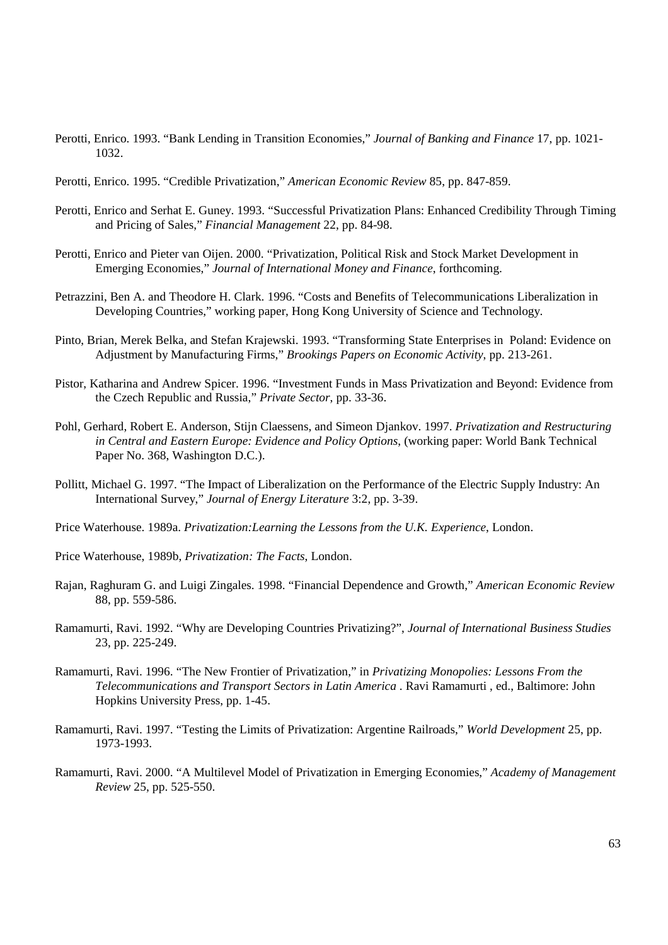- Perotti, Enrico. 1993. "Bank Lending in Transition Economies," *Journal of Banking and Finance* 17, pp. 1021- 1032.
- Perotti, Enrico. 1995. "Credible Privatization," *American Economic Review* 85, pp. 847-859.
- Perotti, Enrico and Serhat E. Guney. 1993. "Successful Privatization Plans: Enhanced Credibility Through Timing and Pricing of Sales," *Financial Management* 22, pp. 84-98.
- Perotti, Enrico and Pieter van Oijen. 2000. "Privatization, Political Risk and Stock Market Development in Emerging Economies," *Journal of International Money and Finance*, forthcoming.
- Petrazzini, Ben A. and Theodore H. Clark. 1996. "Costs and Benefits of Telecommunications Liberalization in Developing Countries," working paper, Hong Kong University of Science and Technology.
- Pinto, Brian, Merek Belka, and Stefan Krajewski. 1993. "Transforming State Enterprises in Poland: Evidence on Adjustment by Manufacturing Firms," *Brookings Papers on Economic Activity*, pp. 213-261.
- Pistor, Katharina and Andrew Spicer. 1996. "Investment Funds in Mass Privatization and Beyond: Evidence from the Czech Republic and Russia," *Private Sector*, pp. 33-36.
- Pohl, Gerhard, Robert E. Anderson, Stijn Claessens, and Simeon Djankov. 1997. *Privatization and Restructuring in Central and Eastern Europe: Evidence and Policy Options*, (working paper: World Bank Technical Paper No. 368, Washington D.C.).
- Pollitt, Michael G. 1997. "The Impact of Liberalization on the Performance of the Electric Supply Industry: An International Survey," *Journal of Energy Literature* 3:2, pp. 3-39.
- Price Waterhouse. 1989a. *Privatization:Learning the Lessons from the U.K. Experience*, London.
- Price Waterhouse, 1989b, *Privatization: The Facts*, London.
- Rajan, Raghuram G. and Luigi Zingales. 1998. "Financial Dependence and Growth," *American Economic Review* 88, pp. 559-586.
- Ramamurti, Ravi. 1992. "Why are Developing Countries Privatizing?", *Journal of International Business Studies* 23, pp. 225-249.
- Ramamurti, Ravi. 1996. "The New Frontier of Privatization," in *Privatizing Monopolies: Lessons From the Telecommunications and Transport Sectors in Latin America* . Ravi Ramamurti , ed., Baltimore: John Hopkins University Press, pp. 1-45.
- Ramamurti, Ravi. 1997. "Testing the Limits of Privatization: Argentine Railroads," *World Development* 25, pp. 1973-1993.
- Ramamurti, Ravi. 2000. "A Multilevel Model of Privatization in Emerging Economies," *Academy of Management Review* 25, pp. 525-550.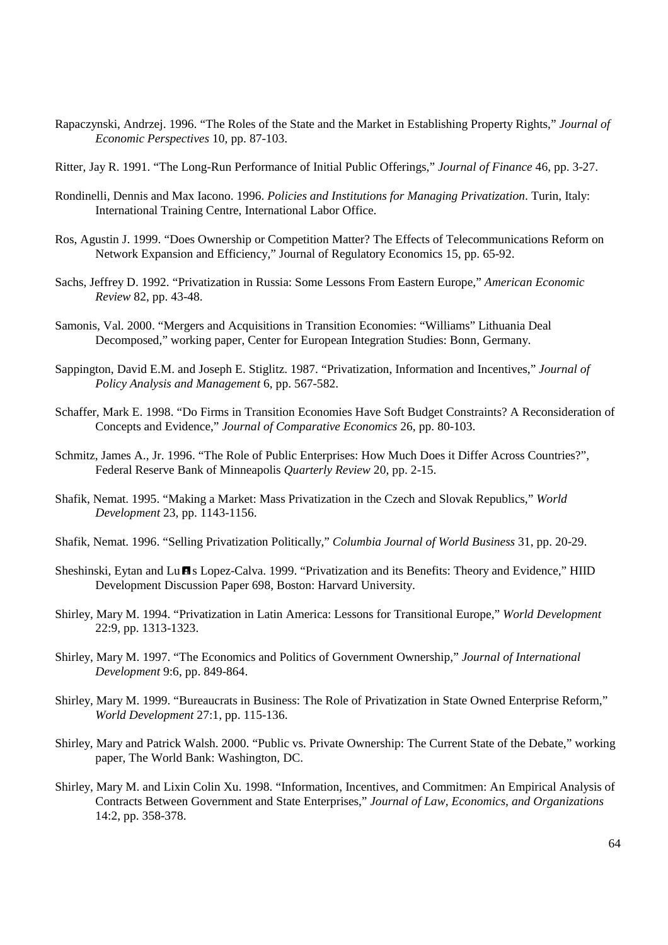- Rapaczynski, Andrzej. 1996. "The Roles of the State and the Market in Establishing Property Rights," *Journal of Economic Perspectives* 10, pp. 87-103.
- Ritter, Jay R. 1991. "The Long-Run Performance of Initial Public Offerings," *Journal of Finance* 46, pp. 3-27.
- Rondinelli, Dennis and Max Iacono. 1996. *Policies and Institutions for Managing Privatization*. Turin, Italy: International Training Centre, International Labor Office.
- Ros, Agustin J. 1999. "Does Ownership or Competition Matter? The Effects of Telecommunications Reform on Network Expansion and Efficiency," Journal of Regulatory Economics 15, pp. 65-92.
- Sachs, Jeffrey D. 1992. "Privatization in Russia: Some Lessons From Eastern Europe," *American Economic Review* 82, pp. 43-48.
- Samonis, Val. 2000. "Mergers and Acquisitions in Transition Economies: "Williams" Lithuania Deal Decomposed," working paper, Center for European Integration Studies: Bonn, Germany.
- Sappington, David E.M. and Joseph E. Stiglitz. 1987. "Privatization, Information and Incentives," *Journal of Policy Analysis and Management* 6, pp. 567-582.
- Schaffer, Mark E. 1998. "Do Firms in Transition Economies Have Soft Budget Constraints? A Reconsideration of Concepts and Evidence," *Journal of Comparative Economics* 26, pp. 80-103.
- Schmitz, James A., Jr. 1996. "The Role of Public Enterprises: How Much Does it Differ Across Countries?", Federal Reserve Bank of Minneapolis *Quarterly Review* 20, pp. 2-15.
- Shafik, Nemat. 1995. "Making a Market: Mass Privatization in the Czech and Slovak Republics," *World Development* 23, pp. 1143-1156.
- Shafik, Nemat. 1996. "Selling Privatization Politically," *Columbia Journal of World Business* 31, pp. 20-29.
- Sheshinski, Eytan and LuBs Lopez-Calva. 1999. "Privatization and its Benefits: Theory and Evidence," HIID Development Discussion Paper 698, Boston: Harvard University.
- Shirley, Mary M. 1994. "Privatization in Latin America: Lessons for Transitional Europe," *World Development* 22:9, pp. 1313-1323.
- Shirley, Mary M. 1997. "The Economics and Politics of Government Ownership," *Journal of International Development* 9:6, pp. 849-864.
- Shirley, Mary M. 1999. "Bureaucrats in Business: The Role of Privatization in State Owned Enterprise Reform," *World Development* 27:1, pp. 115-136.
- Shirley, Mary and Patrick Walsh. 2000. "Public vs. Private Ownership: The Current State of the Debate," working paper, The World Bank: Washington, DC.
- Shirley, Mary M. and Lixin Colin Xu. 1998. "Information, Incentives, and Commitmen: An Empirical Analysis of Contracts Between Government and State Enterprises," *Journal of Law, Economics, and Organizations* 14:2, pp. 358-378.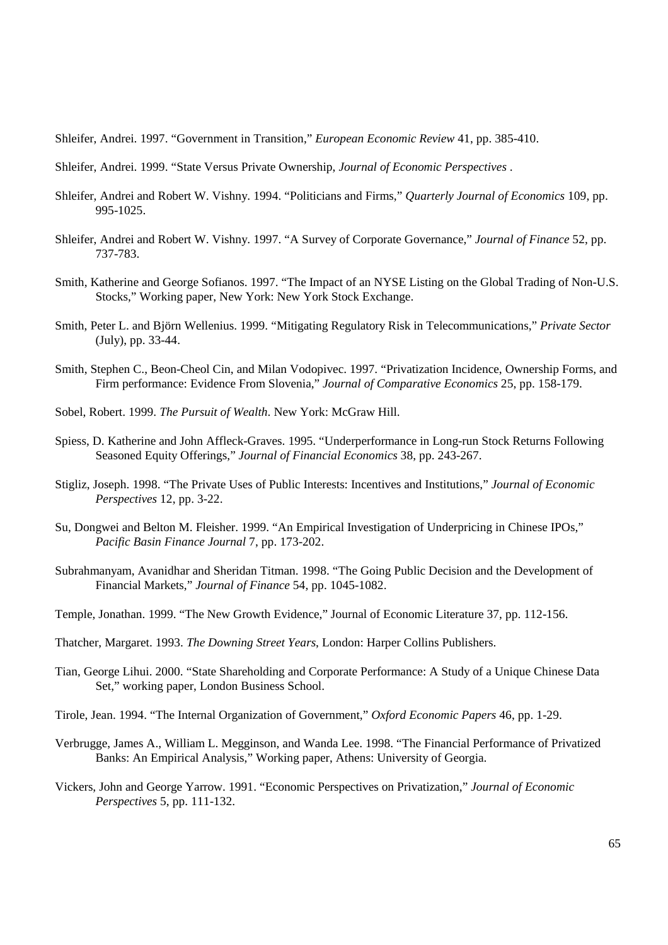Shleifer, Andrei. 1997. "Government in Transition," *European Economic Review* 41, pp. 385-410.

- Shleifer, Andrei. 1999. "State Versus Private Ownership, *Journal of Economic Perspectives* .
- Shleifer, Andrei and Robert W. Vishny. 1994. "Politicians and Firms," *Quarterly Journal of Economics* 109, pp. 995-1025.
- Shleifer, Andrei and Robert W. Vishny. 1997. "A Survey of Corporate Governance," *Journal of Finance* 52, pp. 737-783.
- Smith, Katherine and George Sofianos. 1997. "The Impact of an NYSE Listing on the Global Trading of Non-U.S. Stocks," Working paper, New York: New York Stock Exchange.
- Smith, Peter L. and Björn Wellenius. 1999. "Mitigating Regulatory Risk in Telecommunications," *Private Sector* (July), pp. 33-44.
- Smith, Stephen C., Beon-Cheol Cin, and Milan Vodopivec. 1997. "Privatization Incidence, Ownership Forms, and Firm performance: Evidence From Slovenia," *Journal of Comparative Economics* 25, pp. 158-179.
- Sobel, Robert. 1999. *The Pursuit of Wealth*. New York: McGraw Hill.
- Spiess, D. Katherine and John Affleck-Graves. 1995. "Underperformance in Long-run Stock Returns Following Seasoned Equity Offerings," *Journal of Financial Economics* 38, pp. 243-267.
- Stigliz, Joseph. 1998. "The Private Uses of Public Interests: Incentives and Institutions," *Journal of Economic Perspectives* 12, pp. 3-22.
- Su, Dongwei and Belton M. Fleisher. 1999. "An Empirical Investigation of Underpricing in Chinese IPOs," *Pacific Basin Finance Journal* 7, pp. 173-202.
- Subrahmanyam, Avanidhar and Sheridan Titman. 1998. "The Going Public Decision and the Development of Financial Markets," *Journal of Finance* 54, pp. 1045-1082.
- Temple, Jonathan. 1999. "The New Growth Evidence," Journal of Economic Literature 37, pp. 112-156.
- Thatcher, Margaret. 1993. *The Downing Street Years*, London: Harper Collins Publishers.
- Tian, George Lihui. 2000. "State Shareholding and Corporate Performance: A Study of a Unique Chinese Data Set," working paper, London Business School.
- Tirole, Jean. 1994. "The Internal Organization of Government," *Oxford Economic Papers* 46, pp. 1-29.
- Verbrugge, James A., William L. Megginson, and Wanda Lee. 1998. "The Financial Performance of Privatized Banks: An Empirical Analysis," Working paper, Athens: University of Georgia.
- Vickers, John and George Yarrow. 1991. "Economic Perspectives on Privatization," *Journal of Economic Perspectives* 5, pp. 111-132.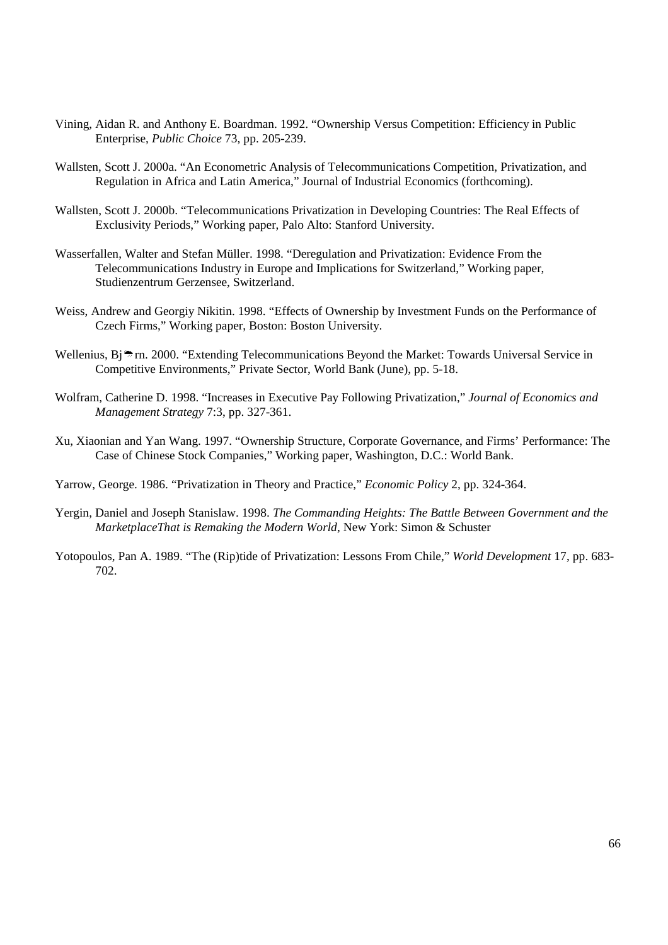- Vining, Aidan R. and Anthony E. Boardman. 1992. "Ownership Versus Competition: Efficiency in Public Enterprise, *Public Choice* 73, pp. 205-239.
- Wallsten, Scott J. 2000a. "An Econometric Analysis of Telecommunications Competition, Privatization, and Regulation in Africa and Latin America," Journal of Industrial Economics (forthcoming).
- Wallsten, Scott J. 2000b. "Telecommunications Privatization in Developing Countries: The Real Effects of Exclusivity Periods," Working paper, Palo Alto: Stanford University.
- Wasserfallen, Walter and Stefan Müller. 1998. "Deregulation and Privatization: Evidence From the Telecommunications Industry in Europe and Implications for Switzerland," Working paper, Studienzentrum Gerzensee, Switzerland.
- Weiss, Andrew and Georgiy Nikitin. 1998. "Effects of Ownership by Investment Funds on the Performance of Czech Firms," Working paper, Boston: Boston University.
- Wellenius, Bj<sup>-</sup>m. 2000. "Extending Telecommunications Beyond the Market: Towards Universal Service in Competitive Environments," Private Sector, World Bank (June), pp. 5-18.
- Wolfram, Catherine D. 1998. "Increases in Executive Pay Following Privatization," *Journal of Economics and Management Strategy* 7:3, pp. 327-361.
- Xu, Xiaonian and Yan Wang. 1997. "Ownership Structure, Corporate Governance, and Firms' Performance: The Case of Chinese Stock Companies," Working paper, Washington, D.C.: World Bank.
- Yarrow, George. 1986. "Privatization in Theory and Practice," *Economic Policy* 2, pp. 324-364.
- Yergin, Daniel and Joseph Stanislaw. 1998. *The Commanding Heights: The Battle Between Government and the MarketplaceThat is Remaking the Modern World*, New York: Simon & Schuster
- Yotopoulos, Pan A. 1989. "The (Rip)tide of Privatization: Lessons From Chile," *World Development* 17, pp. 683- 702.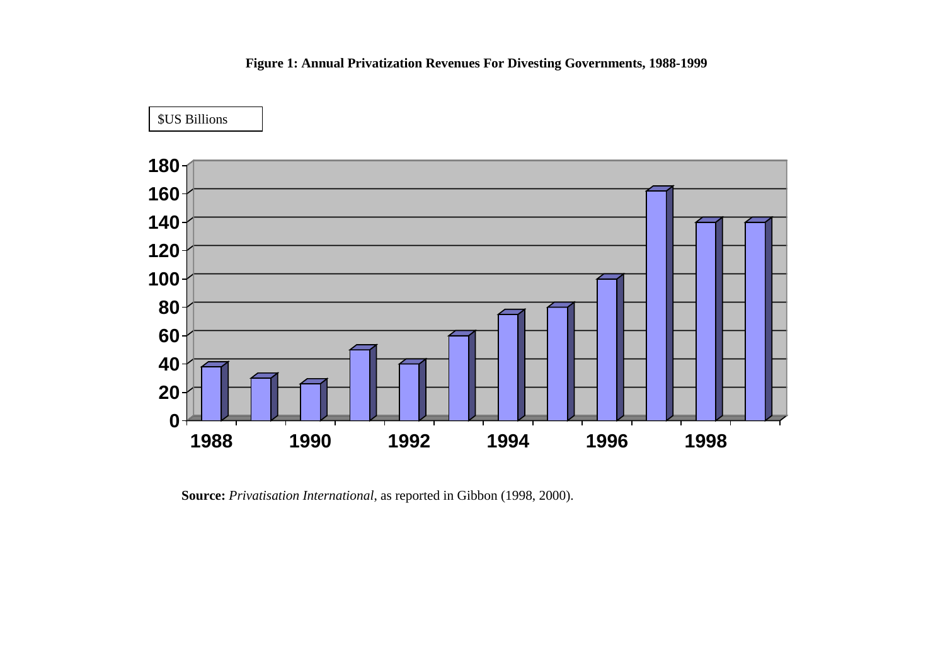## **Figure 1: Annual Privatization Revenues For Divesting Governments, 1988-1999**

\$US Billions



**Source:** *Privatisation International*, as reported in Gibbon (1998, 2000).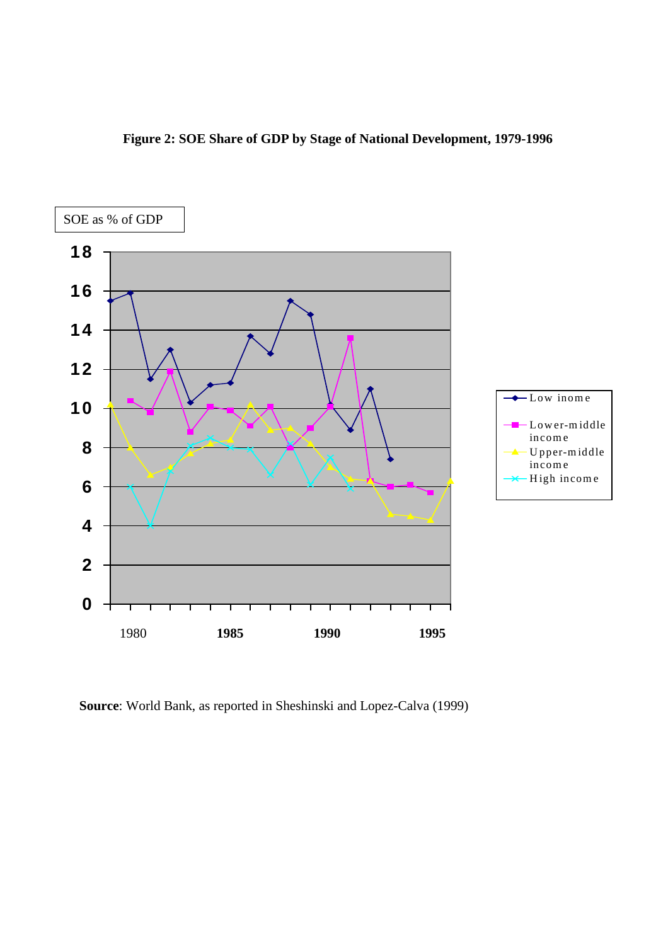

# **Figure 2: SOE Share of GDP by Stage of National Development, 1979-1996**

**Source**: World Bank, as reported in Sheshinski and Lopez-Calva (1999)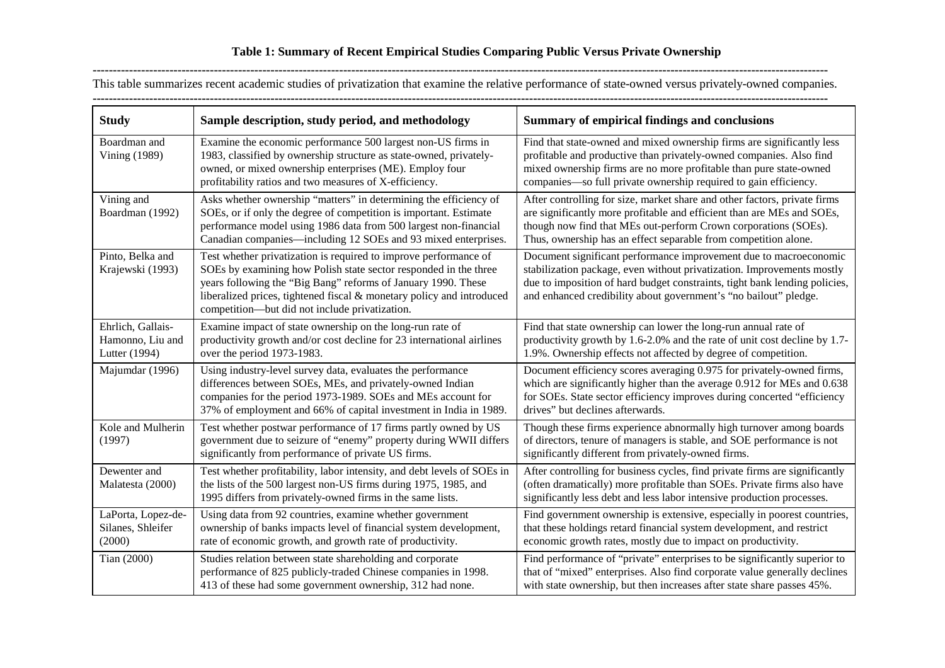## Table 1: Summary of Recent Empirical Studies Comparing Public Versus Private Ownership

**--------------------------------------------------------------------------------------------------------------------------------------------------------------------------------------**This table summarizes recent academic studies of privatization that examine the relative performance of state-owned versus privately-owned companies. **--------------------------------------------------------------------------------------------------------------------------------------------------------------------------------------**

| <b>Study</b>                                           | Sample description, study period, and methodology                                                                                                                                                                                                                                                                                | Summary of empirical findings and conclusions                                                                                                                                                                                                                                                 |
|--------------------------------------------------------|----------------------------------------------------------------------------------------------------------------------------------------------------------------------------------------------------------------------------------------------------------------------------------------------------------------------------------|-----------------------------------------------------------------------------------------------------------------------------------------------------------------------------------------------------------------------------------------------------------------------------------------------|
| Boardman and<br><b>Vining (1989)</b>                   | Examine the economic performance 500 largest non-US firms in<br>1983, classified by ownership structure as state-owned, privately-<br>owned, or mixed ownership enterprises (ME). Employ four<br>profitability ratios and two measures of X-efficiency.                                                                          | Find that state-owned and mixed ownership firms are significantly less<br>profitable and productive than privately-owned companies. Also find<br>mixed ownership firms are no more profitable than pure state-owned<br>companies—so full private ownership required to gain efficiency.       |
| Vining and<br>Boardman (1992)                          | Asks whether ownership "matters" in determining the efficiency of<br>SOEs, or if only the degree of competition is important. Estimate<br>performance model using 1986 data from 500 largest non-financial<br>Canadian companies—including 12 SOEs and 93 mixed enterprises.                                                     | After controlling for size, market share and other factors, private firms<br>are significantly more profitable and efficient than are MEs and SOEs,<br>though now find that MEs out-perform Crown corporations (SOEs).<br>Thus, ownership has an effect separable from competition alone.     |
| Pinto, Belka and<br>Krajewski (1993)                   | Test whether privatization is required to improve performance of<br>SOEs by examining how Polish state sector responded in the three<br>years following the "Big Bang" reforms of January 1990. These<br>liberalized prices, tightened fiscal & monetary policy and introduced<br>competition—but did not include privatization. | Document significant performance improvement due to macroeconomic<br>stabilization package, even without privatization. Improvements mostly<br>due to imposition of hard budget constraints, tight bank lending policies,<br>and enhanced credibility about government's "no bailout" pledge. |
| Ehrlich, Gallais-<br>Hamonno, Liu and<br>Lutter (1994) | Examine impact of state ownership on the long-run rate of<br>productivity growth and/or cost decline for 23 international airlines<br>over the period 1973-1983.                                                                                                                                                                 | Find that state ownership can lower the long-run annual rate of<br>productivity growth by 1.6-2.0% and the rate of unit cost decline by 1.7-<br>1.9%. Ownership effects not affected by degree of competition.                                                                                |
| Majumdar (1996)                                        | Using industry-level survey data, evaluates the performance<br>differences between SOEs, MEs, and privately-owned Indian<br>companies for the period 1973-1989. SOEs and MEs account for<br>37% of employment and 66% of capital investment in India in 1989.                                                                    | Document efficiency scores averaging 0.975 for privately-owned firms,<br>which are significantly higher than the average 0.912 for MEs and 0.638<br>for SOEs. State sector efficiency improves during concerted "efficiency<br>drives" but declines afterwards.                               |
| Kole and Mulherin<br>(1997)                            | Test whether postwar performance of 17 firms partly owned by US<br>government due to seizure of "enemy" property during WWII differs<br>significantly from performance of private US firms.                                                                                                                                      | Though these firms experience abnormally high turnover among boards<br>of directors, tenure of managers is stable, and SOE performance is not<br>significantly different from privately-owned firms.                                                                                          |
| Dewenter and<br>Malatesta (2000)                       | Test whether profitability, labor intensity, and debt levels of SOEs in<br>the lists of the 500 largest non-US firms during 1975, 1985, and<br>1995 differs from privately-owned firms in the same lists.                                                                                                                        | After controlling for business cycles, find private firms are significantly<br>(often dramatically) more profitable than SOEs. Private firms also have<br>significantly less debt and less labor intensive production processes.                                                              |
| LaPorta, Lopez-de-<br>Silanes, Shleifer<br>(2000)      | Using data from 92 countries, examine whether government<br>ownership of banks impacts level of financial system development,<br>rate of economic growth, and growth rate of productivity.                                                                                                                                       | Find government ownership is extensive, especially in poorest countries,<br>that these holdings retard financial system development, and restrict<br>economic growth rates, mostly due to impact on productivity.                                                                             |
| Tian (2000)                                            | Studies relation between state shareholding and corporate<br>performance of 825 publicly-traded Chinese companies in 1998.<br>413 of these had some government ownership, 312 had none.                                                                                                                                          | Find performance of "private" enterprises to be significantly superior to<br>that of "mixed" enterprises. Also find corporate value generally declines<br>with state ownership, but then increases after state share passes 45%.                                                              |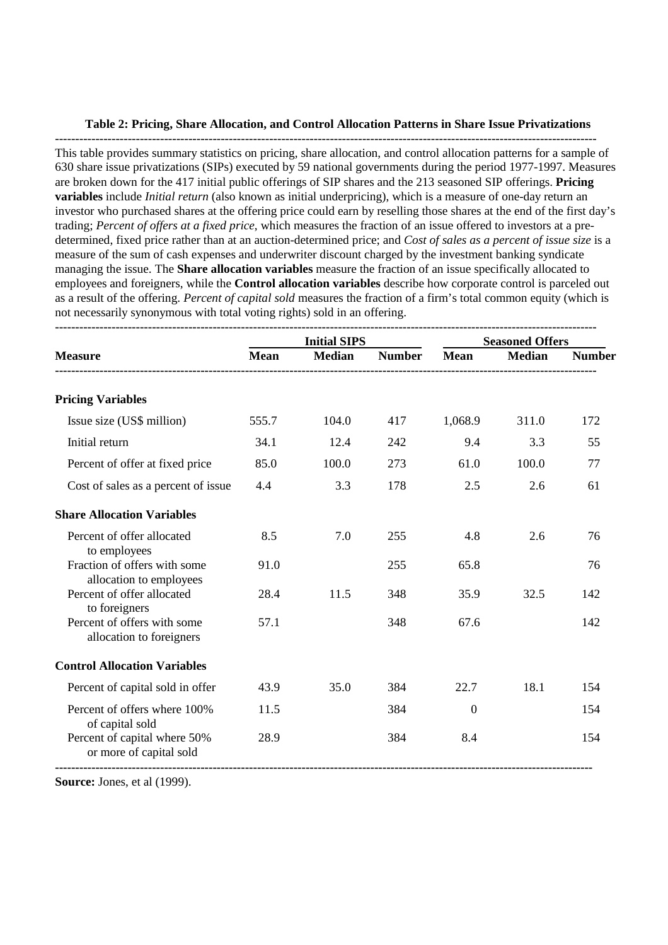#### **Table 2: Pricing, Share Allocation, and Control Allocation Patterns in Share Issue Privatizations**

**--------------------------------------------------------------------------------------------------------------------------------------** This table provides summary statistics on pricing, share allocation, and control allocation patterns for a sample of 630 share issue privatizations (SIPs) executed by 59 national governments during the period 1977-1997. Measures are broken down for the 417 initial public offerings of SIP shares and the 213 seasoned SIP offerings. **Pricing variables** include *Initial return* (also known as initial underpricing), which is a measure of one-day return an investor who purchased shares at the offering price could earn by reselling those shares at the end of the first day's trading; *Percent of offers at a fixed price*, which measures the fraction of an issue offered to investors at a predetermined, fixed price rather than at an auction-determined price; and *Cost of sales as a percent of issue size* is a measure of the sum of cash expenses and underwriter discount charged by the investment banking syndicate managing the issue. The **Share allocation variables** measure the fraction of an issue specifically allocated to employees and foreigners, while the **Control allocation variables** describe how corporate control is parceled out as a result of the offering. *Percent of capital sold* measures the fraction of a firm's total common equity (which is not necessarily synonymous with total voting rights) sold in an offering.

|                                                         | <b>Initial SIPS</b> |               |               | <b>Seasoned Offers</b> |               |               |
|---------------------------------------------------------|---------------------|---------------|---------------|------------------------|---------------|---------------|
| <b>Measure</b>                                          | <b>Mean</b>         | <b>Median</b> | <b>Number</b> | <b>Mean</b>            | <b>Median</b> | <b>Number</b> |
| <b>Pricing Variables</b>                                |                     |               |               |                        |               |               |
| Issue size (US\$ million)                               | 555.7               | 104.0         | 417           | 1,068.9                | 311.0         | 172           |
| Initial return                                          | 34.1                | 12.4          | 242           | 9.4                    | 3.3           | 55            |
| Percent of offer at fixed price                         | 85.0                | 100.0         | 273           | 61.0                   | 100.0         | 77            |
| Cost of sales as a percent of issue                     | 4.4                 | 3.3           | 178           | 2.5                    | 2.6           | 61            |
| <b>Share Allocation Variables</b>                       |                     |               |               |                        |               |               |
| Percent of offer allocated<br>to employees              | 8.5                 | 7.0           | 255           | 4.8                    | 2.6           | 76            |
| Fraction of offers with some<br>allocation to employees | 91.0                |               | 255           | 65.8                   |               | 76            |
| Percent of offer allocated<br>to foreigners             | 28.4                | 11.5          | 348           | 35.9                   | 32.5          | 142           |
| Percent of offers with some<br>allocation to foreigners | 57.1                |               | 348           | 67.6                   |               | 142           |
| <b>Control Allocation Variables</b>                     |                     |               |               |                        |               |               |
| Percent of capital sold in offer                        | 43.9                | 35.0          | 384           | 22.7                   | 18.1          | 154           |
| Percent of offers where 100%<br>of capital sold         | 11.5                |               | 384           | $\theta$               |               | 154           |
| Percent of capital where 50%<br>or more of capital sold | 28.9                |               | 384           | 8.4                    |               | 154           |

**Source:** Jones, et al (1999).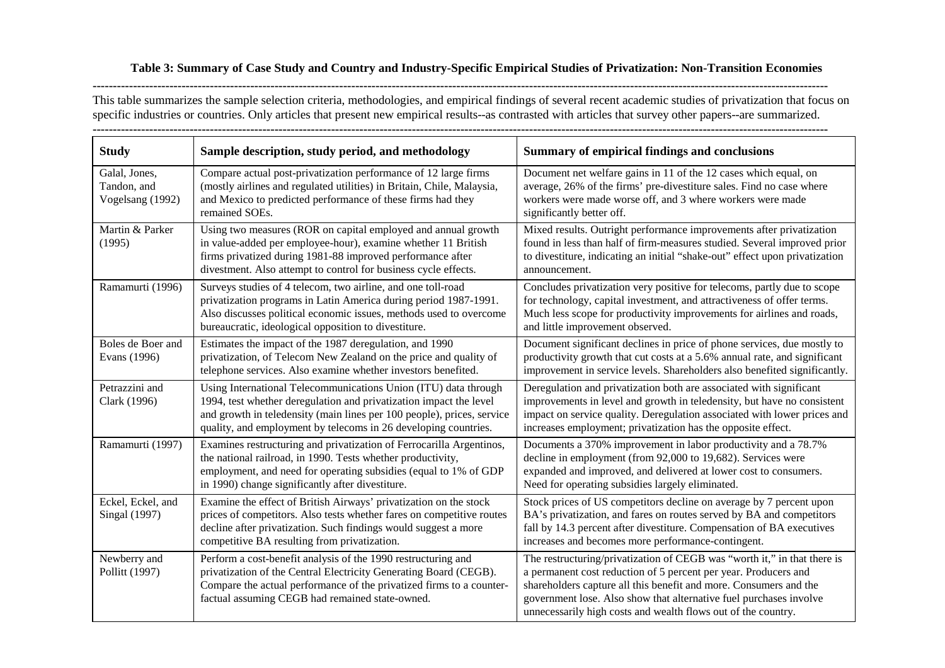### Table 3: Summary of Case Study and Country and Industry-Specific Empirical Studies of Privatization: Non-Transition Economies

This table summarizes the sample selection criteria, methodologies, and empirical findings of several recent academic studies of privatization that focus on specific industries or countries. Only articles that presen<sup>t</sup> new empirical results--as contrasted with articles that survey other papers--are summarized. **--------------------------------------------------------------------------------------------------------------------------------------------------------------------------------------**

**--------------------------------------------------------------------------------------------------------------------------------------------------------------------------------------**

| <b>Study</b>                                     | Sample description, study period, and methodology                                                                                                                                                                                                                                  | Summary of empirical findings and conclusions                                                                                                                                                                                                                                                                                                           |
|--------------------------------------------------|------------------------------------------------------------------------------------------------------------------------------------------------------------------------------------------------------------------------------------------------------------------------------------|---------------------------------------------------------------------------------------------------------------------------------------------------------------------------------------------------------------------------------------------------------------------------------------------------------------------------------------------------------|
| Galal, Jones,<br>Tandon, and<br>Vogelsang (1992) | Compare actual post-privatization performance of 12 large firms<br>(mostly airlines and regulated utilities) in Britain, Chile, Malaysia,<br>and Mexico to predicted performance of these firms had they<br>remained SOEs.                                                         | Document net welfare gains in 11 of the 12 cases which equal, on<br>average, 26% of the firms' pre-divestiture sales. Find no case where<br>workers were made worse off, and 3 where workers were made<br>significantly better off.                                                                                                                     |
| Martin & Parker<br>(1995)                        | Using two measures (ROR on capital employed and annual growth<br>in value-added per employee-hour), examine whether 11 British<br>firms privatized during 1981-88 improved performance after<br>divestment. Also attempt to control for business cycle effects.                    | Mixed results. Outright performance improvements after privatization<br>found in less than half of firm-measures studied. Several improved prior<br>to divestiture, indicating an initial "shake-out" effect upon privatization<br>announcement.                                                                                                        |
| Ramamurti (1996)                                 | Surveys studies of 4 telecom, two airline, and one toll-road<br>privatization programs in Latin America during period 1987-1991.<br>Also discusses political economic issues, methods used to overcome<br>bureaucratic, ideological opposition to divestiture.                     | Concludes privatization very positive for telecoms, partly due to scope<br>for technology, capital investment, and attractiveness of offer terms.<br>Much less scope for productivity improvements for airlines and roads,<br>and little improvement observed.                                                                                          |
| Boles de Boer and<br>Evans (1996)                | Estimates the impact of the 1987 deregulation, and 1990<br>privatization, of Telecom New Zealand on the price and quality of<br>telephone services. Also examine whether investors benefited.                                                                                      | Document significant declines in price of phone services, due mostly to<br>productivity growth that cut costs at a 5.6% annual rate, and significant<br>improvement in service levels. Shareholders also benefited significantly.                                                                                                                       |
| Petrazzini and<br>Clark (1996)                   | Using International Telecommunications Union (ITU) data through<br>1994, test whether deregulation and privatization impact the level<br>and growth in teledensity (main lines per 100 people), prices, service<br>quality, and employment by telecoms in 26 developing countries. | Deregulation and privatization both are associated with significant<br>improvements in level and growth in teledensity, but have no consistent<br>impact on service quality. Deregulation associated with lower prices and<br>increases employment; privatization has the opposite effect.                                                              |
| Ramamurti (1997)                                 | Examines restructuring and privatization of Ferrocarilla Argentinos,<br>the national railroad, in 1990. Tests whether productivity,<br>employment, and need for operating subsidies (equal to 1% of GDP<br>in 1990) change significantly after divestiture.                        | Documents a 370% improvement in labor productivity and a 78.7%<br>decline in employment (from 92,000 to 19,682). Services were<br>expanded and improved, and delivered at lower cost to consumers.<br>Need for operating subsidies largely eliminated.                                                                                                  |
| Eckel, Eckel, and<br>Singal (1997)               | Examine the effect of British Airways' privatization on the stock<br>prices of competitors. Also tests whether fares on competitive routes<br>decline after privatization. Such findings would suggest a more<br>competitive BA resulting from privatization.                      | Stock prices of US competitors decline on average by 7 percent upon<br>BA's privatization, and fares on routes served by BA and competitors<br>fall by 14.3 percent after divestiture. Compensation of BA executives<br>increases and becomes more performance-contingent.                                                                              |
| Newberry and<br>Pollitt (1997)                   | Perform a cost-benefit analysis of the 1990 restructuring and<br>privatization of the Central Electricity Generating Board (CEGB).<br>Compare the actual performance of the privatized firms to a counter-<br>factual assuming CEGB had remained state-owned.                      | The restructuring/privatization of CEGB was "worth it," in that there is<br>a permanent cost reduction of 5 percent per year. Producers and<br>shareholders capture all this benefit and more. Consumers and the<br>government lose. Also show that alternative fuel purchases involve<br>unnecessarily high costs and wealth flows out of the country. |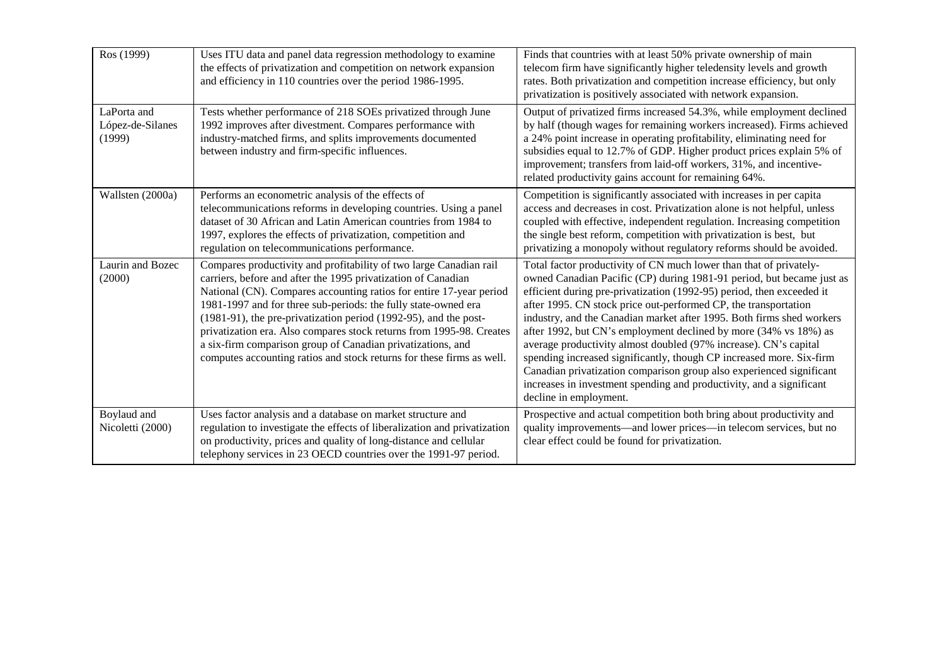| Ros (1999)                                | Uses ITU data and panel data regression methodology to examine<br>the effects of privatization and competition on network expansion<br>and efficiency in 110 countries over the period 1986-1995.                                                                                                                                                                                                                                                                                                                                                                | Finds that countries with at least 50% private ownership of main<br>telecom firm have significantly higher teledensity levels and growth<br>rates. Both privatization and competition increase efficiency, but only<br>privatization is positively associated with network expansion.                                                                                                                                                                                                                                                                                                                                                                                                                                                                      |
|-------------------------------------------|------------------------------------------------------------------------------------------------------------------------------------------------------------------------------------------------------------------------------------------------------------------------------------------------------------------------------------------------------------------------------------------------------------------------------------------------------------------------------------------------------------------------------------------------------------------|------------------------------------------------------------------------------------------------------------------------------------------------------------------------------------------------------------------------------------------------------------------------------------------------------------------------------------------------------------------------------------------------------------------------------------------------------------------------------------------------------------------------------------------------------------------------------------------------------------------------------------------------------------------------------------------------------------------------------------------------------------|
| LaPorta and<br>López-de-Silanes<br>(1999) | Tests whether performance of 218 SOEs privatized through June<br>1992 improves after divestment. Compares performance with<br>industry-matched firms, and splits improvements documented<br>between industry and firm-specific influences.                                                                                                                                                                                                                                                                                                                       | Output of privatized firms increased 54.3%, while employment declined<br>by half (though wages for remaining workers increased). Firms achieved<br>a 24% point increase in operating profitability, eliminating need for<br>subsidies equal to 12.7% of GDP. Higher product prices explain 5% of<br>improvement; transfers from laid-off workers, 31%, and incentive-<br>related productivity gains account for remaining 64%.                                                                                                                                                                                                                                                                                                                             |
| Wallsten (2000a)                          | Performs an econometric analysis of the effects of<br>telecommunications reforms in developing countries. Using a panel<br>dataset of 30 African and Latin American countries from 1984 to<br>1997, explores the effects of privatization, competition and<br>regulation on telecommunications performance.                                                                                                                                                                                                                                                      | Competition is significantly associated with increases in per capita<br>access and decreases in cost. Privatization alone is not helpful, unless<br>coupled with effective, independent regulation. Increasing competition<br>the single best reform, competition with privatization is best, but<br>privatizing a monopoly without regulatory reforms should be avoided.                                                                                                                                                                                                                                                                                                                                                                                  |
| Laurin and Bozec<br>(2000)                | Compares productivity and profitability of two large Canadian rail<br>carriers, before and after the 1995 privatization of Canadian<br>National (CN). Compares accounting ratios for entire 17-year period<br>1981-1997 and for three sub-periods: the fully state-owned era<br>(1981-91), the pre-privatization period (1992-95), and the post-<br>privatization era. Also compares stock returns from 1995-98. Creates<br>a six-firm comparison group of Canadian privatizations, and<br>computes accounting ratios and stock returns for these firms as well. | Total factor productivity of CN much lower than that of privately-<br>owned Canadian Pacific (CP) during 1981-91 period, but became just as<br>efficient during pre-privatization (1992-95) period, then exceeded it<br>after 1995. CN stock price out-performed CP, the transportation<br>industry, and the Canadian market after 1995. Both firms shed workers<br>after 1992, but CN's employment declined by more (34% vs 18%) as<br>average productivity almost doubled (97% increase). CN's capital<br>spending increased significantly, though CP increased more. Six-firm<br>Canadian privatization comparison group also experienced significant<br>increases in investment spending and productivity, and a significant<br>decline in employment. |
| Boylaud and<br>Nicoletti (2000)           | Uses factor analysis and a database on market structure and<br>regulation to investigate the effects of liberalization and privatization<br>on productivity, prices and quality of long-distance and cellular<br>telephony services in 23 OECD countries over the 1991-97 period.                                                                                                                                                                                                                                                                                | Prospective and actual competition both bring about productivity and<br>quality improvements—and lower prices—in telecom services, but no<br>clear effect could be found for privatization.                                                                                                                                                                                                                                                                                                                                                                                                                                                                                                                                                                |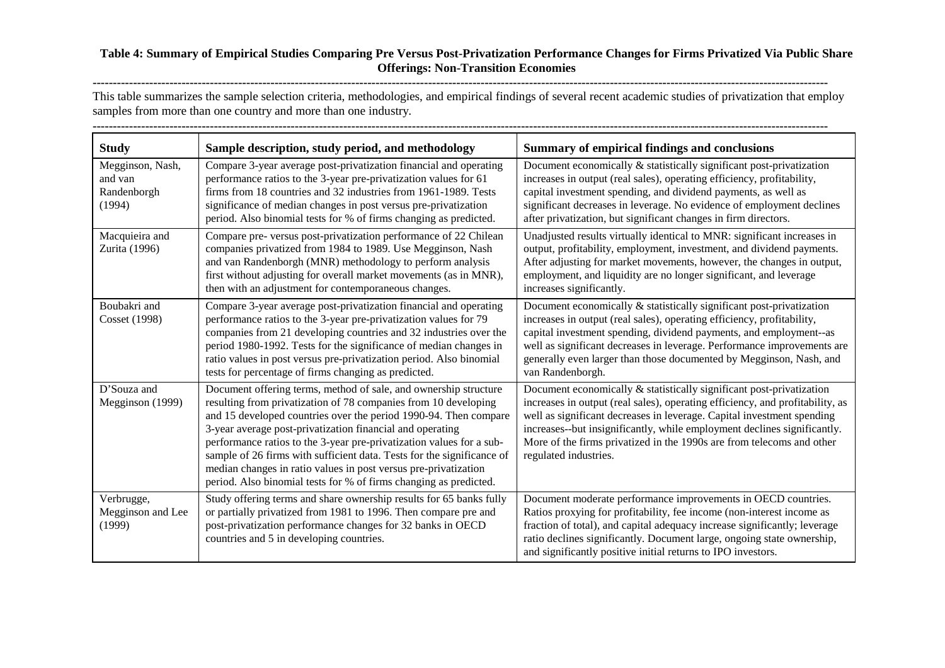### Table 4: Summary of Empirical Studies Comparing Pre Versus Post-Privatization Performance Changes for Firms Privatized Via Public Share **Offerings: Non-Transition Economies**

This table summarizes the sample selection criteria, methodologies, and empirical findings of several recent academic studies of privatization that employ samples from more than one country and more than one industry. **--------------------------------------------------------------------------------------------------------------------------------------------------------------------------------------**

**--------------------------------------------------------------------------------------------------------------------------------------------------------------------------------------**

| <b>Study</b>                                         | Sample description, study period, and methodology                                                                                                                                                                                                                                                                                                                                                                                                                                                                                                              | Summary of empirical findings and conclusions                                                                                                                                                                                                                                                                                                                                                                 |
|------------------------------------------------------|----------------------------------------------------------------------------------------------------------------------------------------------------------------------------------------------------------------------------------------------------------------------------------------------------------------------------------------------------------------------------------------------------------------------------------------------------------------------------------------------------------------------------------------------------------------|---------------------------------------------------------------------------------------------------------------------------------------------------------------------------------------------------------------------------------------------------------------------------------------------------------------------------------------------------------------------------------------------------------------|
| Megginson, Nash,<br>and van<br>Randenborgh<br>(1994) | Compare 3-year average post-privatization financial and operating<br>performance ratios to the 3-year pre-privatization values for 61<br>firms from 18 countries and 32 industries from 1961-1989. Tests<br>significance of median changes in post versus pre-privatization<br>period. Also binomial tests for % of firms changing as predicted.                                                                                                                                                                                                               | Document economically & statistically significant post-privatization<br>increases in output (real sales), operating efficiency, profitability,<br>capital investment spending, and dividend payments, as well as<br>significant decreases in leverage. No evidence of employment declines<br>after privatization, but significant changes in firm directors.                                                  |
| Macquieira and<br>Zurita (1996)                      | Compare pre- versus post-privatization performance of 22 Chilean<br>companies privatized from 1984 to 1989. Use Megginson, Nash<br>and van Randenborgh (MNR) methodology to perform analysis<br>first without adjusting for overall market movements (as in MNR),<br>then with an adjustment for contemporaneous changes.                                                                                                                                                                                                                                      | Unadjusted results virtually identical to MNR: significant increases in<br>output, profitability, employment, investment, and dividend payments.<br>After adjusting for market movements, however, the changes in output,<br>employment, and liquidity are no longer significant, and leverage<br>increases significantly.                                                                                    |
| Boubakri and<br><b>Cosset</b> (1998)                 | Compare 3-year average post-privatization financial and operating<br>performance ratios to the 3-year pre-privatization values for 79<br>companies from 21 developing countries and 32 industries over the<br>period 1980-1992. Tests for the significance of median changes in<br>ratio values in post versus pre-privatization period. Also binomial<br>tests for percentage of firms changing as predicted.                                                                                                                                                 | Document economically & statistically significant post-privatization<br>increases in output (real sales), operating efficiency, profitability,<br>capital investment spending, dividend payments, and employment--as<br>well as significant decreases in leverage. Performance improvements are<br>generally even larger than those documented by Megginson, Nash, and<br>van Randenborgh.                    |
| D'Souza and<br>Megginson (1999)                      | Document offering terms, method of sale, and ownership structure<br>resulting from privatization of 78 companies from 10 developing<br>and 15 developed countries over the period 1990-94. Then compare<br>3-year average post-privatization financial and operating<br>performance ratios to the 3-year pre-privatization values for a sub-<br>sample of 26 firms with sufficient data. Tests for the significance of<br>median changes in ratio values in post versus pre-privatization<br>period. Also binomial tests for % of firms changing as predicted. | Document economically & statistically significant post-privatization<br>increases in output (real sales), operating efficiency, and profitability, as<br>well as significant decreases in leverage. Capital investment spending<br>increases--but insignificantly, while employment declines significantly.<br>More of the firms privatized in the 1990s are from telecoms and other<br>regulated industries. |
| Verbrugge,<br>Megginson and Lee<br>(1999)            | Study offering terms and share ownership results for 65 banks fully<br>or partially privatized from 1981 to 1996. Then compare pre and<br>post-privatization performance changes for 32 banks in OECD<br>countries and 5 in developing countries.                                                                                                                                                                                                                                                                                                              | Document moderate performance improvements in OECD countries.<br>Ratios proxying for profitability, fee income (non-interest income as<br>fraction of total), and capital adequacy increase significantly; leverage<br>ratio declines significantly. Document large, ongoing state ownership,<br>and significantly positive initial returns to IPO investors.                                                 |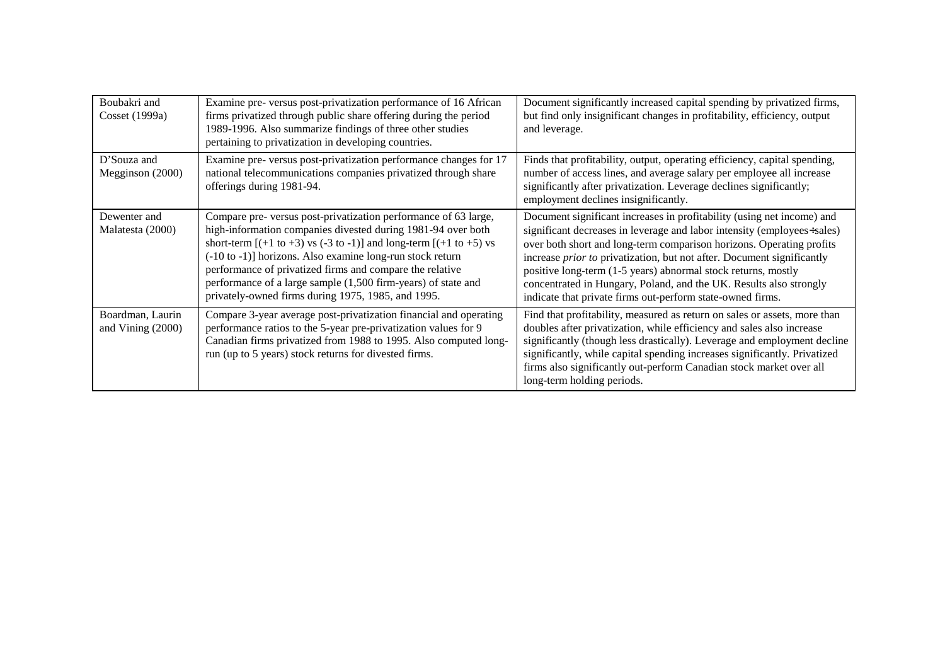| Boubakri and<br>$\text{Cosset}(1999a)$ | Examine pre-versus post-privatization performance of 16 African<br>firms privatized through public share offering during the period<br>1989-1996. Also summarize findings of three other studies<br>pertaining to privatization in developing countries.                                                                                                                                                                                                                                                 | Document significantly increased capital spending by privatized firms,<br>but find only insignificant changes in profitability, efficiency, output<br>and leverage.                                                                                                                                                                                                                                                                                                                                             |
|----------------------------------------|----------------------------------------------------------------------------------------------------------------------------------------------------------------------------------------------------------------------------------------------------------------------------------------------------------------------------------------------------------------------------------------------------------------------------------------------------------------------------------------------------------|-----------------------------------------------------------------------------------------------------------------------------------------------------------------------------------------------------------------------------------------------------------------------------------------------------------------------------------------------------------------------------------------------------------------------------------------------------------------------------------------------------------------|
| D'Souza and<br>Megginson (2000)        | Examine pre-versus post-privatization performance changes for 17<br>national telecommunications companies privatized through share<br>offerings during 1981-94.                                                                                                                                                                                                                                                                                                                                          | Finds that profitability, output, operating efficiency, capital spending,<br>number of access lines, and average salary per employee all increase<br>significantly after privatization. Leverage declines significantly;<br>employment declines insignificantly.                                                                                                                                                                                                                                                |
| Dewenter and<br>Malatesta (2000)       | Compare pre-versus post-privatization performance of 63 large,<br>high-information companies divested during 1981-94 over both<br>short-term $[ (+1 \text{ to } +3) \text{ vs } (-3 \text{ to } -1) ]$ and long-term $[ (+1 \text{ to } +5) \text{ vs }$<br>(-10 to -1)] horizons. Also examine long-run stock return<br>performance of privatized firms and compare the relative<br>performance of a large sample (1,500 firm-years) of state and<br>privately-owned firms during 1975, 1985, and 1995. | Document significant increases in profitability (using net income) and<br>significant decreases in leverage and labor intensity (employees÷sales)<br>over both short and long-term comparison horizons. Operating profits<br>increase <i>prior to</i> privatization, but not after. Document significantly<br>positive long-term (1-5 years) abnormal stock returns, mostly<br>concentrated in Hungary, Poland, and the UK. Results also strongly<br>indicate that private firms out-perform state-owned firms. |
| Boardman, Laurin<br>and Vining (2000)  | Compare 3-year average post-privatization financial and operating<br>performance ratios to the 5-year pre-privatization values for 9<br>Canadian firms privatized from 1988 to 1995. Also computed long-<br>run (up to 5 years) stock returns for divested firms.                                                                                                                                                                                                                                        | Find that profitability, measured as return on sales or assets, more than<br>doubles after privatization, while efficiency and sales also increase<br>significantly (though less drastically). Leverage and employment decline<br>significantly, while capital spending increases significantly. Privatized<br>firms also significantly out-perform Canadian stock market over all<br>long-term holding periods.                                                                                                |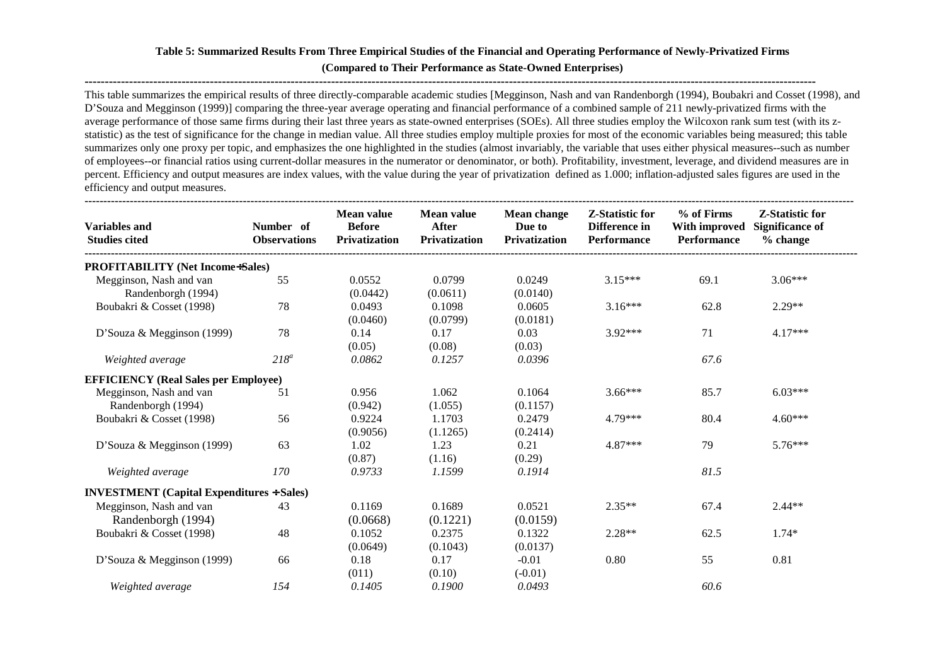### Table 5: Summarized Results From Three Empirical Studies of the Financial and Operating Performance of Newly-Privatized Firms **(Compared to Their Performance as State-Owned Enterprises)**

**-------------------------------------------------------------------------------------------------------------------------------------------------------------------------------------** This table summarizes the empirical results of three directly-comparable academic studies [Megginson, Nash and van Randenborgh (1994), Boubakri and Cosset (1998), and D'Souza and Megginson (1999)] comparing the three-year average operating and financial performance of <sup>a</sup> combined sample of 211 newly-privatized firms with the average performance of those same firms during their last three years as state-owned enterprises (SOEs). All three studies employ the Wilcoxon rank sum test (with its zstatistic) as the test of significance for the change in median value. All three studies employ multiple proxies for most of the economic variables being measured; this table summarizes only one proxy per topic, and emphasizes the one highlighted in the studies (almost invariably, the variable that uses either physical measures--such as number of employees--or financial ratios using current-dollar measures in the numerator or denominator, or both). Profitability, investment, leverage, and dividend measures are in percent. Efficiency and output measures are index values, with the value during the year of privatization defined as 1.000; inflation-adjusted sales figures are used in the efficiency and output measures.

| <b>Variables and</b><br><b>Studies cited</b>          | Number of<br><b>Observations</b> | Mean value<br><b>Before</b><br><b>Privatization</b> | Mean value<br><b>After</b><br>Privatization | <b>Mean change</b><br>Due to<br><b>Privatization</b> | <b>Z-Statistic for</b><br>Difference in<br>Performance | % of Firms<br>With improved<br>Performance | <b>Z-Statistic for</b><br><b>Significance of</b><br>$%$ change |
|-------------------------------------------------------|----------------------------------|-----------------------------------------------------|---------------------------------------------|------------------------------------------------------|--------------------------------------------------------|--------------------------------------------|----------------------------------------------------------------|
| <b>PROFITABILITY (Net Income: Sales)</b>              |                                  |                                                     |                                             |                                                      |                                                        |                                            |                                                                |
| Megginson, Nash and van<br>Randenborgh (1994)         | 55                               | 0.0552<br>(0.0442)                                  | 0.0799<br>(0.0611)                          | 0.0249<br>(0.0140)                                   | $3.15***$                                              | 69.1                                       | 3.06***                                                        |
| Boubakri & Cosset (1998)                              | 78                               | 0.0493<br>(0.0460)                                  | 0.1098<br>(0.0799)                          | 0.0605<br>(0.0181)                                   | $3.16***$                                              | 62.8                                       | 2.29**                                                         |
| D'Souza & Megginson (1999)                            | 78                               | 0.14<br>(0.05)                                      | 0.17<br>(0.08)                              | 0.03<br>(0.03)                                       | $3.92***$                                              | 71                                         | $4.17***$                                                      |
| Weighted average                                      | $218^a$                          | 0.0862                                              | 0.1257                                      | 0.0396                                               |                                                        | 67.6                                       |                                                                |
| <b>EFFICIENCY (Real Sales per Employee)</b>           |                                  |                                                     |                                             |                                                      |                                                        |                                            |                                                                |
| Megginson, Nash and van<br>Randenborgh (1994)         | 51                               | 0.956<br>(0.942)                                    | 1.062<br>(1.055)                            | 0.1064<br>(0.1157)                                   | $3.66***$                                              | 85.7                                       | $6.03***$                                                      |
| Boubakri & Cosset (1998)                              | 56                               | 0.9224<br>(0.9056)                                  | 1.1703<br>(1.1265)                          | 0.2479<br>(0.2414)                                   | $4.79***$                                              | 80.4                                       | $4.60***$                                                      |
| D'Souza & Megginson (1999)                            | 63                               | 1.02<br>(0.87)                                      | 1.23<br>(1.16)                              | 0.21<br>(0.29)                                       | $4.87***$                                              | 79                                         | 5.76***                                                        |
| Weighted average                                      | 170                              | 0.9733                                              | 1.1599                                      | 0.1914                                               |                                                        | 81.5                                       |                                                                |
| <b>INVESTMENT</b> (Capital Expenditures $\div$ Sales) |                                  |                                                     |                                             |                                                      |                                                        |                                            |                                                                |
| Megginson, Nash and van<br>Randenborgh (1994)         | 43                               | 0.1169<br>(0.0668)                                  | 0.1689<br>(0.1221)                          | 0.0521<br>(0.0159)                                   | $2.35**$                                               | 67.4                                       | $2.44**$                                                       |
| Boubakri & Cosset (1998)                              | 48                               | 0.1052<br>(0.0649)                                  | 0.2375<br>(0.1043)                          | 0.1322<br>(0.0137)                                   | $2.28**$                                               | 62.5                                       | $1.74*$                                                        |
| D'Souza & Megginson (1999)                            | 66                               | 0.18<br>(011)                                       | 0.17<br>(0.10)                              | $-0.01$<br>$(-0.01)$                                 | 0.80                                                   | 55                                         | 0.81                                                           |
| Weighted average                                      | 154                              | 0.1405                                              | 0.1900                                      | 0.0493                                               |                                                        | 60.6                                       |                                                                |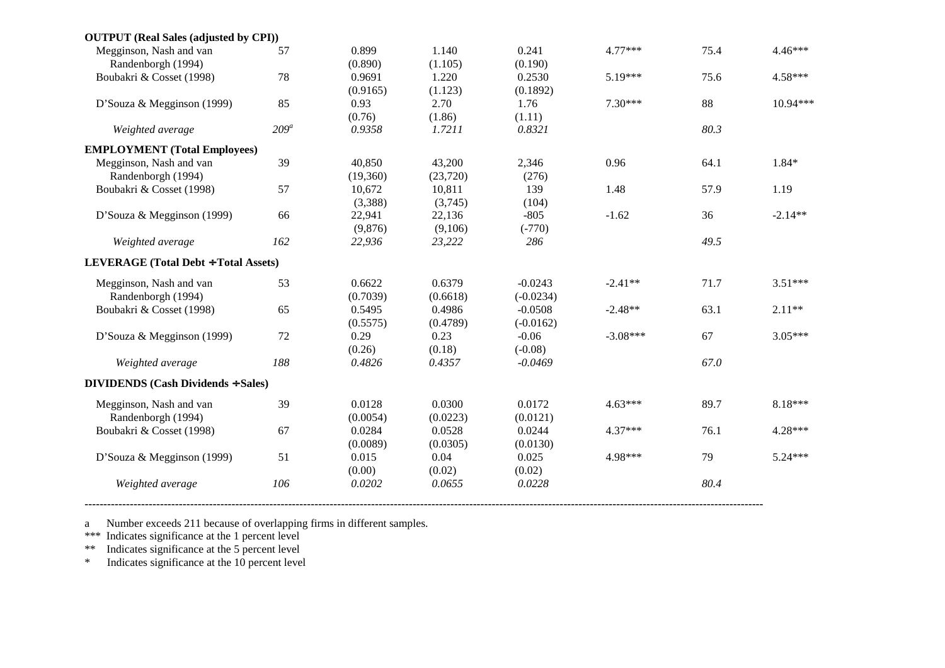| <b>OUTPUT</b> (Real Sales (adjusted by CPI)) |         |          |          |             |            |      |           |
|----------------------------------------------|---------|----------|----------|-------------|------------|------|-----------|
| Megginson, Nash and van                      | 57      | 0.899    | 1.140    | 0.241       | $4.77***$  | 75.4 | 4.46***   |
| Randenborgh (1994)                           |         | (0.890)  | (1.105)  | (0.190)     |            |      |           |
| Boubakri & Cosset (1998)                     | 78      | 0.9691   | 1.220    | 0.2530      | $5.19***$  | 75.6 | 4.58***   |
|                                              |         | (0.9165) | (1.123)  | (0.1892)    |            |      |           |
| D'Souza & Megginson (1999)                   | 85      | 0.93     | 2.70     | 1.76        | $7.30***$  | 88   | 10.94***  |
|                                              |         | (0.76)   | (1.86)   | (1.11)      |            |      |           |
| Weighted average                             | $209^a$ | 0.9358   | 1.7211   | 0.8321      |            | 80.3 |           |
| <b>EMPLOYMENT</b> (Total Employees)          |         |          |          |             |            |      |           |
| Megginson, Nash and van                      | 39      | 40,850   | 43,200   | 2,346       | 0.96       | 64.1 | 1.84*     |
| Randenborgh (1994)                           |         | (19,360) | (23,720) | (276)       |            |      |           |
| Boubakri & Cosset (1998)                     | 57      | 10,672   | 10,811   | 139         | 1.48       | 57.9 | 1.19      |
|                                              |         | (3,388)  | (3,745)  | (104)       |            |      |           |
| D'Souza & Megginson (1999)                   | 66      | 22,941   | 22,136   | $-805$      | $-1.62$    | 36   | $-2.14**$ |
|                                              |         | (9,876)  | (9,106)  | $(-770)$    |            |      |           |
| Weighted average                             | 162     | 22,936   | 23,222   | 286         |            | 49.5 |           |
| <b>LEVERAGE (Total Debt ÷ Total Assets)</b>  |         |          |          |             |            |      |           |
| Megginson, Nash and van                      | 53      | 0.6622   | 0.6379   | $-0.0243$   | $-2.41**$  | 71.7 | $3.51***$ |
| Randenborgh (1994)                           |         | (0.7039) | (0.6618) | $(-0.0234)$ |            |      |           |
| Boubakri & Cosset (1998)                     | 65      | 0.5495   | 0.4986   | $-0.0508$   | $-2.48**$  | 63.1 | $2.11**$  |
|                                              |         | (0.5575) | (0.4789) | $(-0.0162)$ |            |      |           |
| D'Souza & Megginson (1999)                   | 72      | 0.29     | 0.23     | $-0.06$     | $-3.08***$ | 67   | $3.05***$ |
|                                              |         | (0.26)   | (0.18)   | $(-0.08)$   |            |      |           |
| Weighted average                             | 188     | 0.4826   | 0.4357   | $-0.0469$   |            | 67.0 |           |
| <b>DIVIDENDS</b> (Cash Dividends ÷ Sales)    |         |          |          |             |            |      |           |
| Megginson, Nash and van                      | 39      | 0.0128   | 0.0300   | 0.0172      | $4.63***$  | 89.7 | 8.18***   |
| Randenborgh (1994)                           |         | (0.0054) | (0.0223) | (0.0121)    |            |      |           |
| Boubakri & Cosset (1998)                     | 67      | 0.0284   | 0.0528   | 0.0244      | $4.37***$  | 76.1 | 4.28***   |
|                                              |         | (0.0089) | (0.0305) | (0.0130)    |            |      |           |
| D'Souza & Megginson (1999)                   | 51      | 0.015    | 0.04     | 0.025       | 4.98***    | 79   | 5.24***   |
|                                              |         | (0.00)   | (0.02)   | (0.02)      |            |      |           |
| Weighted average                             | 106     | 0.0202   | 0.0655   | 0.0228      |            | 80.4 |           |
|                                              |         |          |          |             |            |      |           |

a Number exceeds 211 because of overlapping firms in different samples.<br>\*\*\* Indicates significance at the 1 percent level<br>\* Indicates significance at the 10 percent level

**------------------------------------------------------------------------------------------------------------------------------------------------------------------------------------**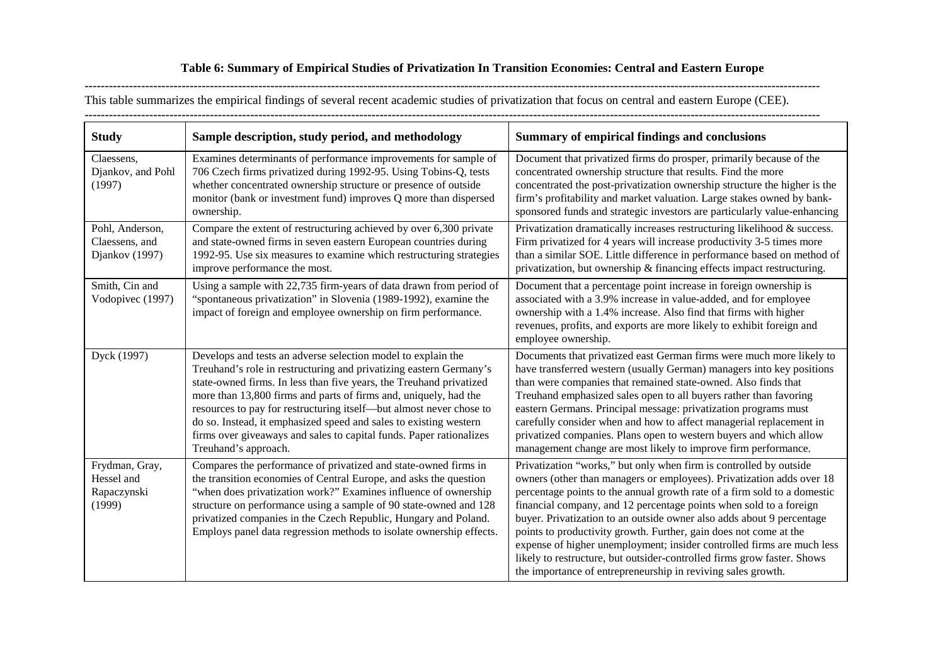### Table 6: Summary of Empirical Studies of Privatization In Transition Economies: Central and Eastern Europe

**--------------------------------------------------------------------------------------------------------------------------------------------------------------------------------------**

This table summarizes the empirical findings of several recent academic studies of privatization that focus on central and eastern Europe (CEE). **--------------------------------------------------------------------------------------------------------------------------------------------------------------------------------------**

| <b>Study</b>                                          | Sample description, study period, and methodology                                                                                                                                                                                                                                                                                                                                                                                                                                                                        | Summary of empirical findings and conclusions                                                                                                                                                                                                                                                                                                                                                                                                                                                                                                                                                                                                                    |
|-------------------------------------------------------|--------------------------------------------------------------------------------------------------------------------------------------------------------------------------------------------------------------------------------------------------------------------------------------------------------------------------------------------------------------------------------------------------------------------------------------------------------------------------------------------------------------------------|------------------------------------------------------------------------------------------------------------------------------------------------------------------------------------------------------------------------------------------------------------------------------------------------------------------------------------------------------------------------------------------------------------------------------------------------------------------------------------------------------------------------------------------------------------------------------------------------------------------------------------------------------------------|
| Claessens,<br>Djankov, and Pohl<br>(1997)             | Examines determinants of performance improvements for sample of<br>706 Czech firms privatized during 1992-95. Using Tobins-Q, tests<br>whether concentrated ownership structure or presence of outside<br>monitor (bank or investment fund) improves Q more than dispersed<br>ownership.                                                                                                                                                                                                                                 | Document that privatized firms do prosper, primarily because of the<br>concentrated ownership structure that results. Find the more<br>concentrated the post-privatization ownership structure the higher is the<br>firm's profitability and market valuation. Large stakes owned by bank-<br>sponsored funds and strategic investors are particularly value-enhancing                                                                                                                                                                                                                                                                                           |
| Pohl, Anderson,<br>Claessens, and<br>Djankov (1997)   | Compare the extent of restructuring achieved by over 6,300 private<br>and state-owned firms in seven eastern European countries during<br>1992-95. Use six measures to examine which restructuring strategies<br>improve performance the most.                                                                                                                                                                                                                                                                           | Privatization dramatically increases restructuring likelihood & success.<br>Firm privatized for 4 years will increase productivity 3-5 times more<br>than a similar SOE. Little difference in performance based on method of<br>privatization, but ownership & financing effects impact restructuring.                                                                                                                                                                                                                                                                                                                                                           |
| Smith, Cin and<br>Vodopivec (1997)                    | Using a sample with 22,735 firm-years of data drawn from period of<br>"spontaneous privatization" in Slovenia (1989-1992), examine the<br>impact of foreign and employee ownership on firm performance.                                                                                                                                                                                                                                                                                                                  | Document that a percentage point increase in foreign ownership is<br>associated with a 3.9% increase in value-added, and for employee<br>ownership with a 1.4% increase. Also find that firms with higher<br>revenues, profits, and exports are more likely to exhibit foreign and<br>employee ownership.                                                                                                                                                                                                                                                                                                                                                        |
| Dyck (1997)                                           | Develops and tests an adverse selection model to explain the<br>Treuhand's role in restructuring and privatizing eastern Germany's<br>state-owned firms. In less than five years, the Treuhand privatized<br>more than 13,800 firms and parts of firms and, uniquely, had the<br>resources to pay for restructuring itself—but almost never chose to<br>do so. Instead, it emphasized speed and sales to existing western<br>firms over giveaways and sales to capital funds. Paper rationalizes<br>Treuhand's approach. | Documents that privatized east German firms were much more likely to<br>have transferred western (usually German) managers into key positions<br>than were companies that remained state-owned. Also finds that<br>Treuhand emphasized sales open to all buyers rather than favoring<br>eastern Germans. Principal message: privatization programs must<br>carefully consider when and how to affect managerial replacement in<br>privatized companies. Plans open to western buyers and which allow<br>management change are most likely to improve firm performance.                                                                                           |
| Frydman, Gray,<br>Hessel and<br>Rapaczynski<br>(1999) | Compares the performance of privatized and state-owned firms in<br>the transition economies of Central Europe, and asks the question<br>"when does privatization work?" Examines influence of ownership<br>structure on performance using a sample of 90 state-owned and 128<br>privatized companies in the Czech Republic, Hungary and Poland.<br>Employs panel data regression methods to isolate ownership effects.                                                                                                   | Privatization "works," but only when firm is controlled by outside<br>owners (other than managers or employees). Privatization adds over 18<br>percentage points to the annual growth rate of a firm sold to a domestic<br>financial company, and 12 percentage points when sold to a foreign<br>buyer. Privatization to an outside owner also adds about 9 percentage<br>points to productivity growth. Further, gain does not come at the<br>expense of higher unemployment; insider controlled firms are much less<br>likely to restructure, but outsider-controlled firms grow faster. Shows<br>the importance of entrepreneurship in reviving sales growth. |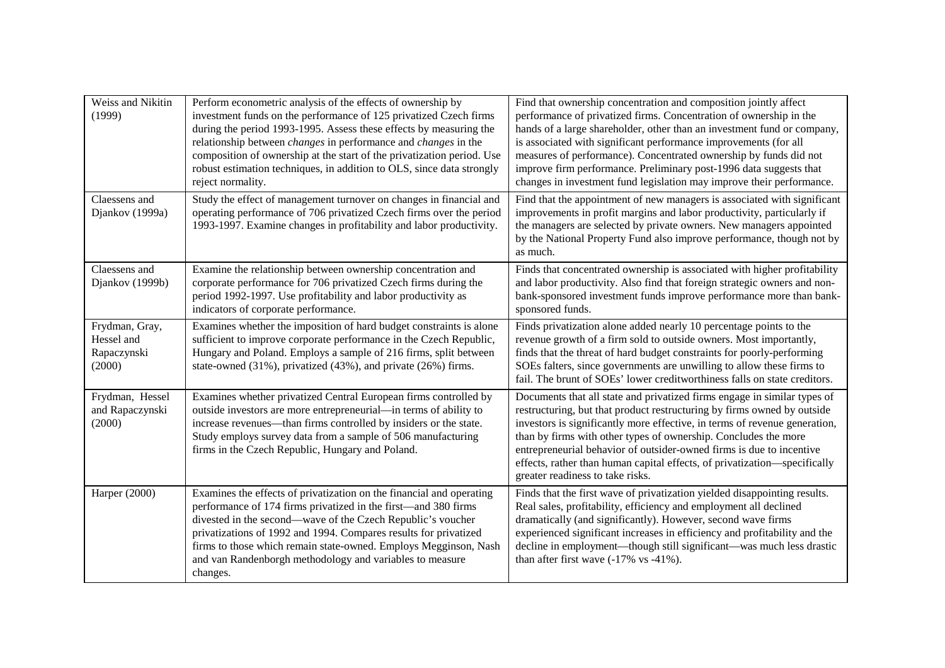| Weiss and Nikitin<br>(1999)                           | Perform econometric analysis of the effects of ownership by<br>investment funds on the performance of 125 privatized Czech firms<br>during the period 1993-1995. Assess these effects by measuring the<br>relationship between <i>changes</i> in performance and <i>changes</i> in the<br>composition of ownership at the start of the privatization period. Use<br>robust estimation techniques, in addition to OLS, since data strongly<br>reject normality. | Find that ownership concentration and composition jointly affect<br>performance of privatized firms. Concentration of ownership in the<br>hands of a large shareholder, other than an investment fund or company,<br>is associated with significant performance improvements (for all<br>measures of performance). Concentrated ownership by funds did not<br>improve firm performance. Preliminary post-1996 data suggests that<br>changes in investment fund legislation may improve their performance. |
|-------------------------------------------------------|----------------------------------------------------------------------------------------------------------------------------------------------------------------------------------------------------------------------------------------------------------------------------------------------------------------------------------------------------------------------------------------------------------------------------------------------------------------|-----------------------------------------------------------------------------------------------------------------------------------------------------------------------------------------------------------------------------------------------------------------------------------------------------------------------------------------------------------------------------------------------------------------------------------------------------------------------------------------------------------|
| Claessens and<br>Djankov (1999a)                      | Study the effect of management turnover on changes in financial and<br>operating performance of 706 privatized Czech firms over the period<br>1993-1997. Examine changes in profitability and labor productivity.                                                                                                                                                                                                                                              | Find that the appointment of new managers is associated with significant<br>improvements in profit margins and labor productivity, particularly if<br>the managers are selected by private owners. New managers appointed<br>by the National Property Fund also improve performance, though not by<br>as much.                                                                                                                                                                                            |
| Claessens and<br>Djankov (1999b)                      | Examine the relationship between ownership concentration and<br>corporate performance for 706 privatized Czech firms during the<br>period 1992-1997. Use profitability and labor productivity as<br>indicators of corporate performance.                                                                                                                                                                                                                       | Finds that concentrated ownership is associated with higher profitability<br>and labor productivity. Also find that foreign strategic owners and non-<br>bank-sponsored investment funds improve performance more than bank-<br>sponsored funds.                                                                                                                                                                                                                                                          |
| Frydman, Gray,<br>Hessel and<br>Rapaczynski<br>(2000) | Examines whether the imposition of hard budget constraints is alone<br>sufficient to improve corporate performance in the Czech Republic,<br>Hungary and Poland. Employs a sample of 216 firms, split between<br>state-owned (31%), privatized (43%), and private (26%) firms.                                                                                                                                                                                 | Finds privatization alone added nearly 10 percentage points to the<br>revenue growth of a firm sold to outside owners. Most importantly,<br>finds that the threat of hard budget constraints for poorly-performing<br>SOEs falters, since governments are unwilling to allow these firms to<br>fail. The brunt of SOEs' lower creditworthiness falls on state creditors.                                                                                                                                  |
| Frydman, Hessel<br>and Rapaczynski<br>(2000)          | Examines whether privatized Central European firms controlled by<br>outside investors are more entrepreneurial—in terms of ability to<br>increase revenues—than firms controlled by insiders or the state.<br>Study employs survey data from a sample of 506 manufacturing<br>firms in the Czech Republic, Hungary and Poland.                                                                                                                                 | Documents that all state and privatized firms engage in similar types of<br>restructuring, but that product restructuring by firms owned by outside<br>investors is significantly more effective, in terms of revenue generation,<br>than by firms with other types of ownership. Concludes the more<br>entrepreneurial behavior of outsider-owned firms is due to incentive<br>effects, rather than human capital effects, of privatization-specifically<br>greater readiness to take risks.             |
| Harper (2000)                                         | Examines the effects of privatization on the financial and operating<br>performance of 174 firms privatized in the first—and 380 firms<br>divested in the second—wave of the Czech Republic's voucher<br>privatizations of 1992 and 1994. Compares results for privatized<br>firms to those which remain state-owned. Employs Megginson, Nash<br>and van Randenborgh methodology and variables to measure<br>changes.                                          | Finds that the first wave of privatization yielded disappointing results.<br>Real sales, profitability, efficiency and employment all declined<br>dramatically (and significantly). However, second wave firms<br>experienced significant increases in efficiency and profitability and the<br>decline in employment—though still significant—was much less drastic<br>than after first wave $(-17\% \text{ vs } -41\%).$                                                                                 |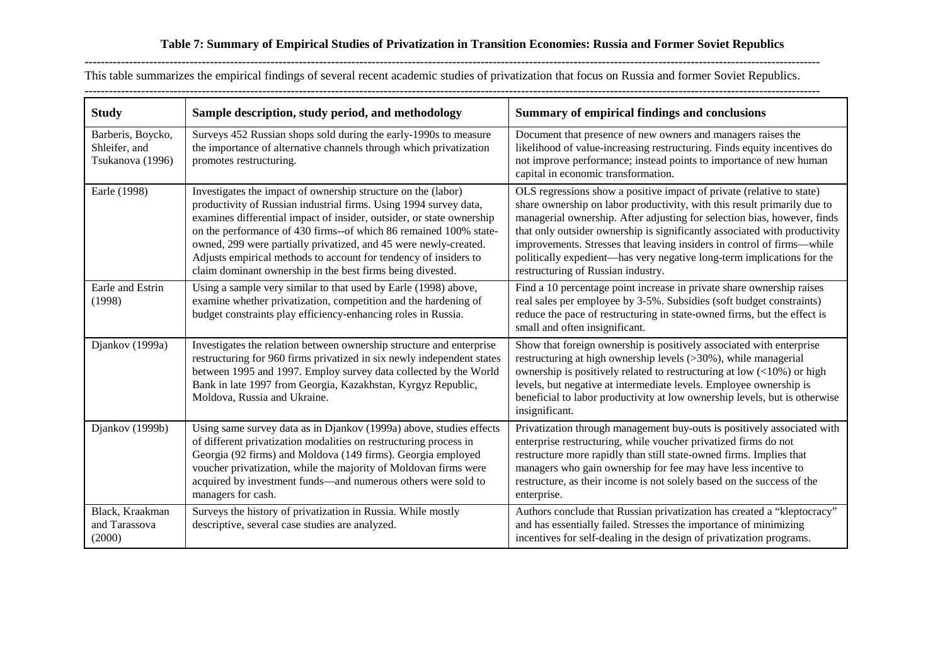**--------------------------------------------------------------------------------------------------------------------------------------------------------------------------------------**This table summarizes the empirical findings of several recent academic studies of privatization that focus on Russia and former Soviet Republics. **--------------------------------------------------------------------------------------------------------------------------------------------------------------------------------------**

| <b>Study</b>                                           | Sample description, study period, and methodology                                                                                                                                                                                                                                                                                                                                                                                                                                      | <b>Summary of empirical findings and conclusions</b>                                                                                                                                                                                                                                                                                                                                                                                                                                                  |
|--------------------------------------------------------|----------------------------------------------------------------------------------------------------------------------------------------------------------------------------------------------------------------------------------------------------------------------------------------------------------------------------------------------------------------------------------------------------------------------------------------------------------------------------------------|-------------------------------------------------------------------------------------------------------------------------------------------------------------------------------------------------------------------------------------------------------------------------------------------------------------------------------------------------------------------------------------------------------------------------------------------------------------------------------------------------------|
| Barberis, Boycko,<br>Shleifer, and<br>Tsukanova (1996) | Surveys 452 Russian shops sold during the early-1990s to measure<br>the importance of alternative channels through which privatization<br>promotes restructuring.                                                                                                                                                                                                                                                                                                                      | Document that presence of new owners and managers raises the<br>likelihood of value-increasing restructuring. Finds equity incentives do<br>not improve performance; instead points to importance of new human<br>capital in economic transformation.                                                                                                                                                                                                                                                 |
| Earle (1998)                                           | Investigates the impact of ownership structure on the (labor)<br>productivity of Russian industrial firms. Using 1994 survey data,<br>examines differential impact of insider, outsider, or state ownership<br>on the performance of 430 firms--of which 86 remained 100% state-<br>owned, 299 were partially privatized, and 45 were newly-created.<br>Adjusts empirical methods to account for tendency of insiders to<br>claim dominant ownership in the best firms being divested. | OLS regressions show a positive impact of private (relative to state)<br>share ownership on labor productivity, with this result primarily due to<br>managerial ownership. After adjusting for selection bias, however, finds<br>that only outsider ownership is significantly associated with productivity<br>improvements. Stresses that leaving insiders in control of firms—while<br>politically expedient—has very negative long-term implications for the<br>restructuring of Russian industry. |
| Earle and Estrin<br>(1998)                             | Using a sample very similar to that used by Earle (1998) above,<br>examine whether privatization, competition and the hardening of<br>budget constraints play efficiency-enhancing roles in Russia.                                                                                                                                                                                                                                                                                    | Find a 10 percentage point increase in private share ownership raises<br>real sales per employee by 3-5%. Subsidies (soft budget constraints)<br>reduce the pace of restructuring in state-owned firms, but the effect is<br>small and often insignificant.                                                                                                                                                                                                                                           |
| Djankov (1999a)                                        | Investigates the relation between ownership structure and enterprise<br>restructuring for 960 firms privatized in six newly independent states<br>between 1995 and 1997. Employ survey data collected by the World<br>Bank in late 1997 from Georgia, Kazakhstan, Kyrgyz Republic,<br>Moldova, Russia and Ukraine.                                                                                                                                                                     | Show that foreign ownership is positively associated with enterprise<br>restructuring at high ownership levels (>30%), while managerial<br>ownership is positively related to restructuring at low $($ < 10%) or high<br>levels, but negative at intermediate levels. Employee ownership is<br>beneficial to labor productivity at low ownership levels, but is otherwise<br>insignificant.                                                                                                           |
| Djankov (1999b)                                        | Using same survey data as in Djankov (1999a) above, studies effects<br>of different privatization modalities on restructuring process in<br>Georgia (92 firms) and Moldova (149 firms). Georgia employed<br>voucher privatization, while the majority of Moldovan firms were<br>acquired by investment funds—and numerous others were sold to<br>managers for cash.                                                                                                                    | Privatization through management buy-outs is positively associated with<br>enterprise restructuring, while voucher privatized firms do not<br>restructure more rapidly than still state-owned firms. Implies that<br>managers who gain ownership for fee may have less incentive to<br>restructure, as their income is not solely based on the success of the<br>enterprise.                                                                                                                          |
| Black, Kraakman<br>and Tarassova<br>(2000)             | Surveys the history of privatization in Russia. While mostly<br>descriptive, several case studies are analyzed.                                                                                                                                                                                                                                                                                                                                                                        | Authors conclude that Russian privatization has created a "kleptocracy"<br>and has essentially failed. Stresses the importance of minimizing<br>incentives for self-dealing in the design of privatization programs.                                                                                                                                                                                                                                                                                  |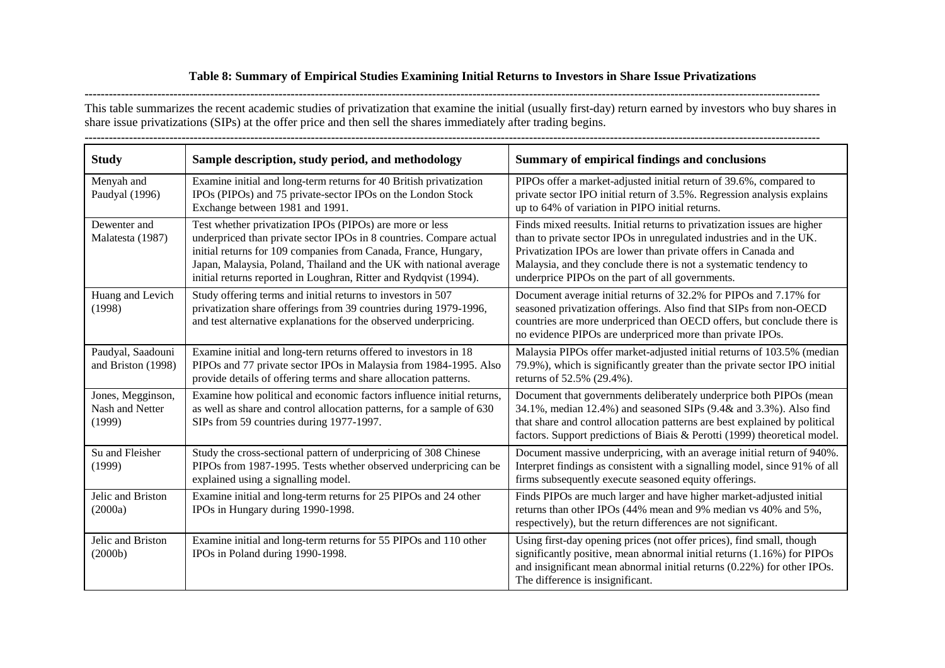## Table 8: Summary of Empirical Studies Examining Initial Returns to Investors in Share Issue Privatizations

This table summarizes the recent academic studies of privatization that examine the initial (usually first-day) return earned by investors who buy shares in share issue privatizations (SIPs) at the offer price and then sell the shares immediately after trading begins. **--------------------------------------------------------------------------------------------------------------------------------------------------------------------------------------**

**--------------------------------------------------------------------------------------------------------------------------------------------------------------------------------------**

| <b>Study</b>                                   | Sample description, study period, and methodology                                                                                                                                                                                                                                                                                             | Summary of empirical findings and conclusions                                                                                                                                                                                                                                                                                               |
|------------------------------------------------|-----------------------------------------------------------------------------------------------------------------------------------------------------------------------------------------------------------------------------------------------------------------------------------------------------------------------------------------------|---------------------------------------------------------------------------------------------------------------------------------------------------------------------------------------------------------------------------------------------------------------------------------------------------------------------------------------------|
| Menyah and<br>Paudyal (1996)                   | Examine initial and long-term returns for 40 British privatization<br>IPOs (PIPOs) and 75 private-sector IPOs on the London Stock<br>Exchange between 1981 and 1991.                                                                                                                                                                          | PIPOs offer a market-adjusted initial return of 39.6%, compared to<br>private sector IPO initial return of 3.5%. Regression analysis explains<br>up to 64% of variation in PIPO initial returns.                                                                                                                                            |
| Dewenter and<br>Malatesta (1987)               | Test whether privatization IPOs (PIPOs) are more or less<br>underpriced than private sector IPOs in 8 countries. Compare actual<br>initial returns for 109 companies from Canada, France, Hungary,<br>Japan, Malaysia, Poland, Thailand and the UK with national average<br>initial returns reported in Loughran, Ritter and Rydqvist (1994). | Finds mixed reesults. Initial returns to privatization issues are higher<br>than to private sector IPOs in unregulated industries and in the UK.<br>Privatization IPOs are lower than private offers in Canada and<br>Malaysia, and they conclude there is not a systematic tendency to<br>underprice PIPOs on the part of all governments. |
| Huang and Levich<br>(1998)                     | Study offering terms and initial returns to investors in 507<br>privatization share offerings from 39 countries during 1979-1996,<br>and test alternative explanations for the observed underpricing.                                                                                                                                         | Document average initial returns of 32.2% for PIPOs and 7.17% for<br>seasoned privatization offerings. Also find that SIPs from non-OECD<br>countries are more underpriced than OECD offers, but conclude there is<br>no evidence PIPOs are underpriced more than private IPOs.                                                             |
| Paudyal, Saadouni<br>and Briston (1998)        | Examine initial and long-tern returns offered to investors in 18<br>PIPOs and 77 private sector IPOs in Malaysia from 1984-1995. Also<br>provide details of offering terms and share allocation patterns.                                                                                                                                     | Malaysia PIPOs offer market-adjusted initial returns of 103.5% (median<br>79.9%), which is significantly greater than the private sector IPO initial<br>returns of 52.5% (29.4%).                                                                                                                                                           |
| Jones, Megginson,<br>Nash and Netter<br>(1999) | Examine how political and economic factors influence initial returns,<br>as well as share and control allocation patterns, for a sample of 630<br>SIPs from 59 countries during 1977-1997.                                                                                                                                                    | Document that governments deliberately underprice both PIPOs (mean<br>34.1%, median 12.4%) and seasoned SIPs (9.4& and 3.3%). Also find<br>that share and control allocation patterns are best explained by political<br>factors. Support predictions of Biais & Perotti (1999) theoretical model.                                          |
| Su and Fleisher<br>(1999)                      | Study the cross-sectional pattern of underpricing of 308 Chinese<br>PIPOs from 1987-1995. Tests whether observed underpricing can be<br>explained using a signalling model.                                                                                                                                                                   | Document massive underpricing, with an average initial return of 940%.<br>Interpret findings as consistent with a signalling model, since 91% of all<br>firms subsequently execute seasoned equity offerings.                                                                                                                               |
| Jelic and Briston<br>(2000a)                   | Examine initial and long-term returns for 25 PIPOs and 24 other<br>IPOs in Hungary during 1990-1998.                                                                                                                                                                                                                                          | Finds PIPOs are much larger and have higher market-adjusted initial<br>returns than other IPOs (44% mean and 9% median vs 40% and 5%,<br>respectively), but the return differences are not significant.                                                                                                                                     |
| Jelic and Briston<br>(2000b)                   | Examine initial and long-term returns for 55 PIPOs and 110 other<br>IPOs in Poland during 1990-1998.                                                                                                                                                                                                                                          | Using first-day opening prices (not offer prices), find small, though<br>significantly positive, mean abnormal initial returns (1.16%) for PIPOs<br>and insignificant mean abnormal initial returns (0.22%) for other IPOs.<br>The difference is insignificant.                                                                             |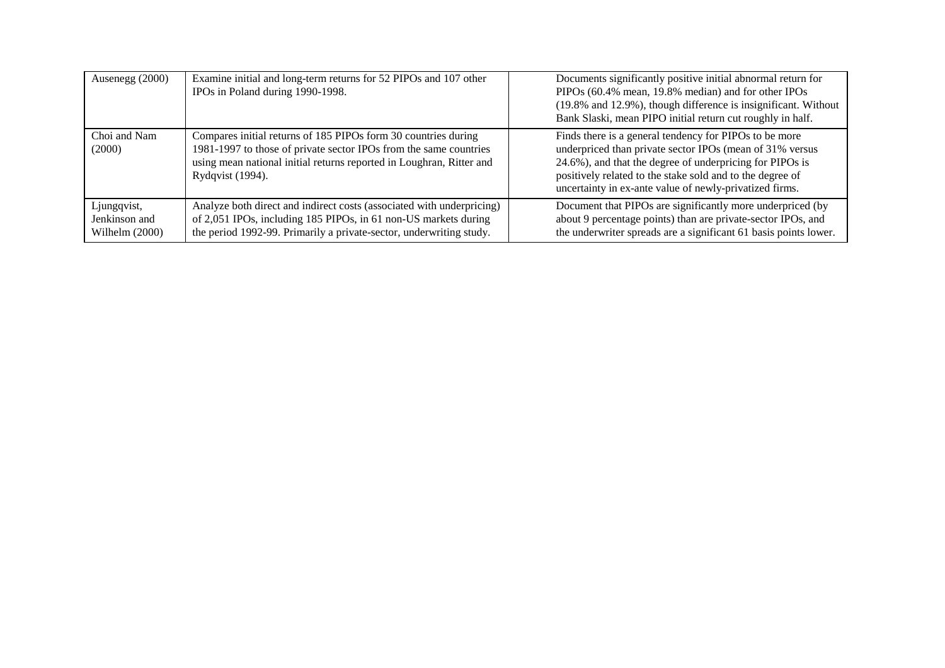| Ausenegg $(2000)$                                | Examine initial and long-term returns for 52 PIPOs and 107 other<br>IPOs in Poland during 1990-1998.                                                                                                                            | Documents significantly positive initial abnormal return for<br>PIPOs (60.4% mean, 19.8% median) and for other IPOs<br>(19.8% and 12.9%), though difference is insignificant. Without<br>Bank Slaski, mean PIPO initial return cut roughly in half.                                                    |
|--------------------------------------------------|---------------------------------------------------------------------------------------------------------------------------------------------------------------------------------------------------------------------------------|--------------------------------------------------------------------------------------------------------------------------------------------------------------------------------------------------------------------------------------------------------------------------------------------------------|
| Choi and Nam<br>(2000)                           | Compares initial returns of 185 PIPOs form 30 countries during<br>1981-1997 to those of private sector IPOs from the same countries<br>using mean national initial returns reported in Loughran, Ritter and<br>Rydqvist (1994). | Finds there is a general tendency for PIPOs to be more<br>underpriced than private sector IPOs (mean of 31% versus<br>24.6%), and that the degree of underpricing for PIPOs is<br>positively related to the stake sold and to the degree of<br>uncertainty in ex-ante value of newly-privatized firms. |
| Ljungqvist,<br>Jenkinson and<br>Wilhelm $(2000)$ | Analyze both direct and indirect costs (associated with underpricing)<br>of 2,051 IPOs, including 185 PIPOs, in 61 non-US markets during<br>the period 1992-99. Primarily a private-sector, underwriting study.                 | Document that PIPOs are significantly more underpriced (by<br>about 9 percentage points) than are private-sector IPOs, and<br>the underwriter spreads are a significant 61 basis points lower.                                                                                                         |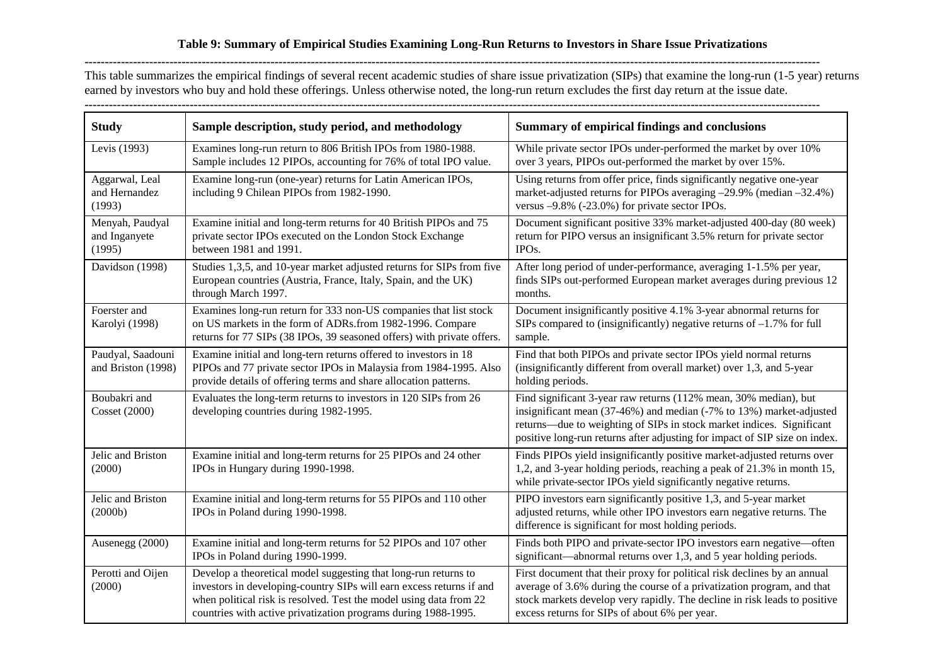**--------------------------------------------------------------------------------------------------------------------------------------------------------------------------------------**

This table summarizes the empirical findings of several recent academic studies of share issue privatization (SIPs) that examine the long-run (1-5 year) returns earned by investors who buy and hold these offerings. Unless otherwise noted, the long-run return excludes the first day return at the issue date. **--------------------------------------------------------------------------------------------------------------------------------------------------------------------------------------**

| <b>Study</b>                               | Sample description, study period, and methodology                                                                                                                                                                                                                               | Summary of empirical findings and conclusions                                                                                                                                                                                                                                                  |
|--------------------------------------------|---------------------------------------------------------------------------------------------------------------------------------------------------------------------------------------------------------------------------------------------------------------------------------|------------------------------------------------------------------------------------------------------------------------------------------------------------------------------------------------------------------------------------------------------------------------------------------------|
| Levis (1993)                               | Examines long-run return to 806 British IPOs from 1980-1988.<br>Sample includes 12 PIPOs, accounting for 76% of total IPO value.                                                                                                                                                | While private sector IPOs under-performed the market by over 10%<br>over 3 years, PIPOs out-performed the market by over 15%.                                                                                                                                                                  |
| Aggarwal, Leal<br>and Hernandez<br>(1993)  | Examine long-run (one-year) returns for Latin American IPOs,<br>including 9 Chilean PIPOs from 1982-1990.                                                                                                                                                                       | Using returns from offer price, finds significantly negative one-year<br>market-adjusted returns for PIPOs averaging -29.9% (median -32.4%)<br>versus -9.8% (-23.0%) for private sector IPOs.                                                                                                  |
| Menyah, Paudyal<br>and Inganyete<br>(1995) | Examine initial and long-term returns for 40 British PIPOs and 75<br>private sector IPOs executed on the London Stock Exchange<br>between 1981 and 1991.                                                                                                                        | Document significant positive 33% market-adjusted 400-day (80 week)<br>return for PIPO versus an insignificant 3.5% return for private sector<br>IPO <sub>s</sub> .                                                                                                                            |
| Davidson (1998)                            | Studies 1,3,5, and 10-year market adjusted returns for SIPs from five<br>European countries (Austria, France, Italy, Spain, and the UK)<br>through March 1997.                                                                                                                  | After long period of under-performance, averaging 1-1.5% per year,<br>finds SIPs out-performed European market averages during previous 12<br>months.                                                                                                                                          |
| Foerster and<br>Karolyi (1998)             | Examines long-run return for 333 non-US companies that list stock<br>on US markets in the form of ADRs.from 1982-1996. Compare<br>returns for 77 SIPs (38 IPOs, 39 seasoned offers) with private offers.                                                                        | Document insignificantly positive 4.1% 3-year abnormal returns for<br>SIPs compared to (insignificantly) negative returns of $-1.7\%$ for full<br>sample.                                                                                                                                      |
| Paudyal, Saadouni<br>and Briston (1998)    | Examine initial and long-tern returns offered to investors in 18<br>PIPOs and 77 private sector IPOs in Malaysia from 1984-1995. Also<br>provide details of offering terms and share allocation patterns.                                                                       | Find that both PIPOs and private sector IPOs yield normal returns<br>(insignificantly different from overall market) over 1,3, and 5-year<br>holding periods.                                                                                                                                  |
| Boubakri and<br><b>Cosset (2000)</b>       | Evaluates the long-term returns to investors in 120 SIPs from 26<br>developing countries during 1982-1995.                                                                                                                                                                      | Find significant 3-year raw returns (112% mean, 30% median), but<br>insignificant mean (37-46%) and median (-7% to 13%) market-adjusted<br>returns—due to weighting of SIPs in stock market indices. Significant<br>positive long-run returns after adjusting for impact of SIP size on index. |
| Jelic and Briston<br>(2000)                | Examine initial and long-term returns for 25 PIPOs and 24 other<br>IPOs in Hungary during 1990-1998.                                                                                                                                                                            | Finds PIPOs yield insignificantly positive market-adjusted returns over<br>1,2, and 3-year holding periods, reaching a peak of 21.3% in month 15,<br>while private-sector IPOs yield significantly negative returns.                                                                           |
| Jelic and Briston<br>(2000b)               | Examine initial and long-term returns for 55 PIPOs and 110 other<br>IPOs in Poland during 1990-1998.                                                                                                                                                                            | PIPO investors earn significantly positive 1,3, and 5-year market<br>adjusted returns, while other IPO investors earn negative returns. The<br>difference is significant for most holding periods.                                                                                             |
| Ausenegg (2000)                            | Examine initial and long-term returns for 52 PIPOs and 107 other<br>IPOs in Poland during 1990-1999.                                                                                                                                                                            | Finds both PIPO and private-sector IPO investors earn negative-often<br>significant—abnormal returns over 1,3, and 5 year holding periods.                                                                                                                                                     |
| Perotti and Oijen<br>(2000)                | Develop a theoretical model suggesting that long-run returns to<br>investors in developing-country SIPs will earn excess returns if and<br>when political risk is resolved. Test the model using data from 22<br>countries with active privatization programs during 1988-1995. | First document that their proxy for political risk declines by an annual<br>average of 3.6% during the course of a privatization program, and that<br>stock markets develop very rapidly. The decline in risk leads to positive<br>excess returns for SIPs of about 6% per year.               |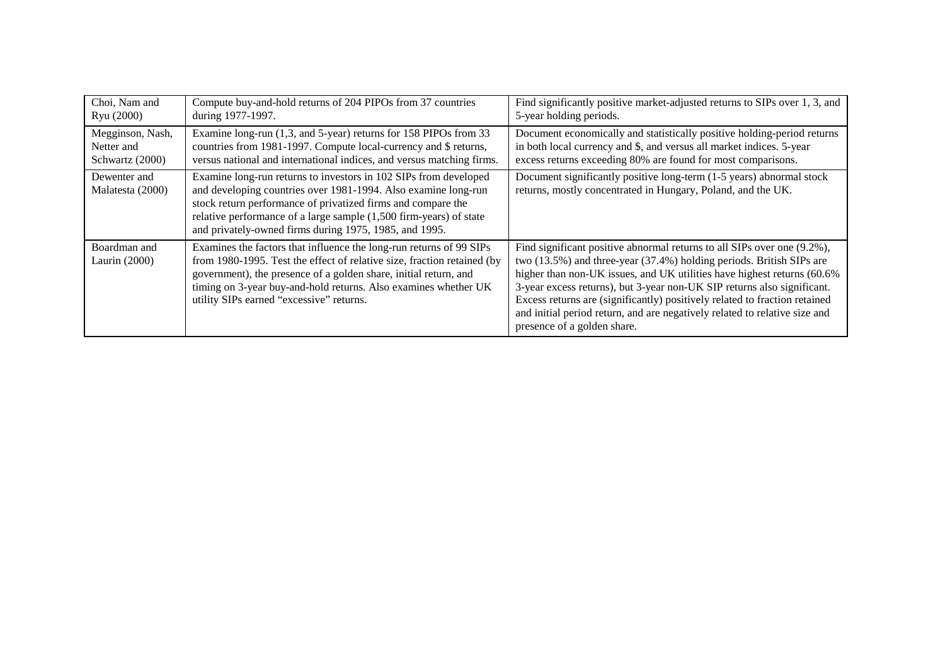| Choi, Nam and                    | Compute buy-and-hold returns of 204 PIPOs from 37 countries                                                                                                                                                                                                                                                                        | Find significantly positive market-adjusted returns to SIPs over 1, 3, and                                                                                                                                                                                                                                                                                                                                                                                                                        |
|----------------------------------|------------------------------------------------------------------------------------------------------------------------------------------------------------------------------------------------------------------------------------------------------------------------------------------------------------------------------------|---------------------------------------------------------------------------------------------------------------------------------------------------------------------------------------------------------------------------------------------------------------------------------------------------------------------------------------------------------------------------------------------------------------------------------------------------------------------------------------------------|
| Ryu (2000)                       | during 1977-1997.                                                                                                                                                                                                                                                                                                                  | 5-year holding periods.                                                                                                                                                                                                                                                                                                                                                                                                                                                                           |
| Megginson, Nash,                 | Examine long-run (1,3, and 5-year) returns for 158 PIPOs from 33                                                                                                                                                                                                                                                                   | Document economically and statistically positive holding-period returns                                                                                                                                                                                                                                                                                                                                                                                                                           |
| Netter and                       | countries from 1981-1997. Compute local-currency and \$ returns,                                                                                                                                                                                                                                                                   | in both local currency and \$, and versus all market indices. 5-year                                                                                                                                                                                                                                                                                                                                                                                                                              |
| Schwartz (2000)                  | versus national and international indices, and versus matching firms.                                                                                                                                                                                                                                                              | excess returns exceeding 80% are found for most comparisons.                                                                                                                                                                                                                                                                                                                                                                                                                                      |
| Dewenter and<br>Malatesta (2000) | Examine long-run returns to investors in 102 SIPs from developed<br>and developing countries over 1981-1994. Also examine long-run<br>stock return performance of privatized firms and compare the<br>relative performance of a large sample (1,500 firm-years) of state<br>and privately-owned firms during 1975, 1985, and 1995. | Document significantly positive long-term (1-5 years) abnormal stock<br>returns, mostly concentrated in Hungary, Poland, and the UK.                                                                                                                                                                                                                                                                                                                                                              |
| Boardman and<br>Laurin $(2000)$  | Examines the factors that influence the long-run returns of 99 SIPs<br>from 1980-1995. Test the effect of relative size, fraction retained (by<br>government), the presence of a golden share, initial return, and<br>timing on 3-year buy-and-hold returns. Also examines whether UK<br>utility SIPs earned "excessive" returns.  | Find significant positive abnormal returns to all SIPs over one (9.2%),<br>two (13.5%) and three-year (37.4%) holding periods. British SIPs are<br>higher than non-UK issues, and UK utilities have highest returns (60.6%)<br>3-year excess returns), but 3-year non-UK SIP returns also significant.<br>Excess returns are (significantly) positively related to fraction retained<br>and initial period return, and are negatively related to relative size and<br>presence of a golden share. |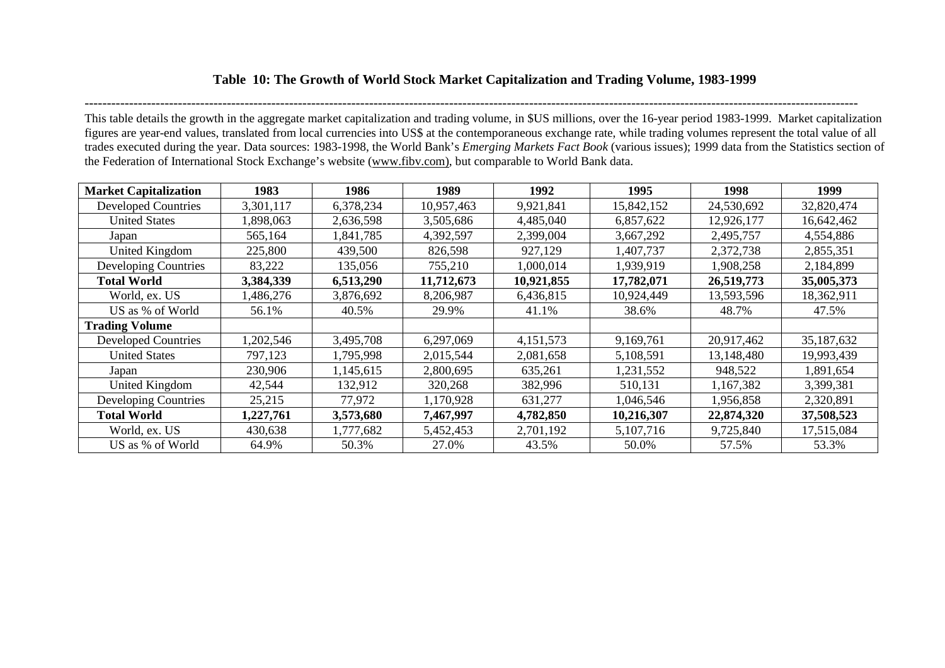# Table 10: The Growth of World Stock Market Capitalization and Trading Volume, 1983-1999

------------------------------------------------------------------------------------------------------------------------------------------------------------------------------

This table details the growth in the aggregate market capitalization and trading volume, in \$US millions, over the 16-year period 1983-1999. Market capitalization figures are year-end values, translated from local currencies into US\$ at the contemporaneous exchange rate, while trading volumes represen<sup>t</sup> the total value of all trades executed during the year. Data sources: 1983-1998, the World Bank's *Emerging Markets Fact Book* (various issues); 1999 data from the Statistics section of the Federation of International Stock Exchange's website (www.fibv.com), but comparable to World Bank data.

| <b>Market Capitalization</b> | 1983      | 1986      | 1989       | 1992       | 1995       | 1998       | 1999       |
|------------------------------|-----------|-----------|------------|------------|------------|------------|------------|
| <b>Developed Countries</b>   | 3,301,117 | 6,378,234 | 10,957,463 | 9,921,841  | 15,842,152 | 24,530,692 | 32,820,474 |
| <b>United States</b>         | 1,898,063 | 2,636,598 | 3,505,686  | 4,485,040  | 6,857,622  | 12,926,177 | 16,642,462 |
| Japan                        | 565,164   | 1,841,785 | 4,392,597  | 2,399,004  | 3,667,292  | 2,495,757  | 4,554,886  |
| United Kingdom               | 225,800   | 439,500   | 826,598    | 927,129    | 1,407,737  | 2,372,738  | 2,855,351  |
| <b>Developing Countries</b>  | 83,222    | 135,056   | 755,210    | 1,000,014  | 1,939,919  | 1,908,258  | 2,184,899  |
| <b>Total World</b>           | 3,384,339 | 6,513,290 | 11,712,673 | 10,921,855 | 17,782,071 | 26,519,773 | 35,005,373 |
| World, ex. US                | 1,486,276 | 3,876,692 | 8,206,987  | 6,436,815  | 10,924,449 | 13,593,596 | 18,362,911 |
| US as % of World             | 56.1%     | 40.5%     | 29.9%      | 41.1%      | 38.6%      | 48.7%      | 47.5%      |
| <b>Trading Volume</b>        |           |           |            |            |            |            |            |
| <b>Developed Countries</b>   | ,202,546  | 3,495,708 | 6,297,069  | 4,151,573  | 9,169,761  | 20,917,462 | 35,187,632 |
| <b>United States</b>         | 797,123   | 1,795,998 | 2,015,544  | 2,081,658  | 5,108,591  | 13,148,480 | 19,993,439 |
| Japan                        | 230,906   | 1,145,615 | 2,800,695  | 635,261    | 1,231,552  | 948,522    | 1,891,654  |
| United Kingdom               | 42,544    | 132,912   | 320,268    | 382,996    | 510,131    | 1,167,382  | 3,399,381  |
| Developing Countries         | 25,215    | 77,972    | 1,170,928  | 631,277    | 1,046,546  | 1,956,858  | 2,320,891  |
| <b>Total World</b>           | 1,227,761 | 3,573,680 | 7,467,997  | 4,782,850  | 10,216,307 | 22,874,320 | 37,508,523 |
| World, ex. US                | 430,638   | 1,777,682 | 5,452,453  | 2,701,192  | 5,107,716  | 9,725,840  | 17,515,084 |
| US as % of World             | 64.9%     | 50.3%     | 27.0%      | 43.5%      | 50.0%      | 57.5%      | 53.3%      |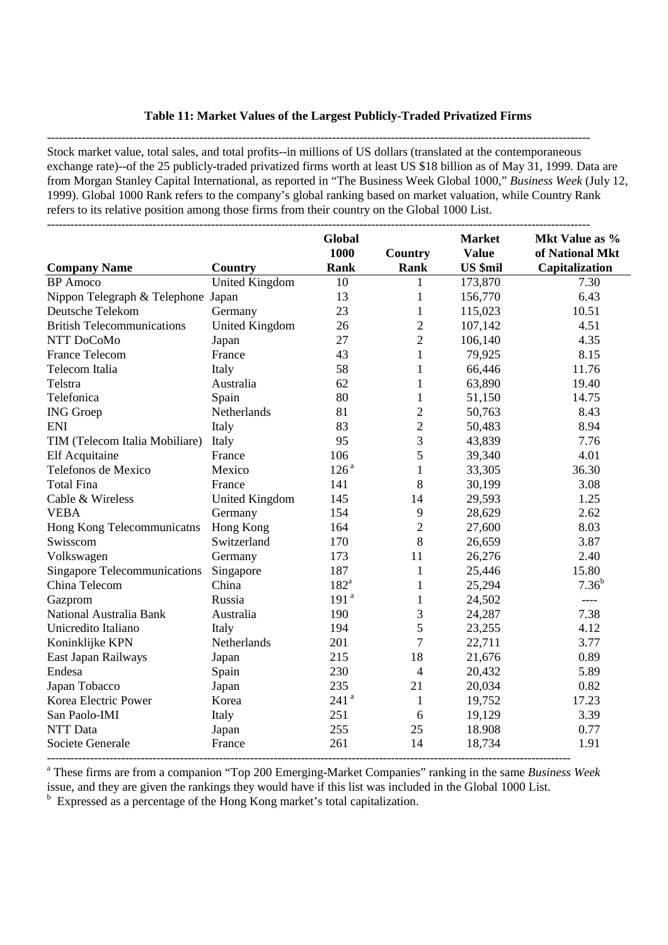#### **Table 11: Market Values of the Largest Publicly-Traded Privatized Firms**

------------------------------------------------------------------------------------------------------------------------------------------- Stock market value, total sales, and total profits--in millions of US dollars (translated at the contemporaneous exchange rate)--of the 25 publicly-traded privatized firms worth at least US \$18 billion as of May 31, 1999. Data are from Morgan Stanley Capital International, as reported in "The Business Week Global 1000," *Business Week* (July 12, 1999). Global 1000 Rank refers to the company's global ranking based on market valuation, while Country Rank refers to its relative position among those firms from their country on the Global 1000 List.

**Global Market Mkt Value as % 1000 Country Value of National Mkt Company Name Country Rank Rank US \$mil Capitalization** BP Amoco United Kingdom 10 1 173,870 7.30 Nippon Telegraph & Telephone Japan  $13$  1  $156,770$  6.43 Deutsche Telekom Germany 23 1 115,023 10.51 British Telecommunications United Kingdom 26 2 107,142 4.51 NTT DoCoMo Japan 27 2 106,140 4.35 France Telecom France 1 and 43 1 79.925 8.15 Telecom Italia 11.76 11.76 11.76 11.76 Telstra Australia 62 1 63,890 19.40 Telefonica Spain 80 1 51,150 14.75 ING Groep 19 Netherlands 81 2 50,763 8.43 ENI 19 Italy 83 2 50,483 8.94 TIM (Telecom Italia Mobiliare) Italy 95 3 43,839 7.76 Elf Acquitaine France 106 5 39,340 4.01 Telefonos de Mexico  $Mexico$   $126<sup>a</sup>$  1  $33.305$  36.30 Total Fina **France** 141 8 30,199 3.08 Cable & Wireless United Kingdom 145 14 29,593 1.25 VEBA Germany 154 9 28,629 2.62 Hong Kong Telecommunicatns Hong Kong 164 2 27,600 8.03 Swisscom Switzerland 170 8 26,659 3.87 Volkswagen Germany 173 11 26,276 2.40 Singapore Telecommunications Singapore 187 1 25,446 15.80 China Telecom China  $182^a$  1  $25,294$  7.36<sup>b</sup> Gazprom Russia 191 <sup>a</sup> 1 24,502 ---- National Australia Bank Australia 190 3 24,287 7.38 Unicredito Italiano Italy 194 5 23,255 4.12 Koninklijke KPN Netherlands 201 7 22,711 3.77 East Japan Railways Japan 215 18 21,676 0.89 Endesa Spain 230 4 20,432 5.89 Japan Tobacco Japan 235 21 20,034 0.82 Korea Electric Power  $\frac{17.23}{241}$  a  $\frac{19.752}{17.23}$  17.23 San Paolo-IMI Italy 11 Italy 251 6 19,129 3.39 NTT Data 18.908 1977 Japan 255 25 18.908 0.77 Societe Generale France 261 14 18.734 1.91

-------------------------------------------------------------------------------------------------------------------------------------------

<sup>a</sup> These firms are from a companion "Top 200 Emerging-Market Companies" ranking in the same Business Week issue, and they are given the rankings they would have if this list was included in the Global 1000 List.

 $<sup>b</sup>$  Expressed as a percentage of the Hong Kong market's total capitalization.</sup>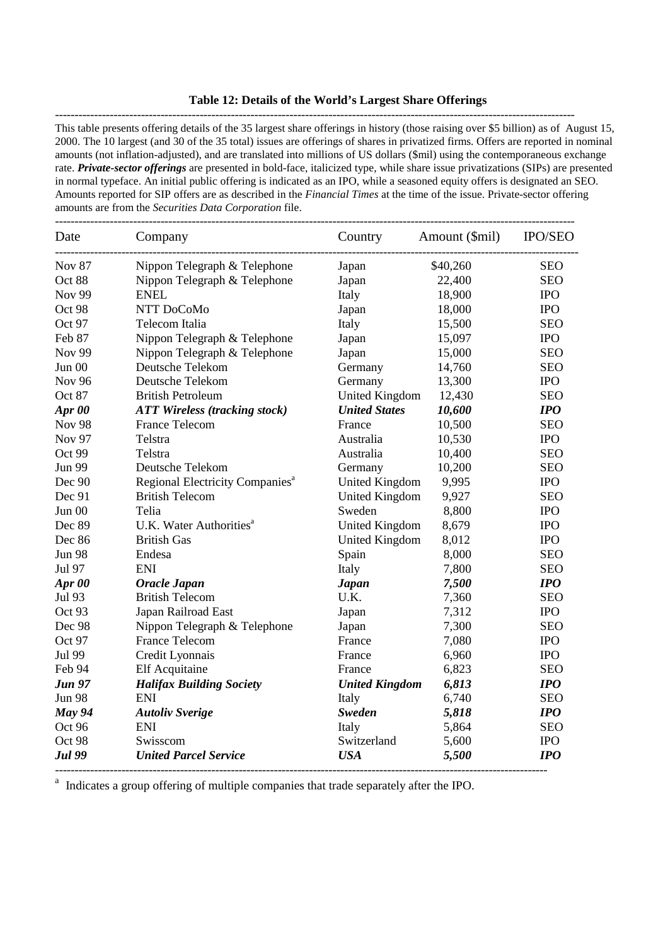### **Table 12: Details of the World's Largest Share Offerings**

------------------------------------------------------------------------------------------------------------------------------------- This table presents offering details of the 35 largest share offerings in history (those raising over \$5 billion) as of August 15, 2000. The 10 largest (and 30 of the 35 total) issues are offerings of shares in privatized firms. Offers are reported in nominal amounts (not inflation-adjusted), and are translated into millions of US dollars (\$mil) using the contemporaneous exchange rate. *Private-sector offerings* are presented in bold-face, italicized type, while share issue privatizations (SIPs) are presented in normal typeface. An initial public offering is indicated as an IPO, while a seasoned equity offers is designated an SEO. Amounts reported for SIP offers are as described in the *Financial Times* at the time of the issue. Private-sector offering amounts are from the *Securities Data Corporation* file.

| Date          | Company                                     |                       | Country Amount (\$mil) IPO/SEO |                                                |
|---------------|---------------------------------------------|-----------------------|--------------------------------|------------------------------------------------|
| <b>Nov 87</b> | Nippon Telegraph & Telephone                | Japan                 | \$40,260                       | <b>SEO</b>                                     |
| Oct 88        | Nippon Telegraph & Telephone                | Japan                 | 22,400                         | <b>SEO</b>                                     |
| <b>Nov 99</b> | <b>ENEL</b>                                 | Italy                 | 18,900                         | <b>IPO</b>                                     |
| Oct 98        | NTT DoCoMo                                  | Japan                 | 18,000                         | <b>IPO</b>                                     |
| Oct 97        | Telecom Italia                              | Italy                 | 15,500                         | <b>SEO</b>                                     |
| Feb 87        | Nippon Telegraph & Telephone                | Japan                 | 15,097                         | <b>IPO</b>                                     |
| <b>Nov 99</b> | Nippon Telegraph & Telephone                | Japan                 | 15,000                         | <b>SEO</b>                                     |
| Jun 00        | Deutsche Telekom                            | Germany               | 14,760                         | <b>SEO</b>                                     |
| <b>Nov 96</b> | Deutsche Telekom                            | Germany               | 13,300                         | <b>IPO</b>                                     |
| Oct 87        | <b>British Petroleum</b>                    | United Kingdom        | 12,430                         | <b>SEO</b>                                     |
| Apr 00        | <b>ATT Wireless (tracking stock)</b>        | <b>United States</b>  | 10,600                         | $\boldsymbol{I} \boldsymbol{P} \boldsymbol{O}$ |
| <b>Nov 98</b> | <b>France Telecom</b>                       | France                | 10,500                         | <b>SEO</b>                                     |
| <b>Nov 97</b> | Telstra                                     | Australia             | 10,530                         | <b>IPO</b>                                     |
| Oct 99        | Telstra                                     | Australia             | 10,400                         | <b>SEO</b>                                     |
| <b>Jun 99</b> | Deutsche Telekom                            | Germany               | 10,200                         | <b>SEO</b>                                     |
| Dec 90        | Regional Electricity Companies <sup>a</sup> | United Kingdom        | 9,995                          | <b>IPO</b>                                     |
| Dec 91        | <b>British Telecom</b>                      | United Kingdom        | 9,927                          | <b>SEO</b>                                     |
| Jun 00        | Telia                                       | Sweden                | 8,800                          | <b>IPO</b>                                     |
| Dec 89        | U.K. Water Authorities <sup>a</sup>         | United Kingdom        | 8,679                          | <b>IPO</b>                                     |
| Dec 86        | <b>British Gas</b>                          | United Kingdom        | 8,012                          | <b>IPO</b>                                     |
| <b>Jun 98</b> | Endesa                                      | Spain                 | 8,000                          | <b>SEO</b>                                     |
| Jul 97        | <b>ENI</b>                                  | Italy                 | 7,800                          | <b>SEO</b>                                     |
| Apr 00        | Oracle Japan                                | <b>Japan</b>          | 7,500                          | $\boldsymbol{I} \boldsymbol{P} \boldsymbol{O}$ |
| Jul 93        | <b>British Telecom</b>                      | U.K.                  | 7,360                          | <b>SEO</b>                                     |
| Oct 93        | Japan Railroad East                         | Japan                 | 7,312                          | <b>IPO</b>                                     |
| Dec 98        | Nippon Telegraph & Telephone                | Japan                 | 7,300                          | <b>SEO</b>                                     |
| Oct 97        | <b>France Telecom</b>                       | France                | 7,080                          | <b>IPO</b>                                     |
| Jul 99        | Credit Lyonnais                             | France                | 6,960                          | <b>IPO</b>                                     |
| Feb 94        | Elf Acquitaine                              | France                | 6,823                          | <b>SEO</b>                                     |
| <b>Jun 97</b> | <b>Halifax Building Society</b>             | <b>United Kingdom</b> | 6,813                          | $\boldsymbol{IPO}$                             |
| <b>Jun 98</b> | <b>ENI</b>                                  | Italy                 | 6,740                          | <b>SEO</b>                                     |
| May 94        | <b>Autoliv Sverige</b>                      | Sweden                | 5,818                          | IPO                                            |
| Oct 96        | <b>ENI</b>                                  | Italy                 | 5,864                          | <b>SEO</b>                                     |
| Oct 98        | Swisscom                                    | Switzerland           | 5,600                          | <b>IPO</b>                                     |
| <b>Jul 99</b> | <b>United Parcel Service</b>                | <b>USA</b>            | 5,500                          | $\boldsymbol{I} \boldsymbol{P} \boldsymbol{O}$ |

<sup>a</sup> Indicates a group offering of multiple companies that trade separately after the IPO.